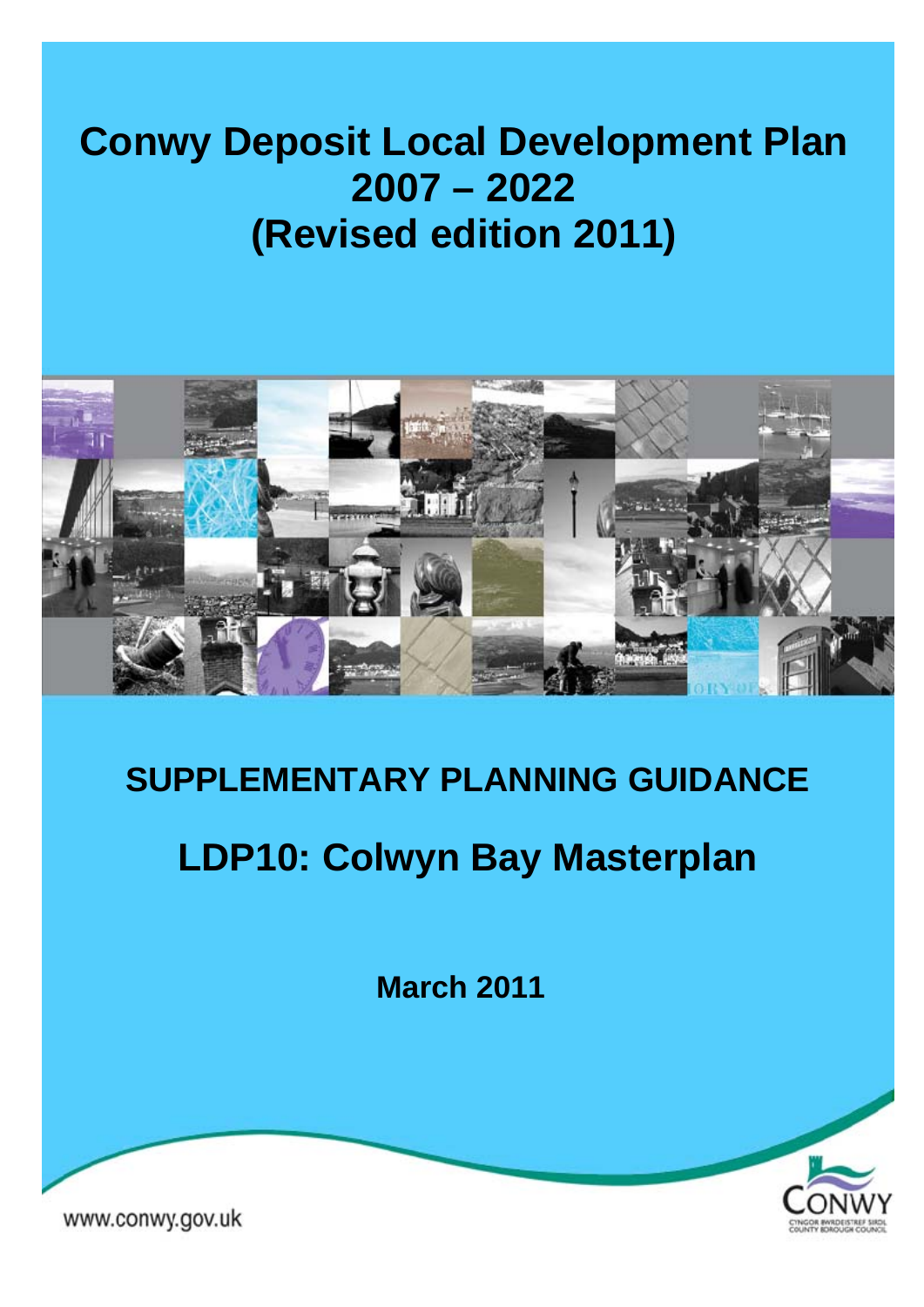# **Conwy Deposit Local Development Plan 2007 – 2022 (Revised edition 2011)**



# **SUPPLEMENTARY PLANNING GUIDANCE**

# **LDP10: Colwyn Bay Masterplan**

**March 2011** 



www.conwy.gov.uk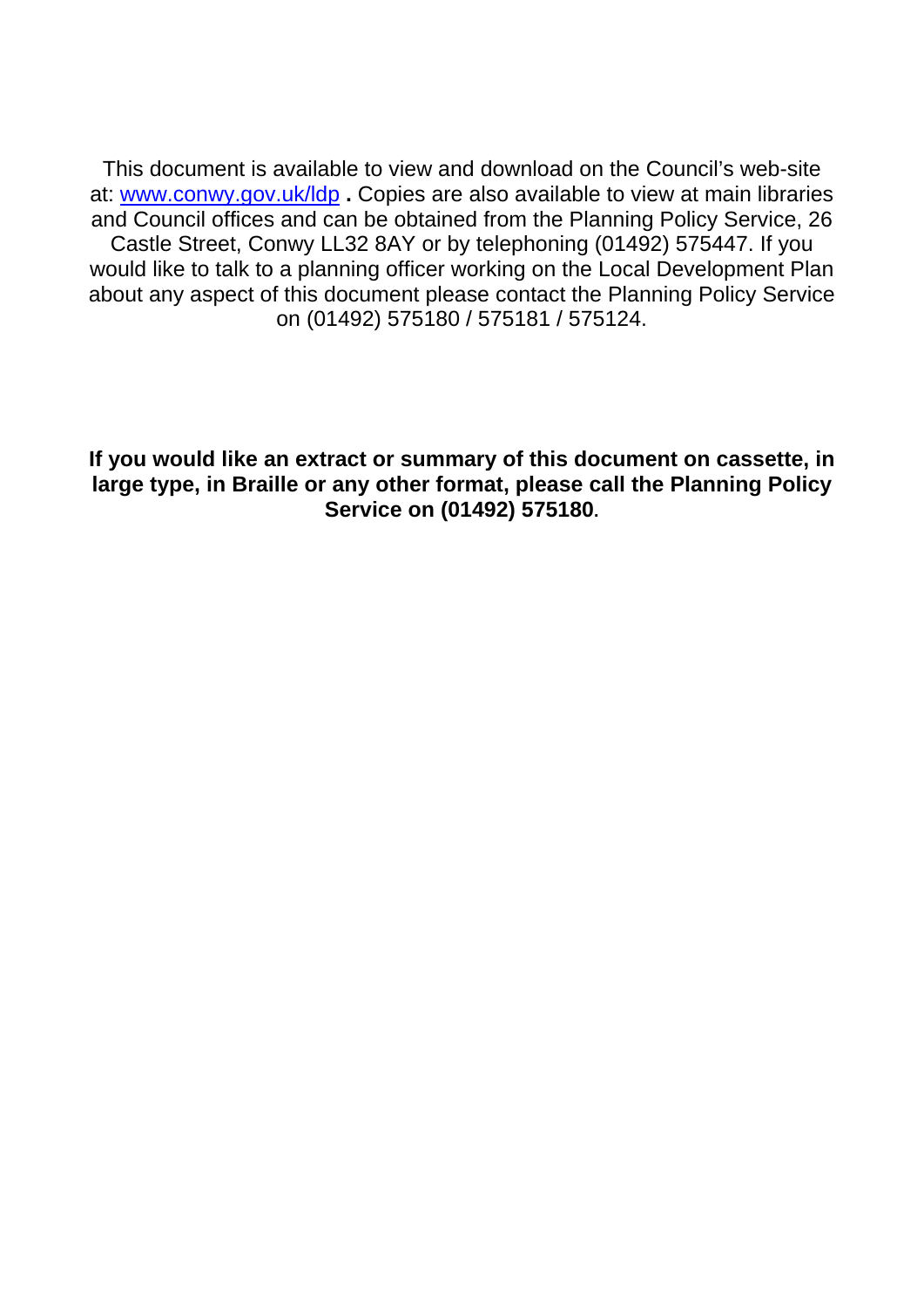This document is available to view and download on the Council's web-site at: [www.conwy.gov.uk/ldp](http://www.conwy.gov.uk/ldp) **.** Copies are also available to view at main libraries and Council offices and can be obtained from the Planning Policy Service, 26 Castle Street, Conwy LL32 8AY or by telephoning (01492) 575447. If you would like to talk to a planning officer working on the Local Development Plan about any aspect of this document please contact the Planning Policy Service on (01492) 575180 / 575181 / 575124.

**If you would like an extract or summary of this document on cassette, in large type, in Braille or any other format, please call the Planning Policy Service on (01492) 575180.**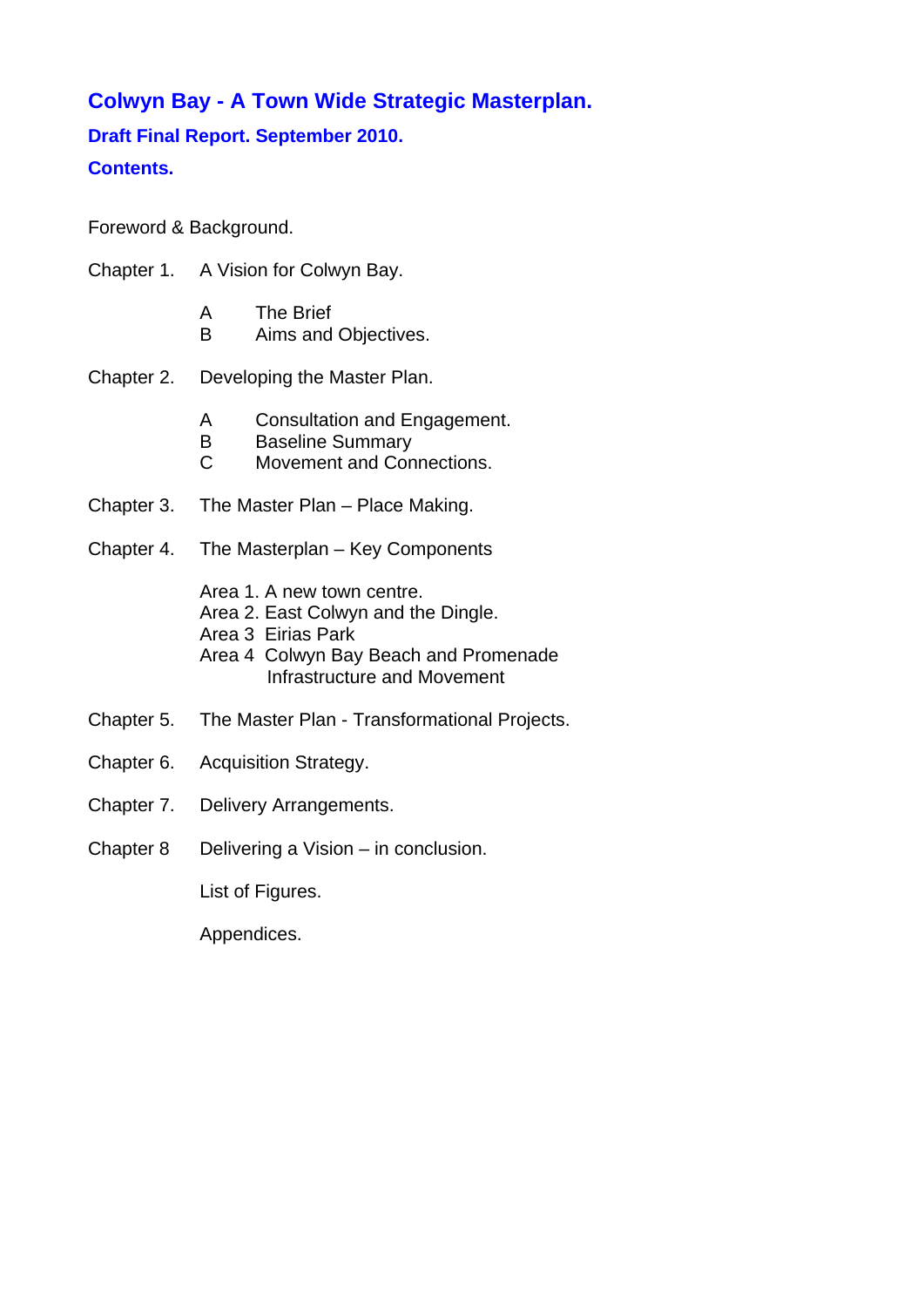# **Colwyn Bay - A Town Wide Strategic Masterplan.**

# **Draft Final Report. September 2010. Contents.**

Foreword & Background.

- Chapter 1. A Vision for Colwyn Bay.
	- A The Brief
	- B Aims and Objectives.
- Chapter 2. Developing the Master Plan.
	- A Consultation and Engagement.
	- **B** Baseline Summary
	- C Movement and Connections.
- Chapter 3. The Master Plan Place Making.
- Chapter 4. The Masterplan Key Components

Area 1. A new town centre.

- Area 2. East Colwyn and the Dingle.
- Area 3 Eirias Park
- Area 4 Colwyn Bay Beach and Promenade Infrastructure and Movement
- Chapter 5. The Master Plan Transformational Projects.
- Chapter 6. Acquisition Strategy.
- Chapter 7. Delivery Arrangements.
- Chapter 8 Delivering a Vision in conclusion.

List of Figures.

Appendices.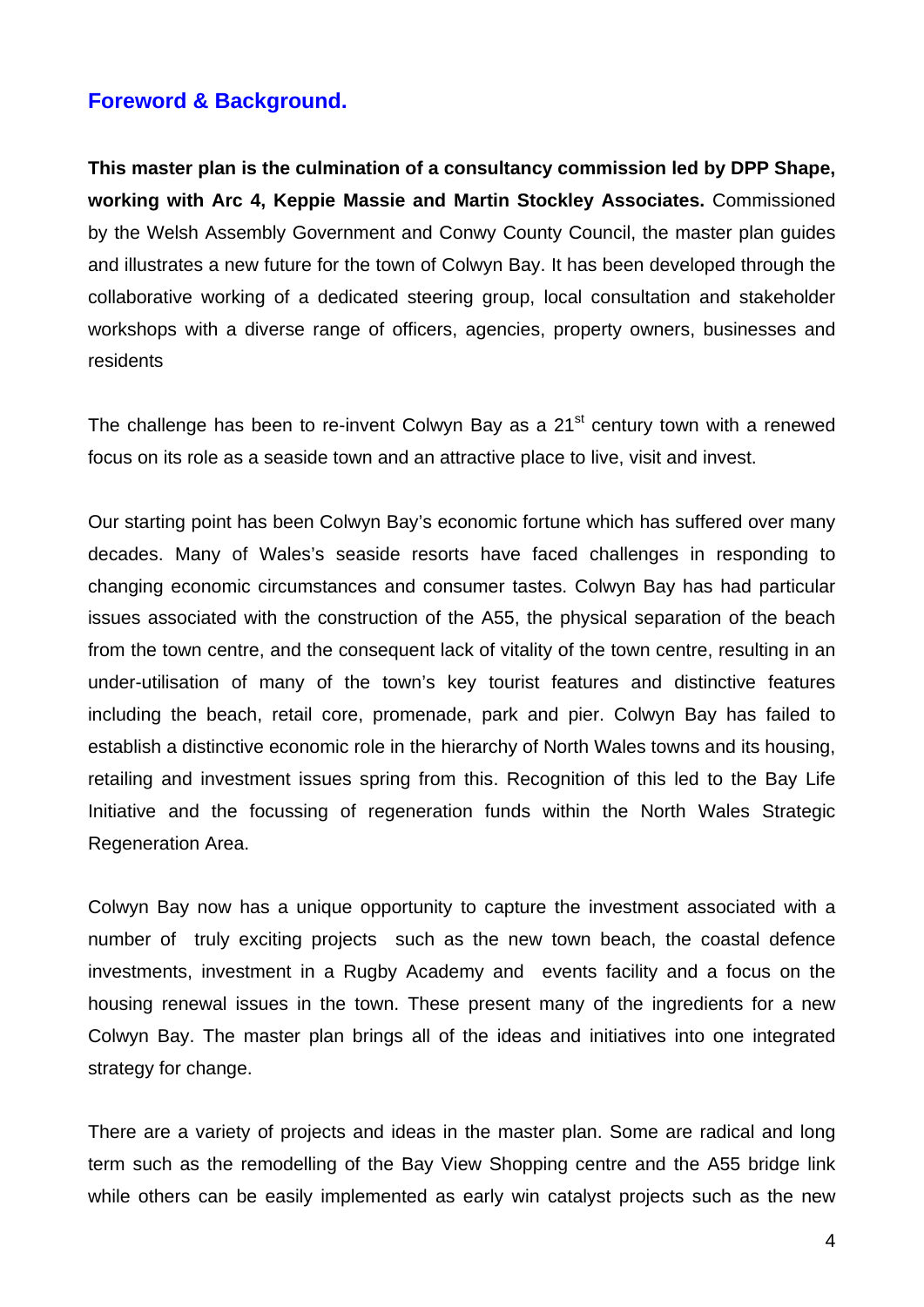# **Foreword & Background.**

**This master plan is the culmination of a consultancy commission led by DPP Shape, working with Arc 4, Keppie Massie and Martin Stockley Associates.** Commissioned by the Welsh Assembly Government and Conwy County Council, the master plan guides and illustrates a new future for the town of Colwyn Bay. It has been developed through the collaborative working of a dedicated steering group, local consultation and stakeholder workshops with a diverse range of officers, agencies, property owners, businesses and residents

The challenge has been to re-invent Colwyn Bay as a  $21<sup>st</sup>$  century town with a renewed focus on its role as a seaside town and an attractive place to live, visit and invest.

Our starting point has been Colwyn Bay's economic fortune which has suffered over many decades. Many of Wales's seaside resorts have faced challenges in responding to changing economic circumstances and consumer tastes. Colwyn Bay has had particular issues associated with the construction of the A55, the physical separation of the beach from the town centre, and the consequent lack of vitality of the town centre, resulting in an under-utilisation of many of the town's key tourist features and distinctive features including the beach, retail core, promenade, park and pier. Colwyn Bay has failed to establish a distinctive economic role in the hierarchy of North Wales towns and its housing, retailing and investment issues spring from this. Recognition of this led to the Bay Life Initiative and the focussing of regeneration funds within the North Wales Strategic Regeneration Area.

Colwyn Bay now has a unique opportunity to capture the investment associated with a number of truly exciting projects such as the new town beach, the coastal defence investments, investment in a Rugby Academy and events facility and a focus on the housing renewal issues in the town. These present many of the ingredients for a new Colwyn Bay. The master plan brings all of the ideas and initiatives into one integrated strategy for change.

There are a variety of projects and ideas in the master plan. Some are radical and long term such as the remodelling of the Bay View Shopping centre and the A55 bridge link while others can be easily implemented as early win catalyst projects such as the new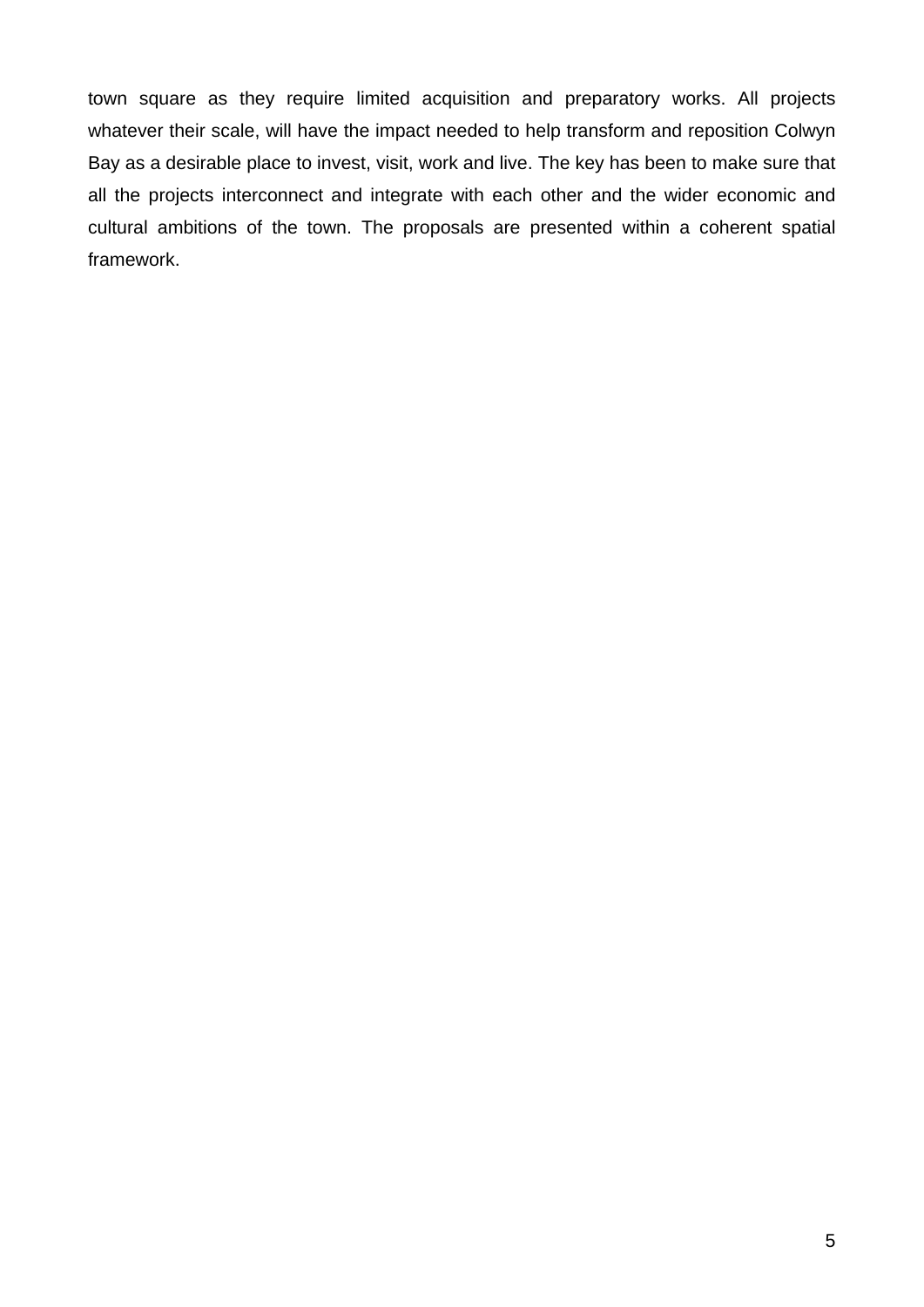town square as they require limited acquisition and preparatory works. All projects whatever their scale, will have the impact needed to help transform and reposition Colwyn Bay as a desirable place to invest, visit, work and live. The key has been to make sure that all the projects interconnect and integrate with each other and the wider economic and cultural ambitions of the town. The proposals are presented within a coherent spatial framework.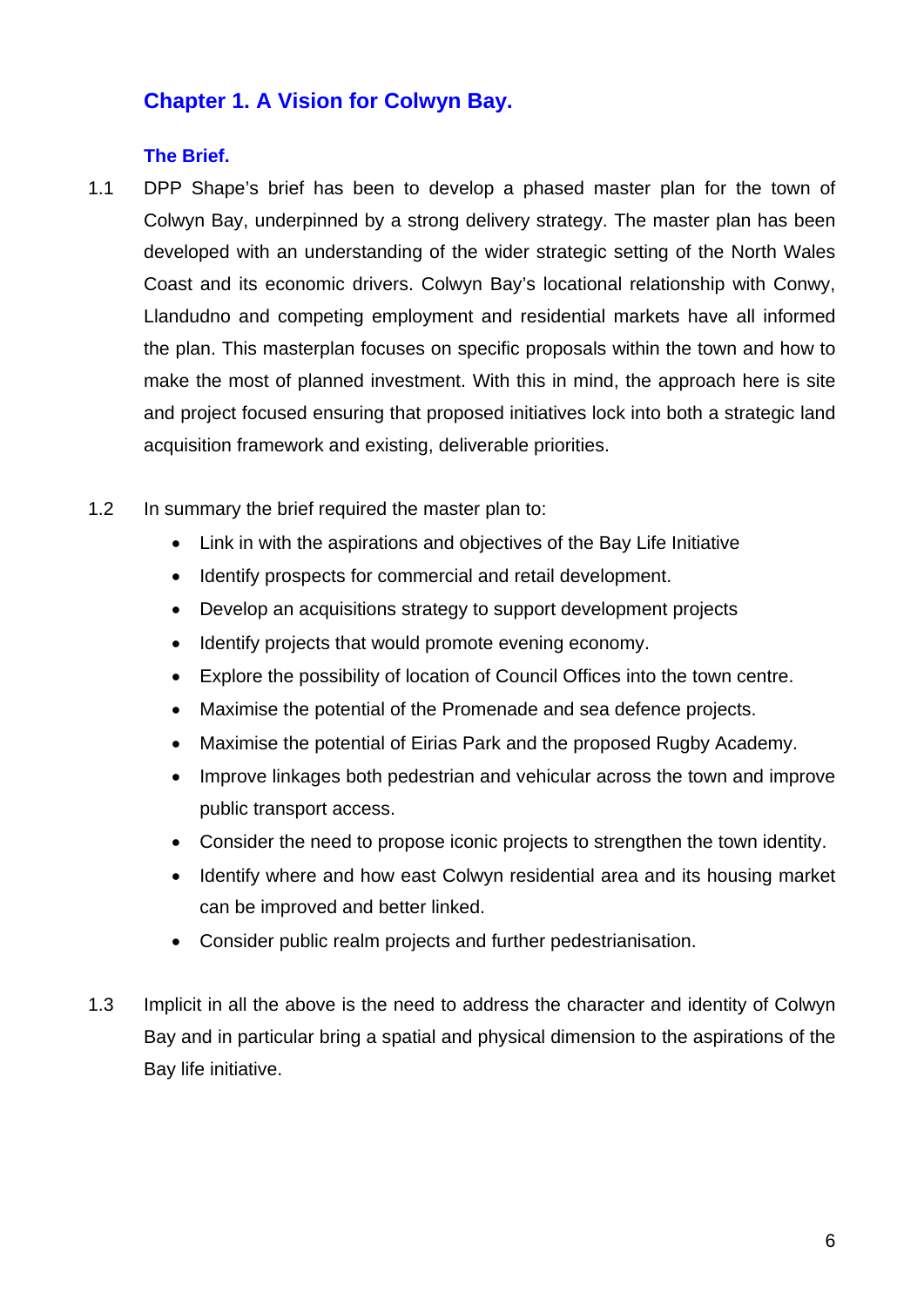# **Chapter 1. A Vision for Colwyn Bay.**

## **The Brief.**

- 1.1 DPP Shape's brief has been to develop a phased master plan for the town of Colwyn Bay, underpinned by a strong delivery strategy. The master plan has been developed with an understanding of the wider strategic setting of the North Wales Coast and its economic drivers. Colwyn Bay's locational relationship with Conwy, Llandudno and competing employment and residential markets have all informed the plan. This masterplan focuses on specific proposals within the town and how to make the most of planned investment. With this in mind, the approach here is site and project focused ensuring that proposed initiatives lock into both a strategic land acquisition framework and existing, deliverable priorities.
- 1.2 In summary the brief required the master plan to:
	- Link in with the aspirations and objectives of the Bay Life Initiative
	- Identify prospects for commercial and retail development.
	- Develop an acquisitions strategy to support development projects
	- Identify projects that would promote evening economy.
	- Explore the possibility of location of Council Offices into the town centre.
	- Maximise the potential of the Promenade and sea defence projects.
	- Maximise the potential of Eirias Park and the proposed Rugby Academy.
	- Improve linkages both pedestrian and vehicular across the town and improve public transport access.
	- Consider the need to propose iconic projects to strengthen the town identity.
	- Identify where and how east Colwyn residential area and its housing market can be improved and better linked.
	- Consider public realm projects and further pedestrianisation.
- 1.3 Implicit in all the above is the need to address the character and identity of Colwyn Bay and in particular bring a spatial and physical dimension to the aspirations of the Bay life initiative.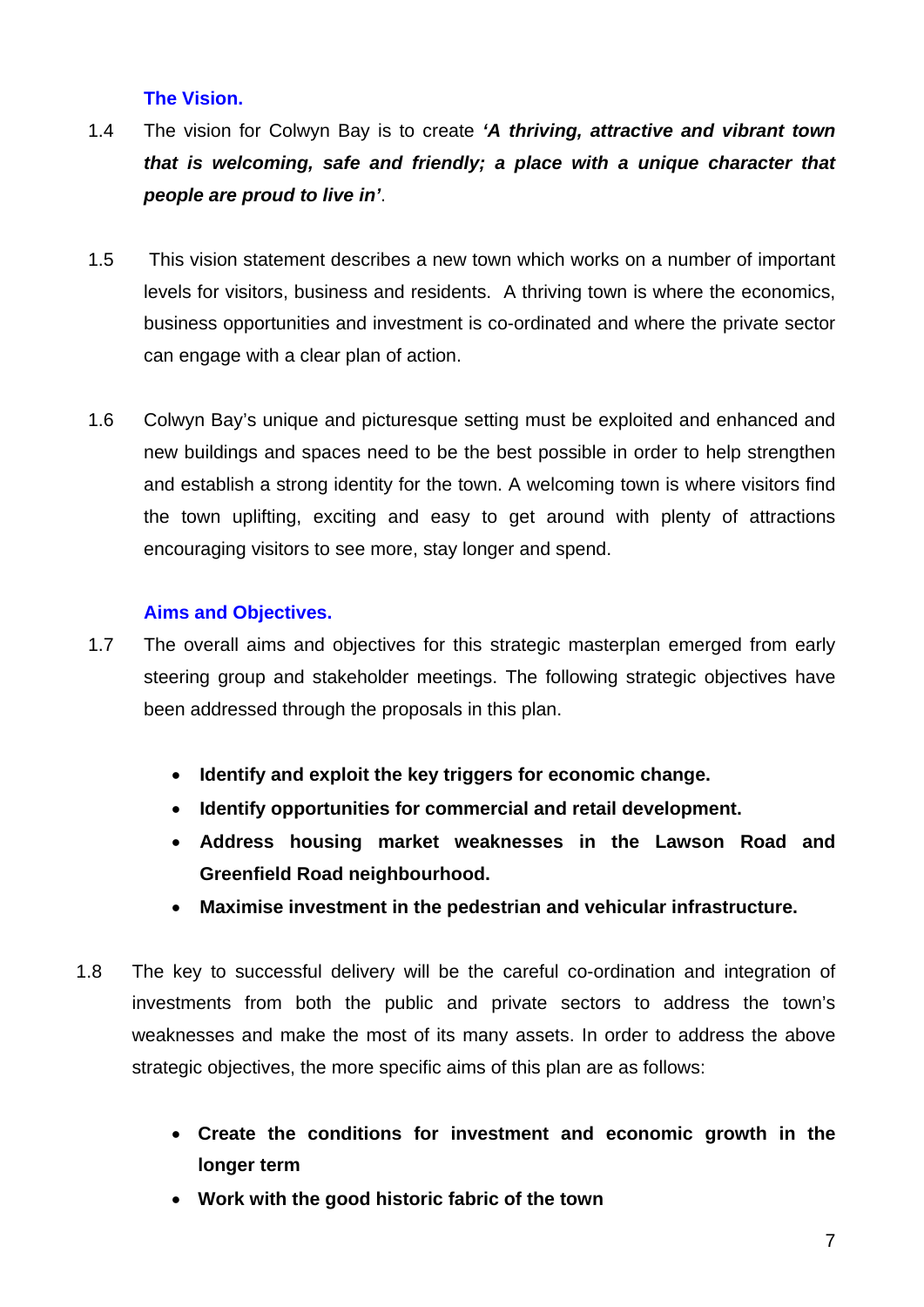## **The Vision.**

- 1.4 The vision for Colwyn Bay is to create *'A thriving, attractive and vibrant town that is welcoming, safe and friendly; a place with a unique character that people are proud to live in'*.
- 1.5 This vision statement describes a new town which works on a number of important levels for visitors, business and residents. A thriving town is where the economics, business opportunities and investment is co-ordinated and where the private sector can engage with a clear plan of action.
- 1.6 Colwyn Bay's unique and picturesque setting must be exploited and enhanced and new buildings and spaces need to be the best possible in order to help strengthen and establish a strong identity for the town. A welcoming town is where visitors find the town uplifting, exciting and easy to get around with plenty of attractions encouraging visitors to see more, stay longer and spend.

## **Aims and Objectives.**

- 1.7 The overall aims and objectives for this strategic masterplan emerged from early steering group and stakeholder meetings. The following strategic objectives have been addressed through the proposals in this plan.
	- **Identify and exploit the key triggers for economic change.**
	- **Identify opportunities for commercial and retail development.**
	- **Address housing market weaknesses in the Lawson Road and Greenfield Road neighbourhood.**
	- **Maximise investment in the pedestrian and vehicular infrastructure.**
- 1.8 The key to successful delivery will be the careful co-ordination and integration of investments from both the public and private sectors to address the town's weaknesses and make the most of its many assets. In order to address the above strategic objectives, the more specific aims of this plan are as follows:
	- **Create the conditions for investment and economic growth in the longer term**
	- **Work with the good historic fabric of the town**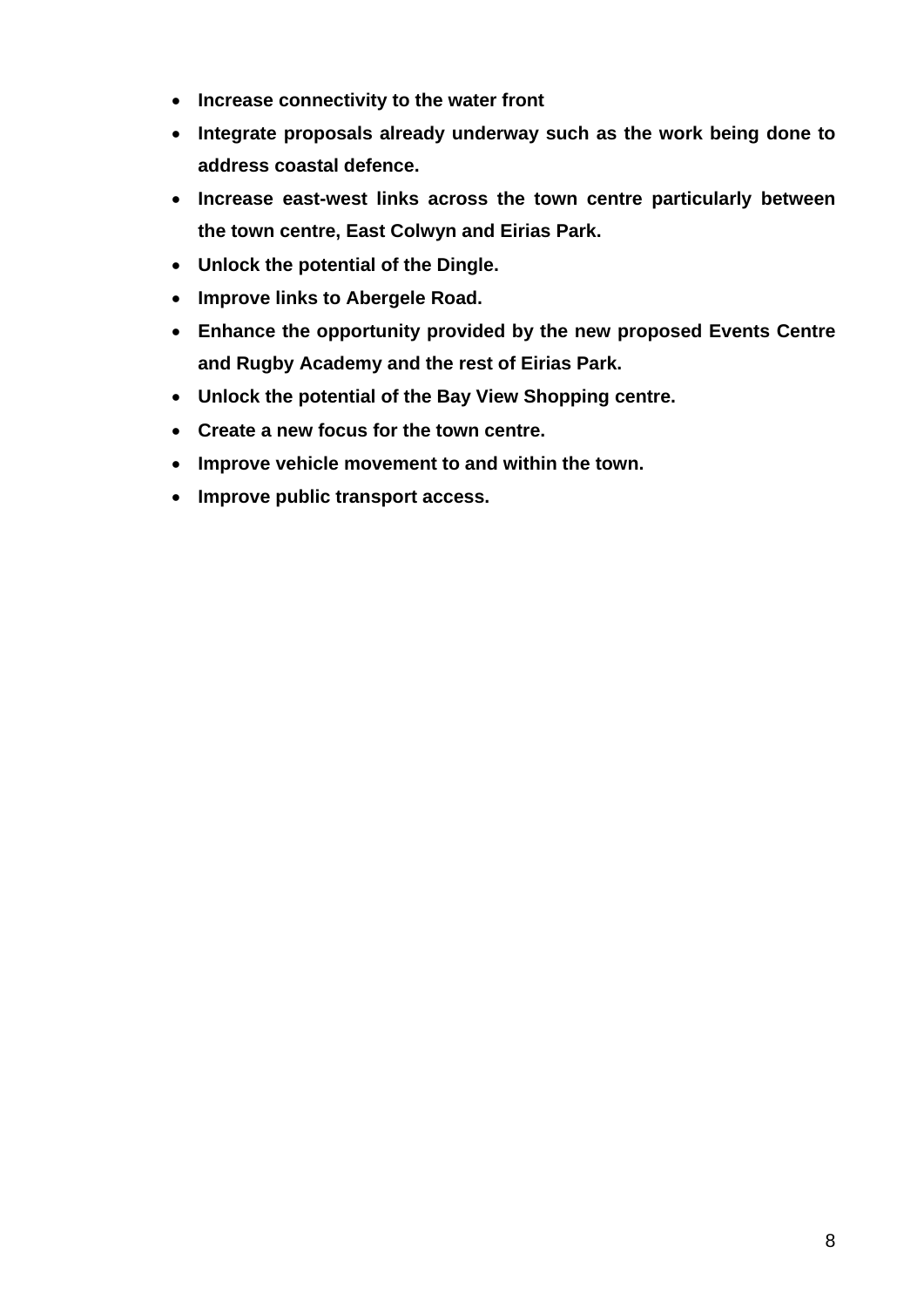- **Increase connectivity to the water front**
- **Integrate proposals already underway such as the work being done to address coastal defence.**
- **Increase east-west links across the town centre particularly between the town centre, East Colwyn and Eirias Park.**
- **Unlock the potential of the Dingle.**
- **Improve links to Abergele Road.**
- **Enhance the opportunity provided by the new proposed Events Centre and Rugby Academy and the rest of Eirias Park.**
- **Unlock the potential of the Bay View Shopping centre.**
- **Create a new focus for the town centre.**
- **Improve vehicle movement to and within the town.**
- **Improve public transport access.**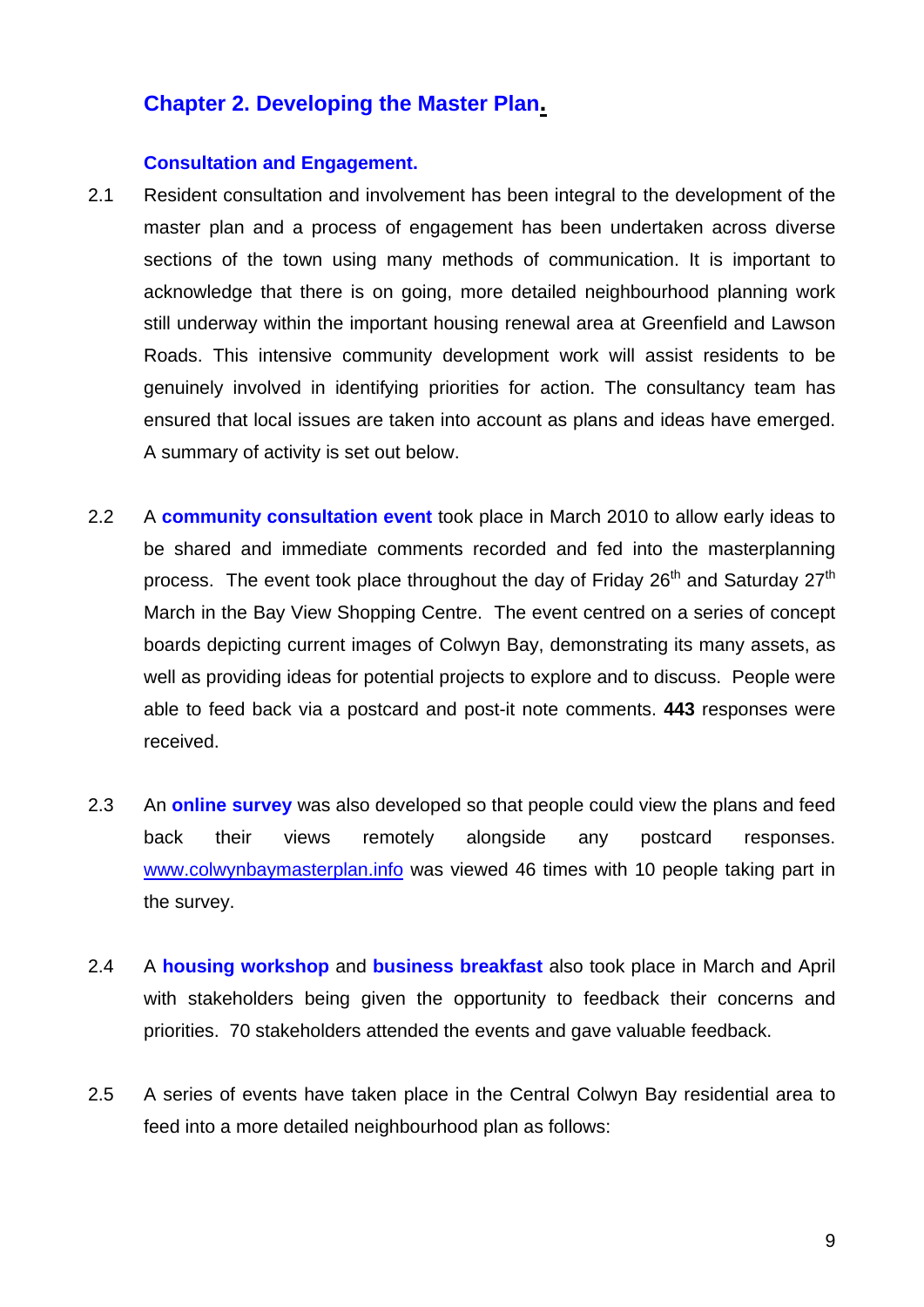## **Chapter 2. Developing the Master Plan.**

#### **Consultation and Engagement.**

- 2.1 Resident consultation and involvement has been integral to the development of the master plan and a process of engagement has been undertaken across diverse sections of the town using many methods of communication. It is important to acknowledge that there is on going, more detailed neighbourhood planning work still underway within the important housing renewal area at Greenfield and Lawson Roads. This intensive community development work will assist residents to be genuinely involved in identifying priorities for action. The consultancy team has ensured that local issues are taken into account as plans and ideas have emerged. A summary of activity is set out below.
- 2.2 A **community consultation event** took place in March 2010 to allow early ideas to be shared and immediate comments recorded and fed into the masterplanning process. The event took place throughout the day of Friday  $26<sup>th</sup>$  and Saturday  $27<sup>th</sup>$ March in the Bay View Shopping Centre. The event centred on a series of concept boards depicting current images of Colwyn Bay, demonstrating its many assets, as well as providing ideas for potential projects to explore and to discuss. People were able to feed back via a postcard and post-it note comments. **443** responses were received.
- 2.3 An **online survey** was also developed so that people could view the plans and feed back their views remotely alongside any postcard responses. [www.colwynbaymasterplan.info](http://www.colwynbaymasterplan.info/) was viewed 46 times with 10 people taking part in the survey.
- 2.4 A **housing workshop** and **business breakfast** also took place in March and April with stakeholders being given the opportunity to feedback their concerns and priorities. 70 stakeholders attended the events and gave valuable feedback.
- 2.5 A series of events have taken place in the Central Colwyn Bay residential area to feed into a more detailed neighbourhood plan as follows: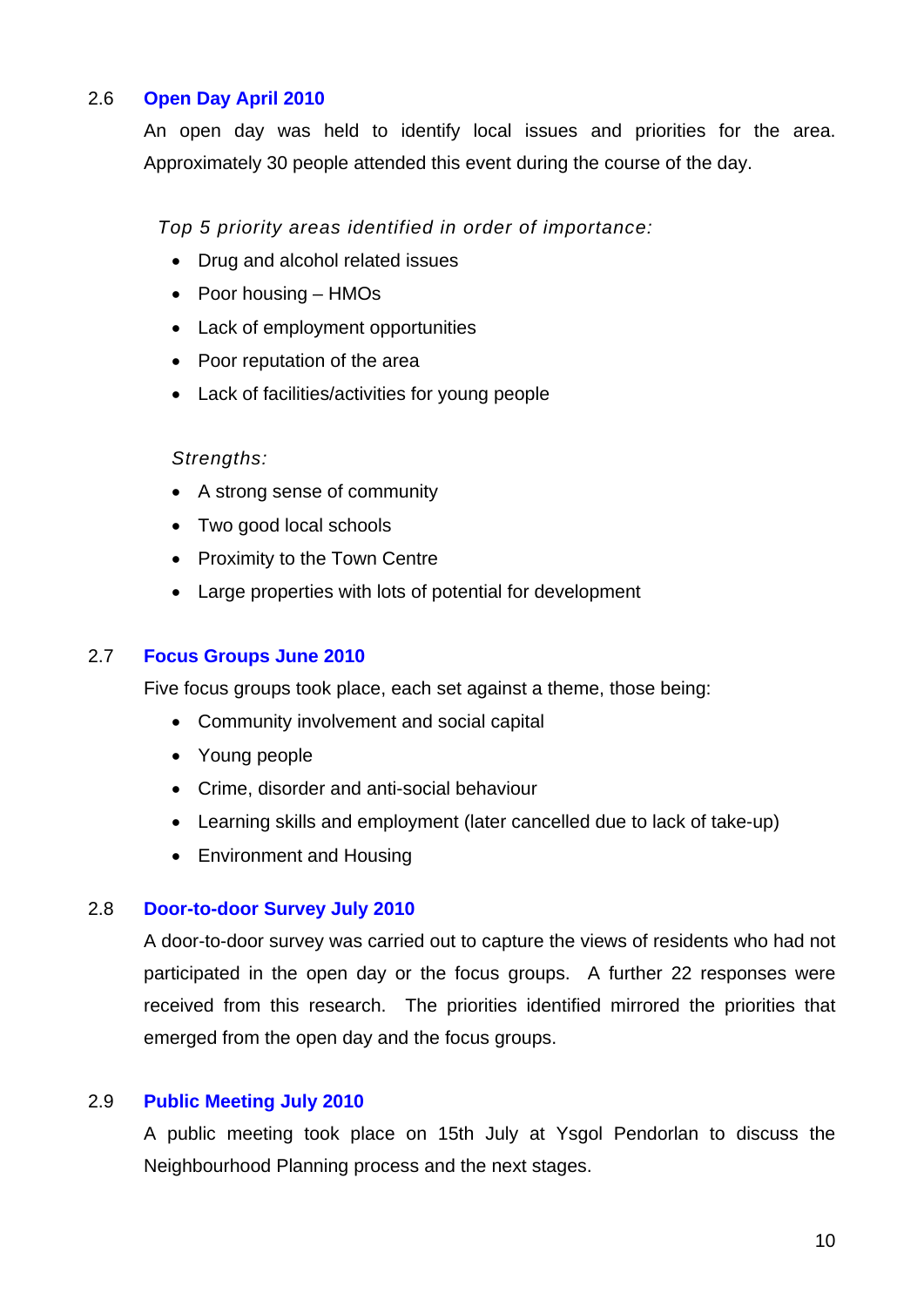## 2.6 **Open Day April 2010**

An open day was held to identify local issues and priorities for the area. Approximately 30 people attended this event during the course of the day.

*Top 5 priority areas identified in order of importance:* 

- Drug and alcohol related issues
- Poor housing HMOs
- Lack of employment opportunities
- Poor reputation of the area
- Lack of facilities/activities for young people

#### *Strengths:*

- A strong sense of community
- Two good local schools
- Proximity to the Town Centre
- Large properties with lots of potential for development

## 2.7 **Focus Groups June 2010**

Five focus groups took place, each set against a theme, those being:

- Community involvement and social capital
- Young people
- Crime, disorder and anti-social behaviour
- Learning skills and employment (later cancelled due to lack of take-up)
- Environment and Housing

#### 2.8 **Door-to-door Survey July 2010**

A door-to-door survey was carried out to capture the views of residents who had not participated in the open day or the focus groups. A further 22 responses were received from this research. The priorities identified mirrored the priorities that emerged from the open day and the focus groups.

#### 2.9 **Public Meeting July 2010**

A public meeting took place on 15th July at Ysgol Pendorlan to discuss the Neighbourhood Planning process and the next stages.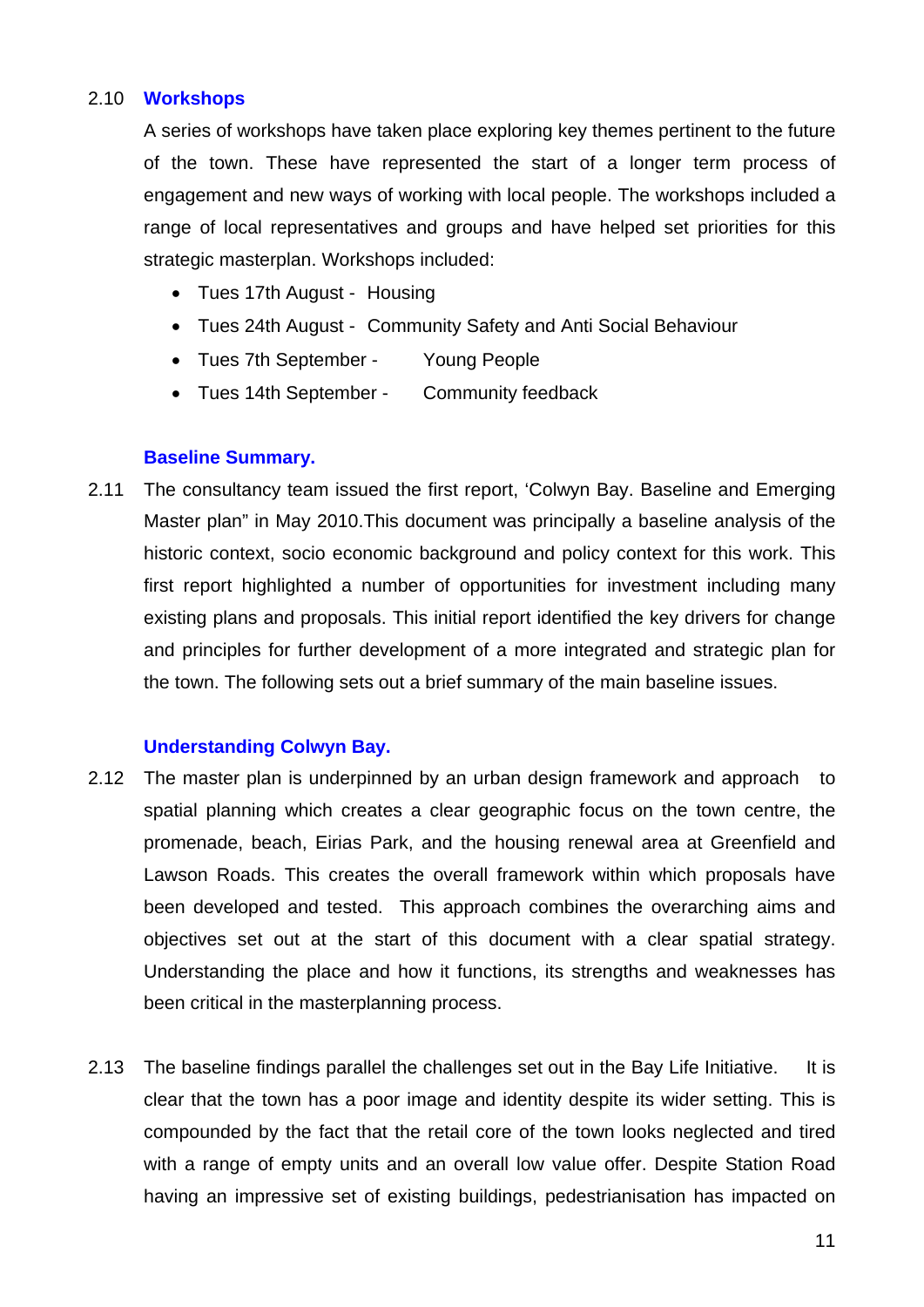## 2.10 **Workshops**

A series of workshops have taken place exploring key themes pertinent to the future of the town. These have represented the start of a longer term process of engagement and new ways of working with local people. The workshops included a range of local representatives and groups and have helped set priorities for this strategic masterplan. Workshops included:

- Tues 17th August Housing
- Tues 24th August Community Safety and Anti Social Behaviour
- Tues 7th September Young People
- Tues 14th September Community feedback

#### **Baseline Summary.**

2.11 The consultancy team issued the first report, 'Colwyn Bay. Baseline and Emerging Master plan" in May 2010.This document was principally a baseline analysis of the historic context, socio economic background and policy context for this work. This first report highlighted a number of opportunities for investment including many existing plans and proposals. This initial report identified the key drivers for change and principles for further development of a more integrated and strategic plan for the town. The following sets out a brief summary of the main baseline issues.

#### **Understanding Colwyn Bay.**

- 2.12 The master plan is underpinned by an urban design framework and approach to spatial planning which creates a clear geographic focus on the town centre, the promenade, beach, Eirias Park, and the housing renewal area at Greenfield and Lawson Roads. This creates the overall framework within which proposals have been developed and tested. This approach combines the overarching aims and objectives set out at the start of this document with a clear spatial strategy. Understanding the place and how it functions, its strengths and weaknesses has been critical in the masterplanning process.
- 2.13 The baseline findings parallel the challenges set out in the Bay Life Initiative. It is clear that the town has a poor image and identity despite its wider setting. This is compounded by the fact that the retail core of the town looks neglected and tired with a range of empty units and an overall low value offer. Despite Station Road having an impressive set of existing buildings, pedestrianisation has impacted on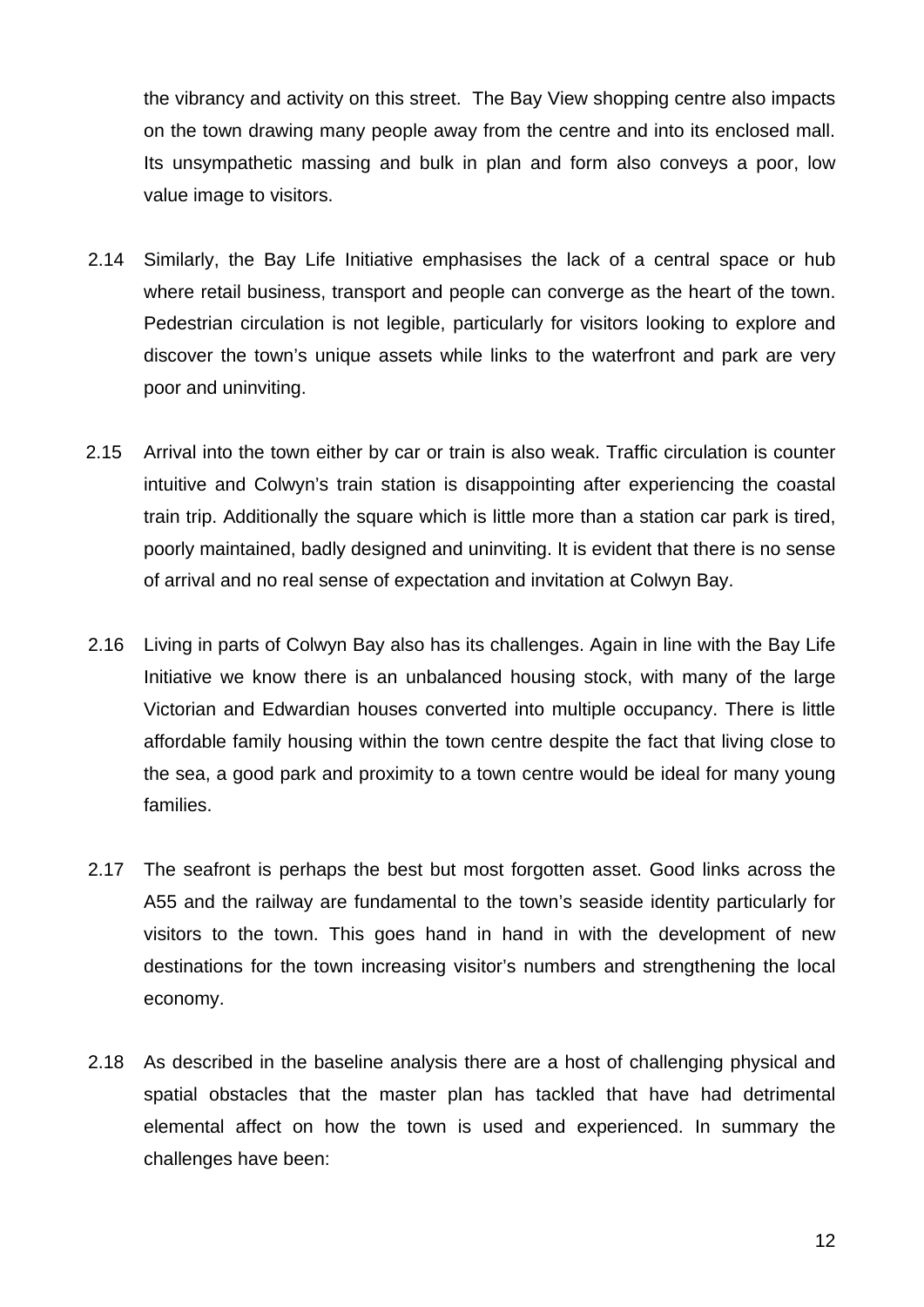the vibrancy and activity on this street. The Bay View shopping centre also impacts on the town drawing many people away from the centre and into its enclosed mall. Its unsympathetic massing and bulk in plan and form also conveys a poor, low value image to visitors.

- 2.14 Similarly, the Bay Life Initiative emphasises the lack of a central space or hub where retail business, transport and people can converge as the heart of the town. Pedestrian circulation is not legible, particularly for visitors looking to explore and discover the town's unique assets while links to the waterfront and park are very poor and uninviting.
- 2.15 Arrival into the town either by car or train is also weak. Traffic circulation is counter intuitive and Colwyn's train station is disappointing after experiencing the coastal train trip. Additionally the square which is little more than a station car park is tired, poorly maintained, badly designed and uninviting. It is evident that there is no sense of arrival and no real sense of expectation and invitation at Colwyn Bay.
- 2.16 Living in parts of Colwyn Bay also has its challenges. Again in line with the Bay Life Initiative we know there is an unbalanced housing stock, with many of the large Victorian and Edwardian houses converted into multiple occupancy. There is little affordable family housing within the town centre despite the fact that living close to the sea, a good park and proximity to a town centre would be ideal for many young families.
- 2.17 The seafront is perhaps the best but most forgotten asset. Good links across the A55 and the railway are fundamental to the town's seaside identity particularly for visitors to the town. This goes hand in hand in with the development of new destinations for the town increasing visitor's numbers and strengthening the local economy.
- 2.18 As described in the baseline analysis there are a host of challenging physical and spatial obstacles that the master plan has tackled that have had detrimental elemental affect on how the town is used and experienced. In summary the challenges have been: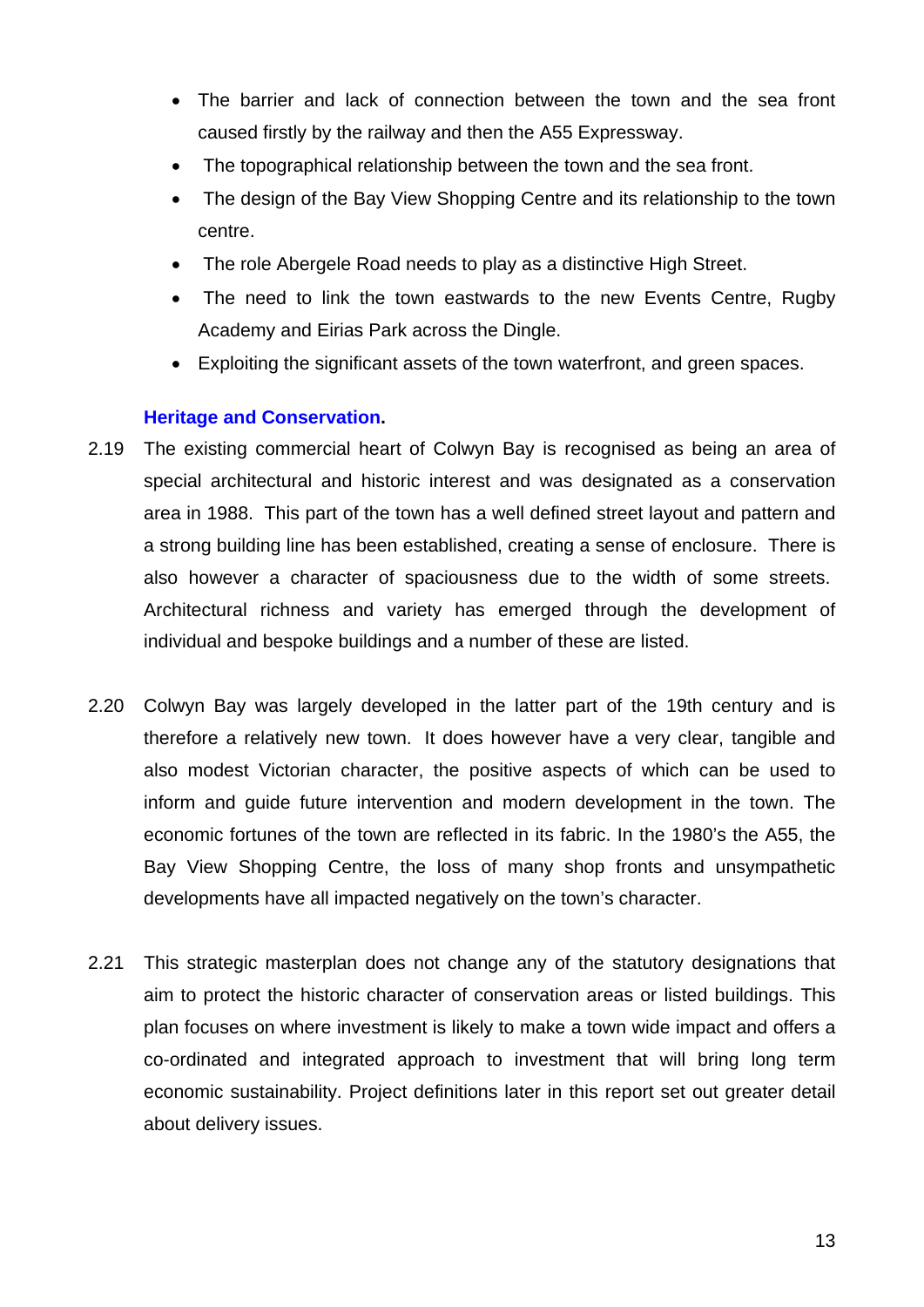- The barrier and lack of connection between the town and the sea front caused firstly by the railway and then the A55 Expressway.
- The topographical relationship between the town and the sea front.
- The design of the Bay View Shopping Centre and its relationship to the town centre.
- The role Abergele Road needs to play as a distinctive High Street.
- The need to link the town eastwards to the new Events Centre, Rugby Academy and Eirias Park across the Dingle.
- Exploiting the significant assets of the town waterfront, and green spaces.

#### **Heritage and Conservation.**

- 2.19 The existing commercial heart of Colwyn Bay is recognised as being an area of special architectural and historic interest and was designated as a conservation area in 1988. This part of the town has a well defined street layout and pattern and a strong building line has been established, creating a sense of enclosure. There is also however a character of spaciousness due to the width of some streets. Architectural richness and variety has emerged through the development of individual and bespoke buildings and a number of these are listed.
- 2.20 Colwyn Bay was largely developed in the latter part of the 19th century and is therefore a relatively new town. It does however have a very clear, tangible and also modest Victorian character, the positive aspects of which can be used to inform and guide future intervention and modern development in the town. The economic fortunes of the town are reflected in its fabric. In the 1980's the A55, the Bay View Shopping Centre, the loss of many shop fronts and unsympathetic developments have all impacted negatively on the town's character.
- 2.21 This strategic masterplan does not change any of the statutory designations that aim to protect the historic character of conservation areas or listed buildings. This plan focuses on where investment is likely to make a town wide impact and offers a co-ordinated and integrated approach to investment that will bring long term economic sustainability. Project definitions later in this report set out greater detail about delivery issues.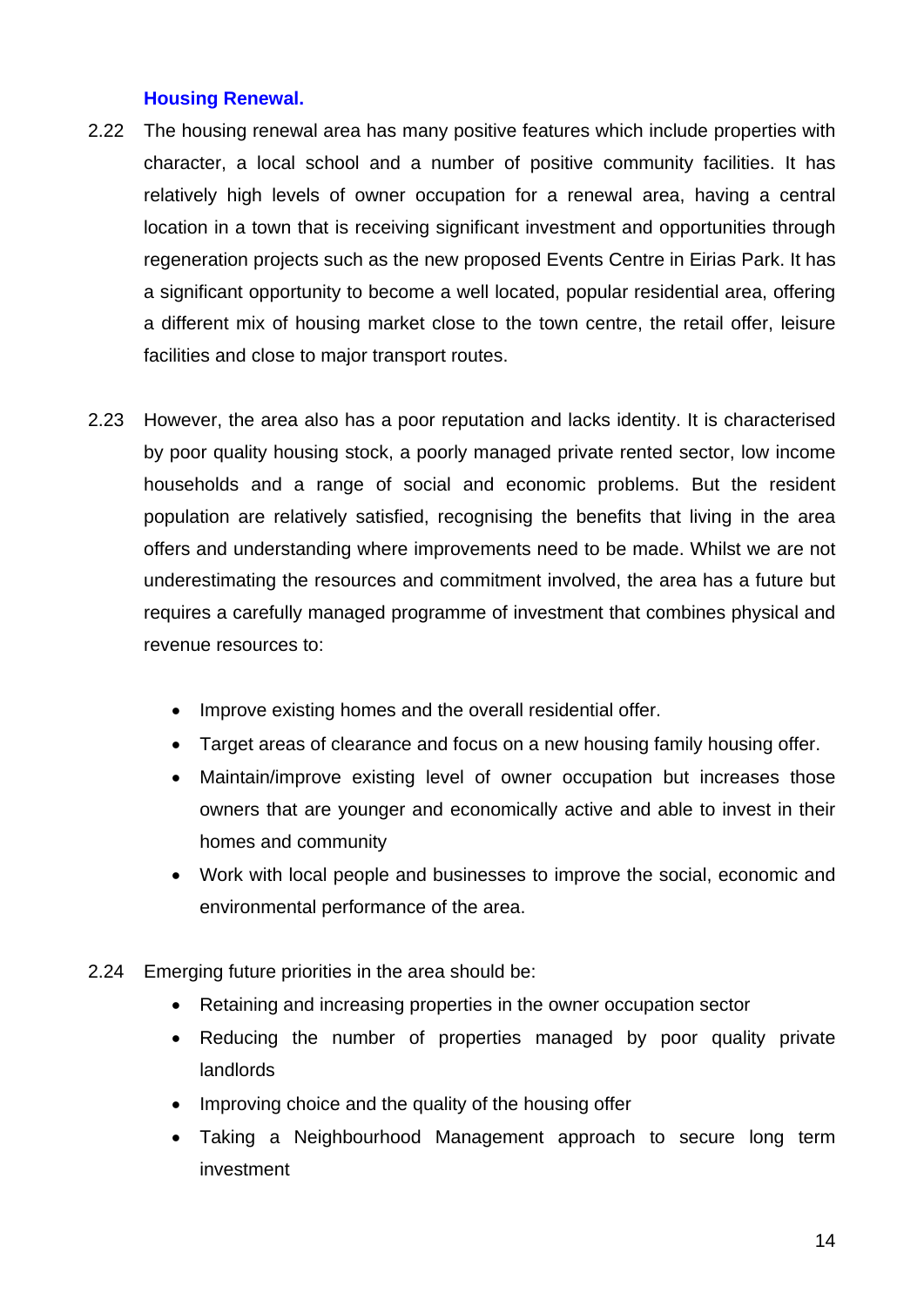## **Housing Renewal.**

- 2.22 The housing renewal area has many positive features which include properties with character, a local school and a number of positive community facilities. It has relatively high levels of owner occupation for a renewal area, having a central location in a town that is receiving significant investment and opportunities through regeneration projects such as the new proposed Events Centre in Eirias Park. It has a significant opportunity to become a well located, popular residential area, offering a different mix of housing market close to the town centre, the retail offer, leisure facilities and close to major transport routes.
- 2.23 However, the area also has a poor reputation and lacks identity. It is characterised by poor quality housing stock, a poorly managed private rented sector, low income households and a range of social and economic problems. But the resident population are relatively satisfied, recognising the benefits that living in the area offers and understanding where improvements need to be made. Whilst we are not underestimating the resources and commitment involved, the area has a future but requires a carefully managed programme of investment that combines physical and revenue resources to:
	- Improve existing homes and the overall residential offer.
	- Target areas of clearance and focus on a new housing family housing offer.
	- Maintain/improve existing level of owner occupation but increases those owners that are younger and economically active and able to invest in their homes and community
	- Work with local people and businesses to improve the social, economic and environmental performance of the area.
- 2.24 Emerging future priorities in the area should be:
	- Retaining and increasing properties in the owner occupation sector
	- Reducing the number of properties managed by poor quality private landlords
	- Improving choice and the quality of the housing offer
	- Taking a Neighbourhood Management approach to secure long term investment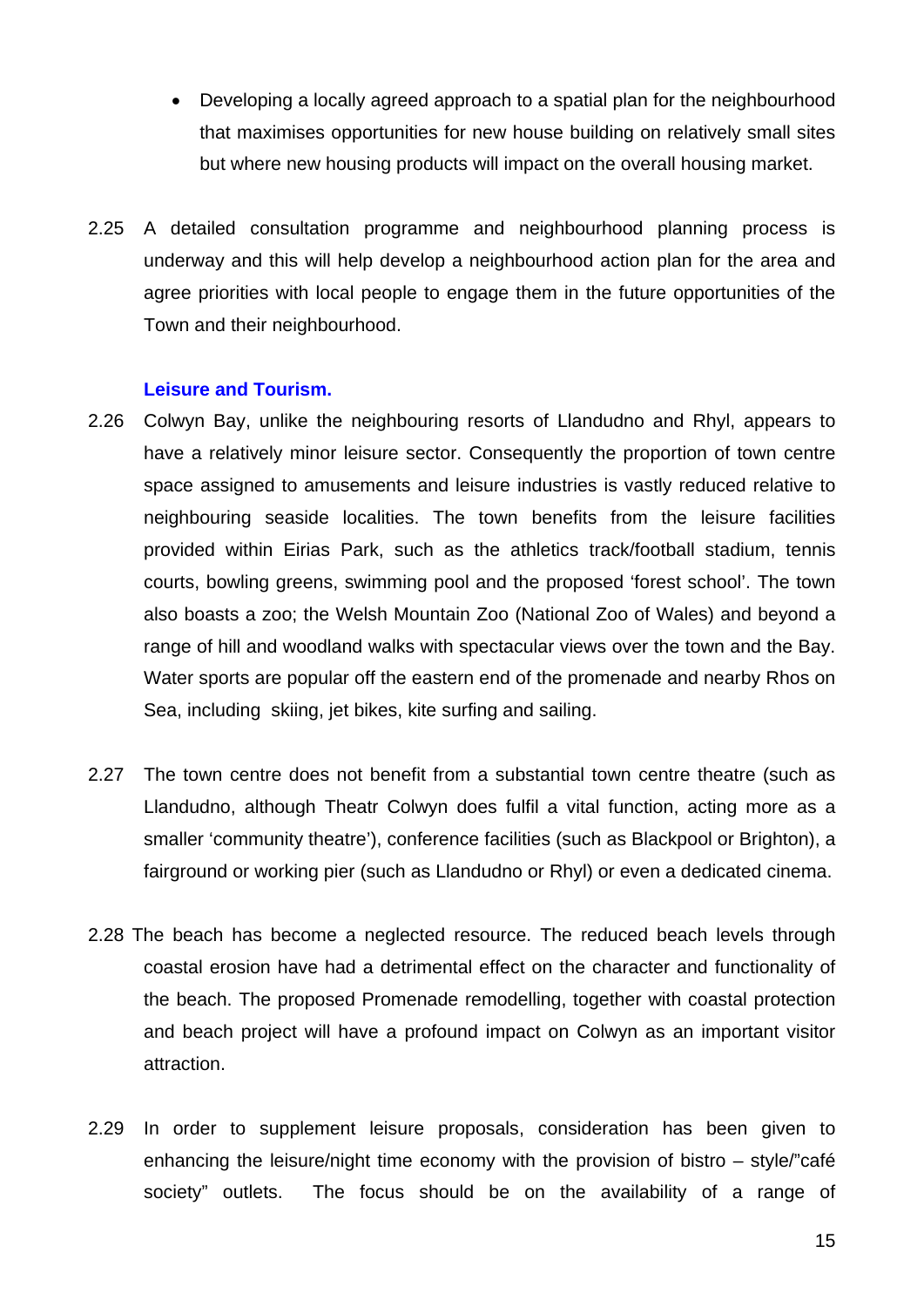- Developing a locally agreed approach to a spatial plan for the neighbourhood that maximises opportunities for new house building on relatively small sites but where new housing products will impact on the overall housing market.
- 2.25 A detailed consultation programme and neighbourhood planning process is underway and this will help develop a neighbourhood action plan for the area and agree priorities with local people to engage them in the future opportunities of the Town and their neighbourhood.

#### **Leisure and Tourism.**

- 2.26 Colwyn Bay, unlike the neighbouring resorts of Llandudno and Rhyl, appears to have a relatively minor leisure sector. Consequently the proportion of town centre space assigned to amusements and leisure industries is vastly reduced relative to neighbouring seaside localities. The town benefits from the leisure facilities provided within Eirias Park, such as the athletics track/football stadium, tennis courts, bowling greens, swimming pool and the proposed 'forest school'. The town also boasts a zoo; the Welsh Mountain Zoo (National Zoo of Wales) and beyond a range of hill and woodland walks with spectacular views over the town and the Bay. Water sports are popular off the eastern end of the promenade and nearby Rhos on Sea, including skiing, jet bikes, kite surfing and sailing.
- 2.27 The town centre does not benefit from a substantial town centre theatre (such as Llandudno, although Theatr Colwyn does fulfil a vital function, acting more as a smaller 'community theatre'), conference facilities (such as Blackpool or Brighton), a fairground or working pier (such as Llandudno or Rhyl) or even a dedicated cinema.
- 2.28 The beach has become a neglected resource. The reduced beach levels through coastal erosion have had a detrimental effect on the character and functionality of the beach. The proposed Promenade remodelling, together with coastal protection and beach project will have a profound impact on Colwyn as an important visitor attraction.
- 2.29 In order to supplement leisure proposals, consideration has been given to enhancing the leisure/night time economy with the provision of bistro – style/"café society" outlets. The focus should be on the availability of a range of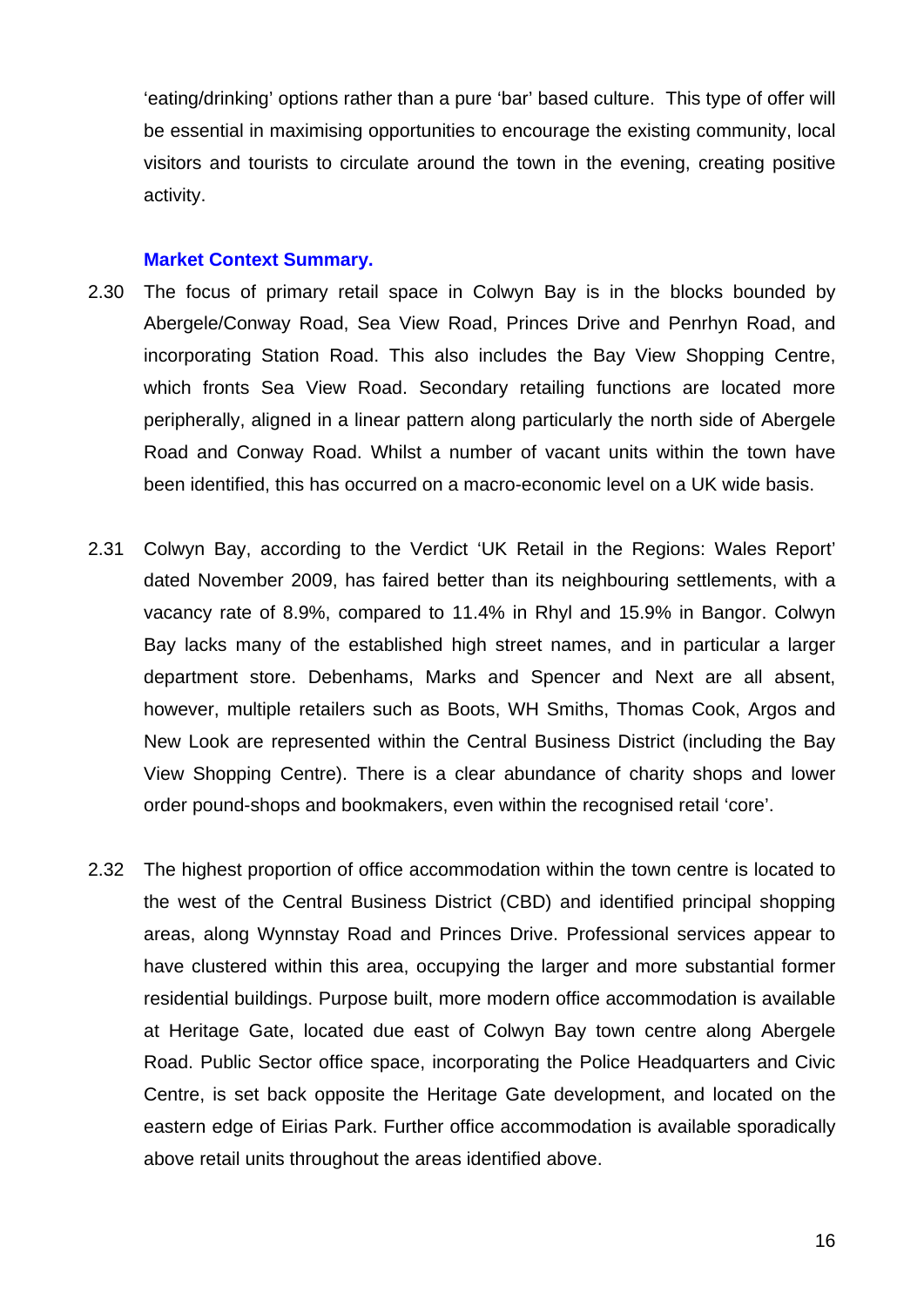'eating/drinking' options rather than a pure 'bar' based culture. This type of offer will be essential in maximising opportunities to encourage the existing community, local visitors and tourists to circulate around the town in the evening, creating positive activity.

#### **Market Context Summary.**

- 2.30 The focus of primary retail space in Colwyn Bay is in the blocks bounded by Abergele/Conway Road, Sea View Road, Princes Drive and Penrhyn Road, and incorporating Station Road. This also includes the Bay View Shopping Centre, which fronts Sea View Road. Secondary retailing functions are located more peripherally, aligned in a linear pattern along particularly the north side of Abergele Road and Conway Road. Whilst a number of vacant units within the town have been identified, this has occurred on a macro-economic level on a UK wide basis.
- 2.31 Colwyn Bay, according to the Verdict 'UK Retail in the Regions: Wales Report' dated November 2009, has faired better than its neighbouring settlements, with a vacancy rate of 8.9%, compared to 11.4% in Rhyl and 15.9% in Bangor. Colwyn Bay lacks many of the established high street names, and in particular a larger department store. Debenhams, Marks and Spencer and Next are all absent, however, multiple retailers such as Boots, WH Smiths, Thomas Cook, Argos and New Look are represented within the Central Business District (including the Bay View Shopping Centre). There is a clear abundance of charity shops and lower order pound-shops and bookmakers, even within the recognised retail 'core'.
- 2.32 The highest proportion of office accommodation within the town centre is located to the west of the Central Business District (CBD) and identified principal shopping areas, along Wynnstay Road and Princes Drive. Professional services appear to have clustered within this area, occupying the larger and more substantial former residential buildings. Purpose built, more modern office accommodation is available at Heritage Gate, located due east of Colwyn Bay town centre along Abergele Road. Public Sector office space, incorporating the Police Headquarters and Civic Centre, is set back opposite the Heritage Gate development, and located on the eastern edge of Eirias Park. Further office accommodation is available sporadically above retail units throughout the areas identified above.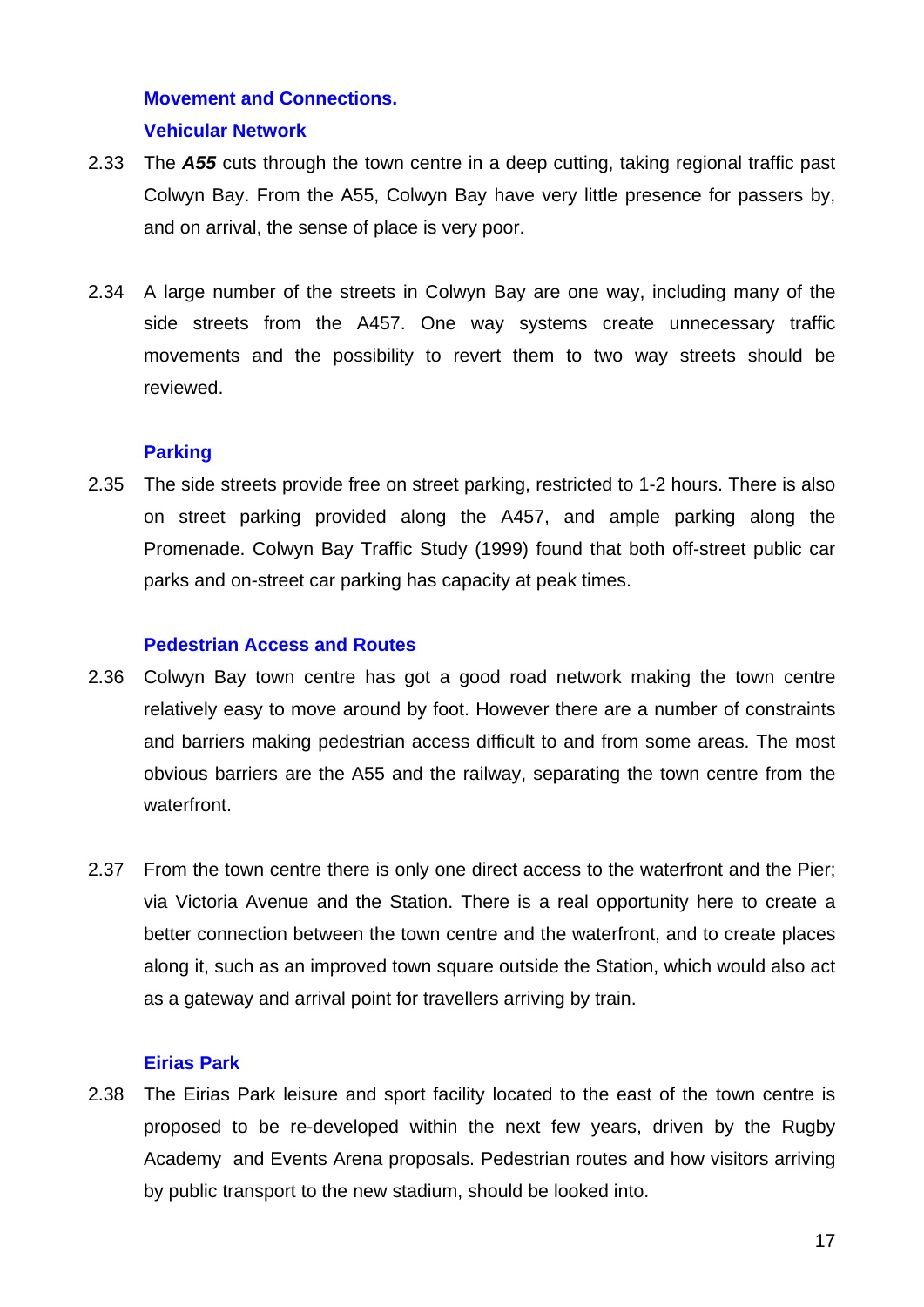# **Movement and Connections. Vehicular Network**

- 2.33 The *A55* cuts through the town centre in a deep cutting, taking regional traffic past Colwyn Bay. From the A55, Colwyn Bay have very little presence for passers by, and on arrival, the sense of place is very poor.
- 2.34 A large number of the streets in Colwyn Bay are one way, including many of the side streets from the A457. One way systems create unnecessary traffic movements and the possibility to revert them to two way streets should be reviewed.

## **Parking**

2.35 The side streets provide free on street parking, restricted to 1-2 hours. There is also on street parking provided along the A457, and ample parking along the Promenade. Colwyn Bay Traffic Study (1999) found that both off-street public car parks and on-street car parking has capacity at peak times.

## **Pedestrian Access and Routes**

- 2.36 Colwyn Bay town centre has got a good road network making the town centre relatively easy to move around by foot. However there are a number of constraints and barriers making pedestrian access difficult to and from some areas. The most obvious barriers are the A55 and the railway, separating the town centre from the waterfront.
- 2.37 From the town centre there is only one direct access to the waterfront and the Pier; via Victoria Avenue and the Station. There is a real opportunity here to create a better connection between the town centre and the waterfront, and to create places along it, such as an improved town square outside the Station, which would also act as a gateway and arrival point for travellers arriving by train.

#### **Eirias Park**

2.38 The Eirias Park leisure and sport facility located to the east of the town centre is proposed to be re-developed within the next few years, driven by the Rugby Academy and Events Arena proposals. Pedestrian routes and how visitors arriving by public transport to the new stadium, should be looked into.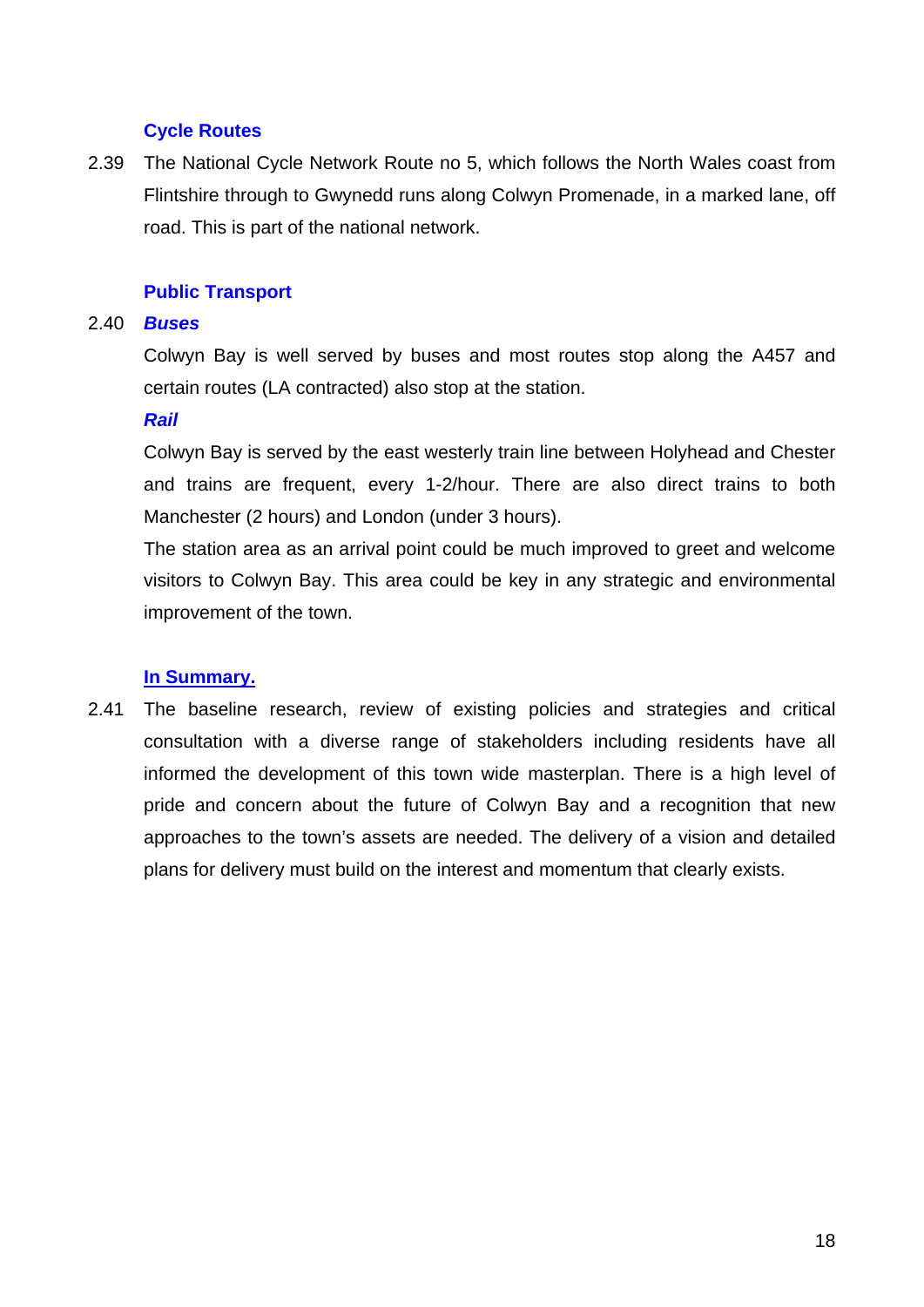## **Cycle Routes**

2.39 The National Cycle Network Route no 5, which follows the North Wales coast from Flintshire through to Gwynedd runs along Colwyn Promenade, in a marked lane, off road. This is part of the national network.

## **Public Transport**

#### 2.40 *Buses*

Colwyn Bay is well served by buses and most routes stop along the A457 and certain routes (LA contracted) also stop at the station.

#### *Rail*

Colwyn Bay is served by the east westerly train line between Holyhead and Chester and trains are frequent, every 1-2/hour. There are also direct trains to both Manchester (2 hours) and London (under 3 hours).

The station area as an arrival point could be much improved to greet and welcome visitors to Colwyn Bay. This area could be key in any strategic and environmental improvement of the town.

#### **In Summary.**

2.41 The baseline research, review of existing policies and strategies and critical consultation with a diverse range of stakeholders including residents have all informed the development of this town wide masterplan. There is a high level of pride and concern about the future of Colwyn Bay and a recognition that new approaches to the town's assets are needed. The delivery of a vision and detailed plans for delivery must build on the interest and momentum that clearly exists.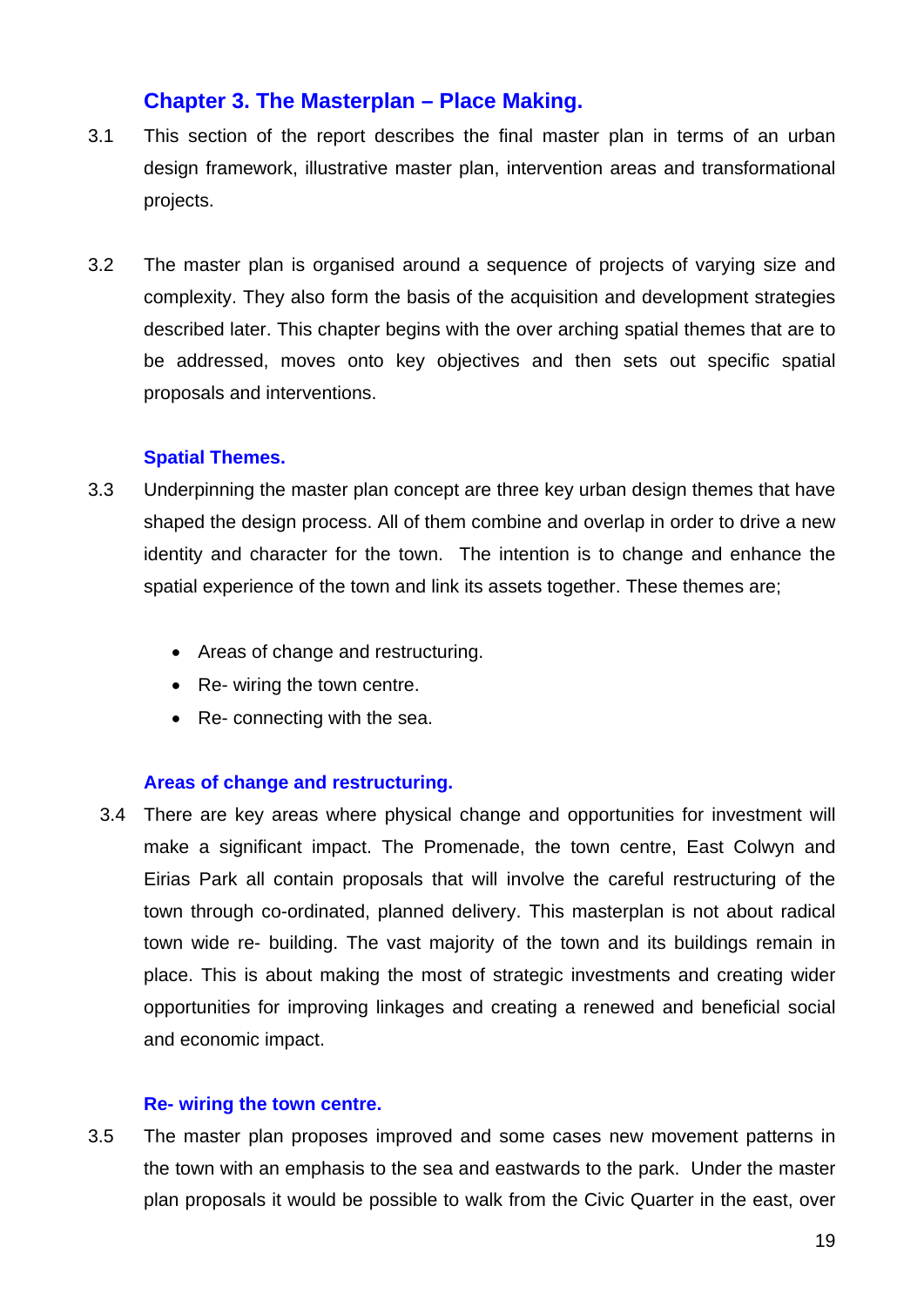## **Chapter 3. The Masterplan – Place Making.**

- 3.1 This section of the report describes the final master plan in terms of an urban design framework, illustrative master plan, intervention areas and transformational projects.
- 3.2 The master plan is organised around a sequence of projects of varying size and complexity. They also form the basis of the acquisition and development strategies described later. This chapter begins with the over arching spatial themes that are to be addressed, moves onto key objectives and then sets out specific spatial proposals and interventions.

#### **Spatial Themes.**

- 3.3 Underpinning the master plan concept are three key urban design themes that have shaped the design process. All of them combine and overlap in order to drive a new identity and character for the town. The intention is to change and enhance the spatial experience of the town and link its assets together. These themes are;
	- Areas of change and restructuring.
	- Re- wiring the town centre.
	- Re- connecting with the sea.

#### **Areas of change and restructuring.**

3.4 There are key areas where physical change and opportunities for investment will make a significant impact. The Promenade, the town centre, East Colwyn and Eirias Park all contain proposals that will involve the careful restructuring of the town through co-ordinated, planned delivery. This masterplan is not about radical town wide re- building. The vast majority of the town and its buildings remain in place. This is about making the most of strategic investments and creating wider opportunities for improving linkages and creating a renewed and beneficial social and economic impact.

#### **Re- wiring the town centre.**

3.5 The master plan proposes improved and some cases new movement patterns in the town with an emphasis to the sea and eastwards to the park. Under the master plan proposals it would be possible to walk from the Civic Quarter in the east, over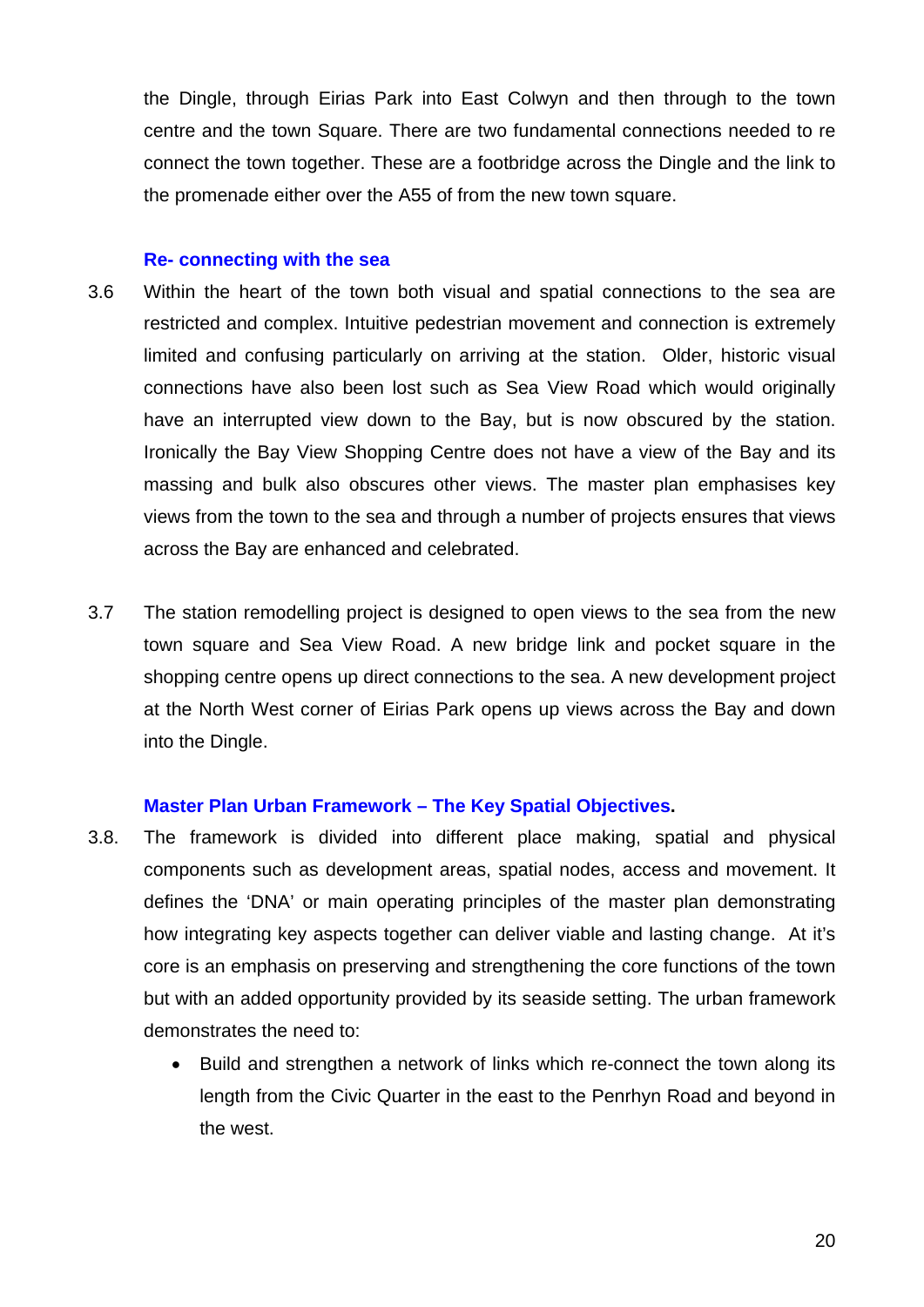the Dingle, through Eirias Park into East Colwyn and then through to the town centre and the town Square. There are two fundamental connections needed to re connect the town together. These are a footbridge across the Dingle and the link to the promenade either over the A55 of from the new town square.

#### **Re- connecting with the sea**

- 3.6 Within the heart of the town both visual and spatial connections to the sea are restricted and complex. Intuitive pedestrian movement and connection is extremely limited and confusing particularly on arriving at the station. Older, historic visual connections have also been lost such as Sea View Road which would originally have an interrupted view down to the Bay, but is now obscured by the station. Ironically the Bay View Shopping Centre does not have a view of the Bay and its massing and bulk also obscures other views. The master plan emphasises key views from the town to the sea and through a number of projects ensures that views across the Bay are enhanced and celebrated.
- 3.7 The station remodelling project is designed to open views to the sea from the new town square and Sea View Road. A new bridge link and pocket square in the shopping centre opens up direct connections to the sea. A new development project at the North West corner of Eirias Park opens up views across the Bay and down into the Dingle.

## **Master Plan Urban Framework – The Key Spatial Objectives.**

- 3.8. The framework is divided into different place making, spatial and physical components such as development areas, spatial nodes, access and movement. It defines the 'DNA' or main operating principles of the master plan demonstrating how integrating key aspects together can deliver viable and lasting change. At it's core is an emphasis on preserving and strengthening the core functions of the town but with an added opportunity provided by its seaside setting. The urban framework demonstrates the need to:
	- Build and strengthen a network of links which re-connect the town along its length from the Civic Quarter in the east to the Penrhyn Road and beyond in the west.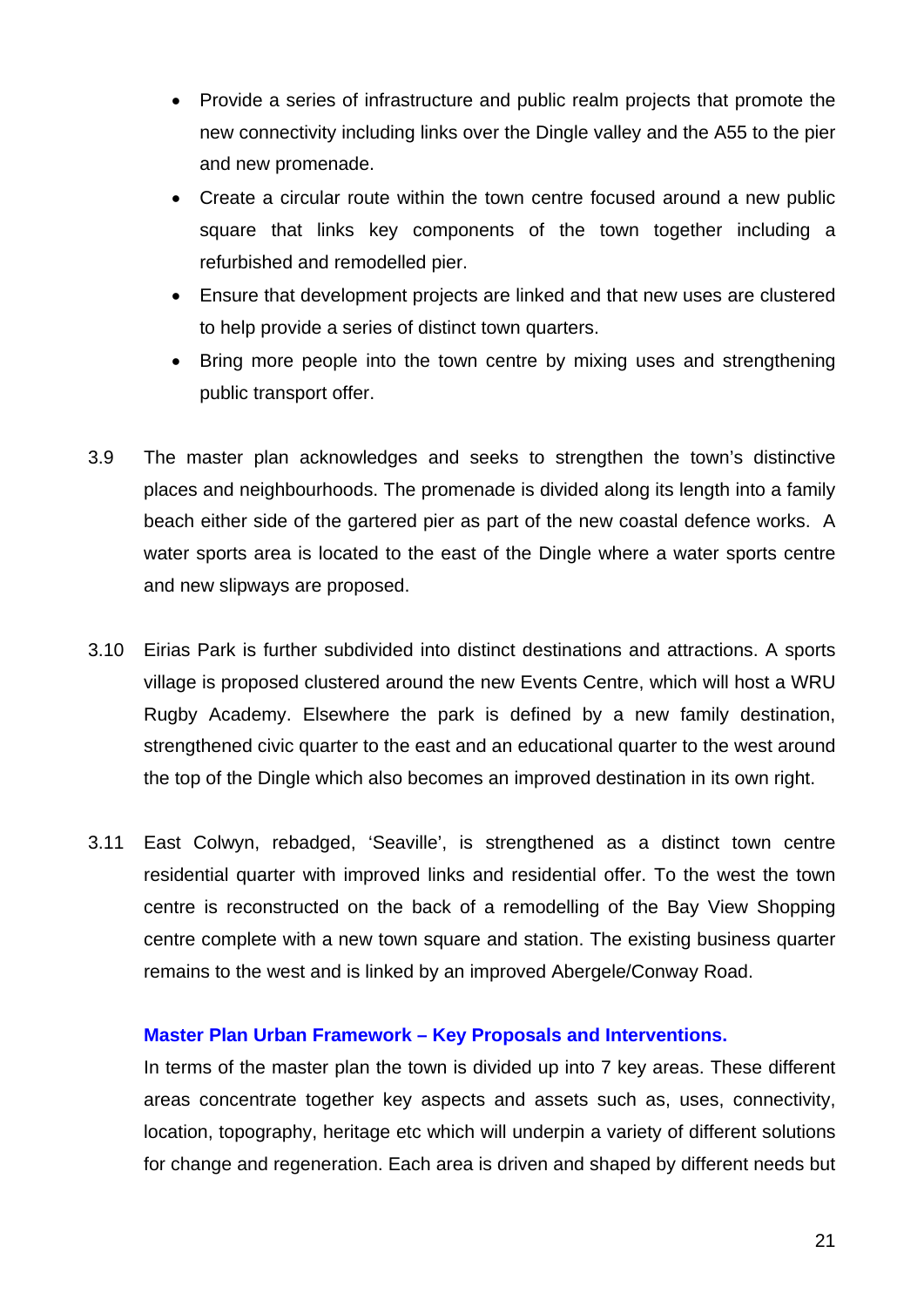- Provide a series of infrastructure and public realm projects that promote the new connectivity including links over the Dingle valley and the A55 to the pier and new promenade.
- Create a circular route within the town centre focused around a new public square that links key components of the town together including a refurbished and remodelled pier.
- Ensure that development projects are linked and that new uses are clustered to help provide a series of distinct town quarters.
- Bring more people into the town centre by mixing uses and strengthening public transport offer.
- 3.9 The master plan acknowledges and seeks to strengthen the town's distinctive places and neighbourhoods. The promenade is divided along its length into a family beach either side of the gartered pier as part of the new coastal defence works. A water sports area is located to the east of the Dingle where a water sports centre and new slipways are proposed.
- 3.10 Eirias Park is further subdivided into distinct destinations and attractions. A sports village is proposed clustered around the new Events Centre, which will host a WRU Rugby Academy. Elsewhere the park is defined by a new family destination, strengthened civic quarter to the east and an educational quarter to the west around the top of the Dingle which also becomes an improved destination in its own right.
- 3.11 East Colwyn, rebadged, 'Seaville', is strengthened as a distinct town centre residential quarter with improved links and residential offer. To the west the town centre is reconstructed on the back of a remodelling of the Bay View Shopping centre complete with a new town square and station. The existing business quarter remains to the west and is linked by an improved Abergele/Conway Road.

#### **Master Plan Urban Framework – Key Proposals and Interventions.**

In terms of the master plan the town is divided up into 7 key areas. These different areas concentrate together key aspects and assets such as, uses, connectivity, location, topography, heritage etc which will underpin a variety of different solutions for change and regeneration. Each area is driven and shaped by different needs but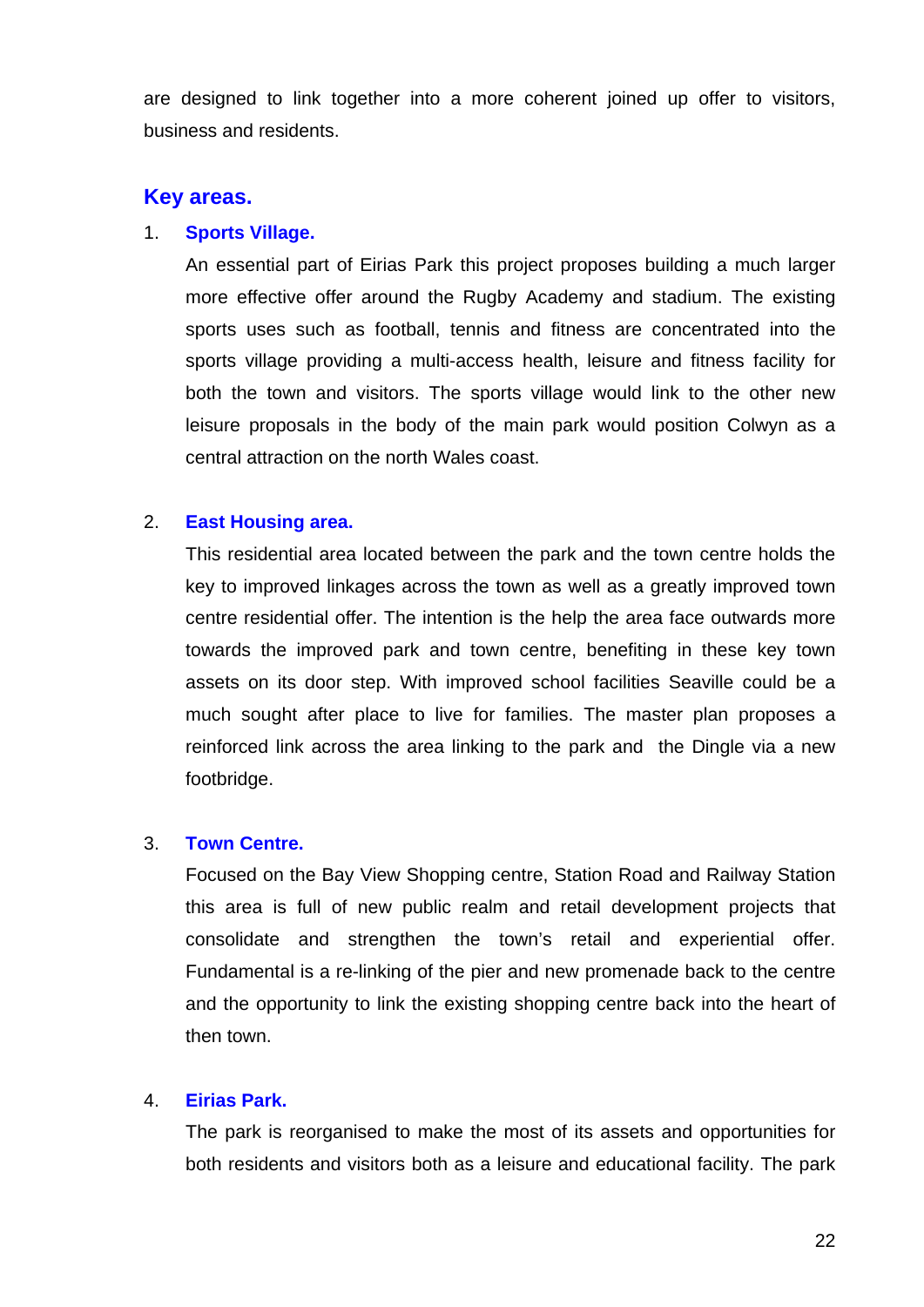are designed to link together into a more coherent joined up offer to visitors, business and residents.

## **Key areas.**

## 1. **Sports Village.**

 An essential part of Eirias Park this project proposes building a much larger more effective offer around the Rugby Academy and stadium. The existing sports uses such as football, tennis and fitness are concentrated into the sports village providing a multi-access health, leisure and fitness facility for both the town and visitors. The sports village would link to the other new leisure proposals in the body of the main park would position Colwyn as a central attraction on the north Wales coast.

## 2. **East Housing area.**

 This residential area located between the park and the town centre holds the key to improved linkages across the town as well as a greatly improved town centre residential offer. The intention is the help the area face outwards more towards the improved park and town centre, benefiting in these key town assets on its door step. With improved school facilities Seaville could be a much sought after place to live for families. The master plan proposes a reinforced link across the area linking to the park and the Dingle via a new footbridge.

#### 3. **Town Centre.**

 Focused on the Bay View Shopping centre, Station Road and Railway Station this area is full of new public realm and retail development projects that consolidate and strengthen the town's retail and experiential offer. Fundamental is a re-linking of the pier and new promenade back to the centre and the opportunity to link the existing shopping centre back into the heart of then town.

#### 4. **Eirias Park.**

 The park is reorganised to make the most of its assets and opportunities for both residents and visitors both as a leisure and educational facility. The park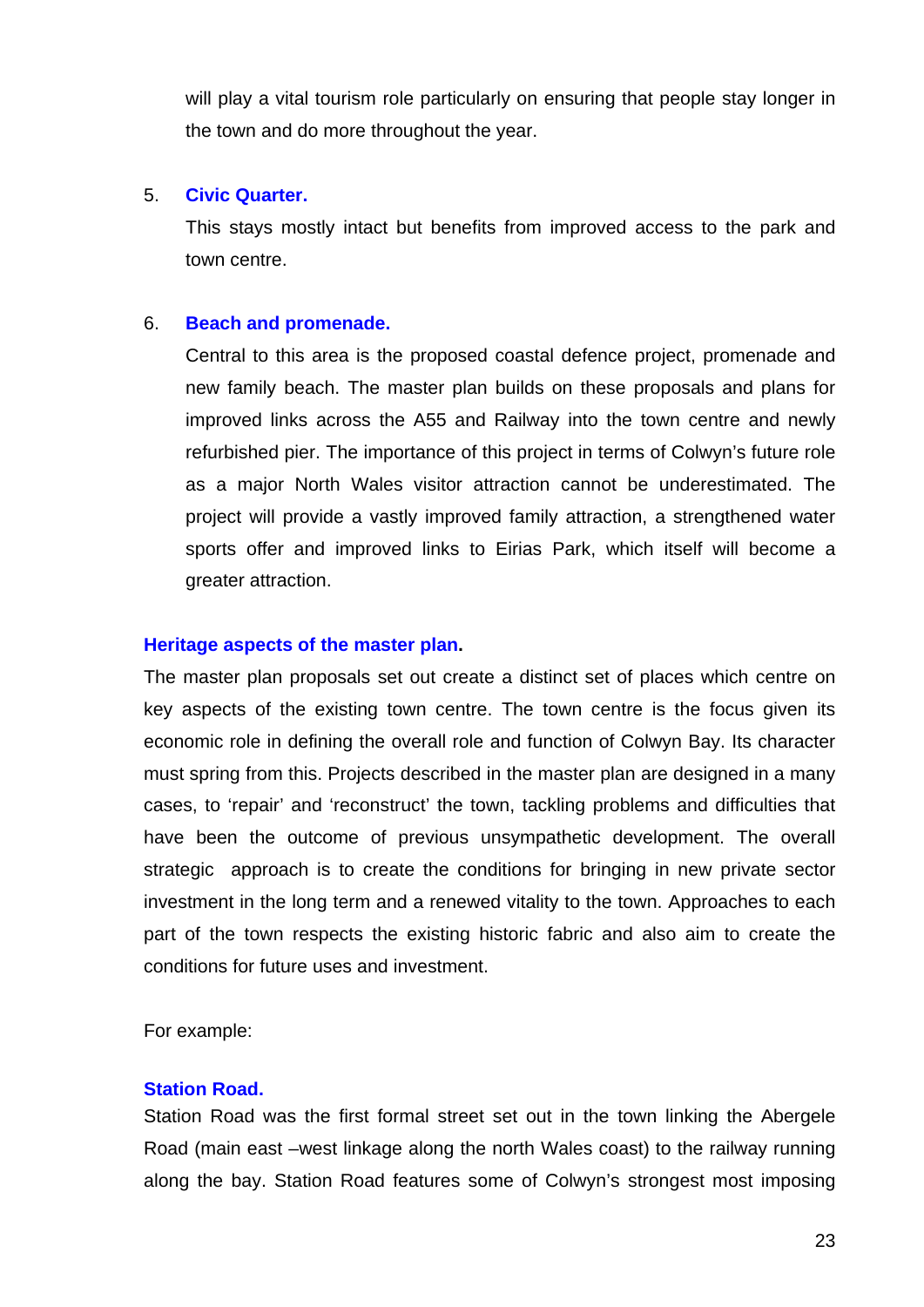will play a vital tourism role particularly on ensuring that people stay longer in the town and do more throughout the year.

## 5. **Civic Quarter.**

 This stays mostly intact but benefits from improved access to the park and town centre.

## 6. **Beach and promenade.**

 Central to this area is the proposed coastal defence project, promenade and new family beach. The master plan builds on these proposals and plans for improved links across the A55 and Railway into the town centre and newly refurbished pier. The importance of this project in terms of Colwyn's future role as a major North Wales visitor attraction cannot be underestimated. The project will provide a vastly improved family attraction, a strengthened water sports offer and improved links to Eirias Park, which itself will become a greater attraction.

## **Heritage aspects of the master plan.**

 The master plan proposals set out create a distinct set of places which centre on key aspects of the existing town centre. The town centre is the focus given its economic role in defining the overall role and function of Colwyn Bay. Its character must spring from this. Projects described in the master plan are designed in a many cases, to 'repair' and 'reconstruct' the town, tackling problems and difficulties that have been the outcome of previous unsympathetic development. The overall strategic approach is to create the conditions for bringing in new private sector investment in the long term and a renewed vitality to the town. Approaches to each part of the town respects the existing historic fabric and also aim to create the conditions for future uses and investment.

For example:

#### **Station Road.**

 Station Road was the first formal street set out in the town linking the Abergele Road (main east –west linkage along the north Wales coast) to the railway running along the bay. Station Road features some of Colwyn's strongest most imposing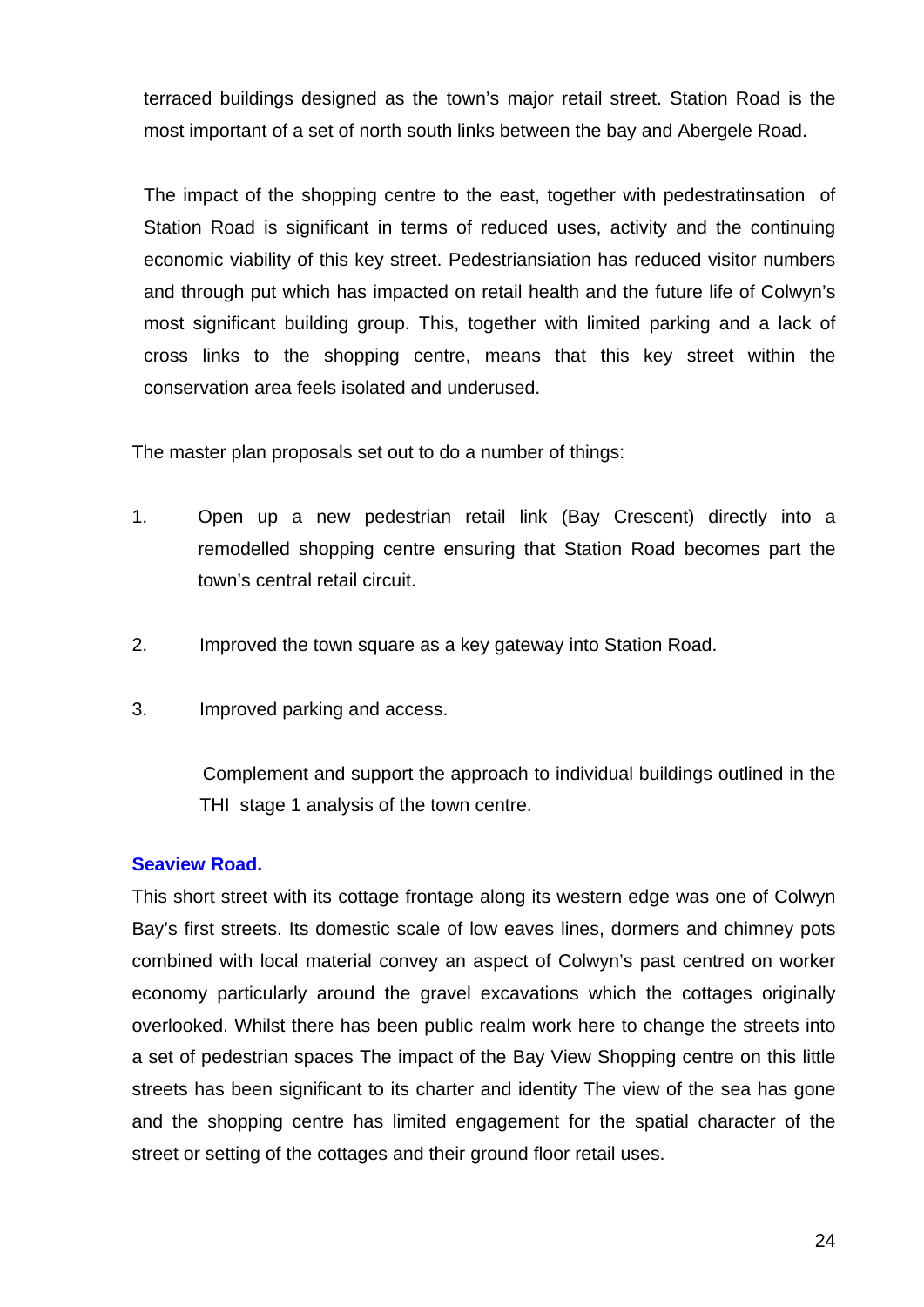terraced buildings designed as the town's major retail street. Station Road is the most important of a set of north south links between the bay and Abergele Road.

 The impact of the shopping centre to the east, together with pedestratinsation of Station Road is significant in terms of reduced uses, activity and the continuing economic viability of this key street. Pedestriansiation has reduced visitor numbers and through put which has impacted on retail health and the future life of Colwyn's most significant building group. This, together with limited parking and a lack of cross links to the shopping centre, means that this key street within the conservation area feels isolated and underused.

The master plan proposals set out to do a number of things:

- 1. Open up a new pedestrian retail link (Bay Crescent) directly into a remodelled shopping centre ensuring that Station Road becomes part the town's central retail circuit.
- 2. Improved the town square as a key gateway into Station Road.
- 3. Improved parking and access.

 Complement and support the approach to individual buildings outlined in the THI stage 1 analysis of the town centre.

#### **Seaview Road.**

This short street with its cottage frontage along its western edge was one of Colwyn Bay's first streets. Its domestic scale of low eaves lines, dormers and chimney pots combined with local material convey an aspect of Colwyn's past centred on worker economy particularly around the gravel excavations which the cottages originally overlooked. Whilst there has been public realm work here to change the streets into a set of pedestrian spaces The impact of the Bay View Shopping centre on this little streets has been significant to its charter and identity The view of the sea has gone and the shopping centre has limited engagement for the spatial character of the street or setting of the cottages and their ground floor retail uses.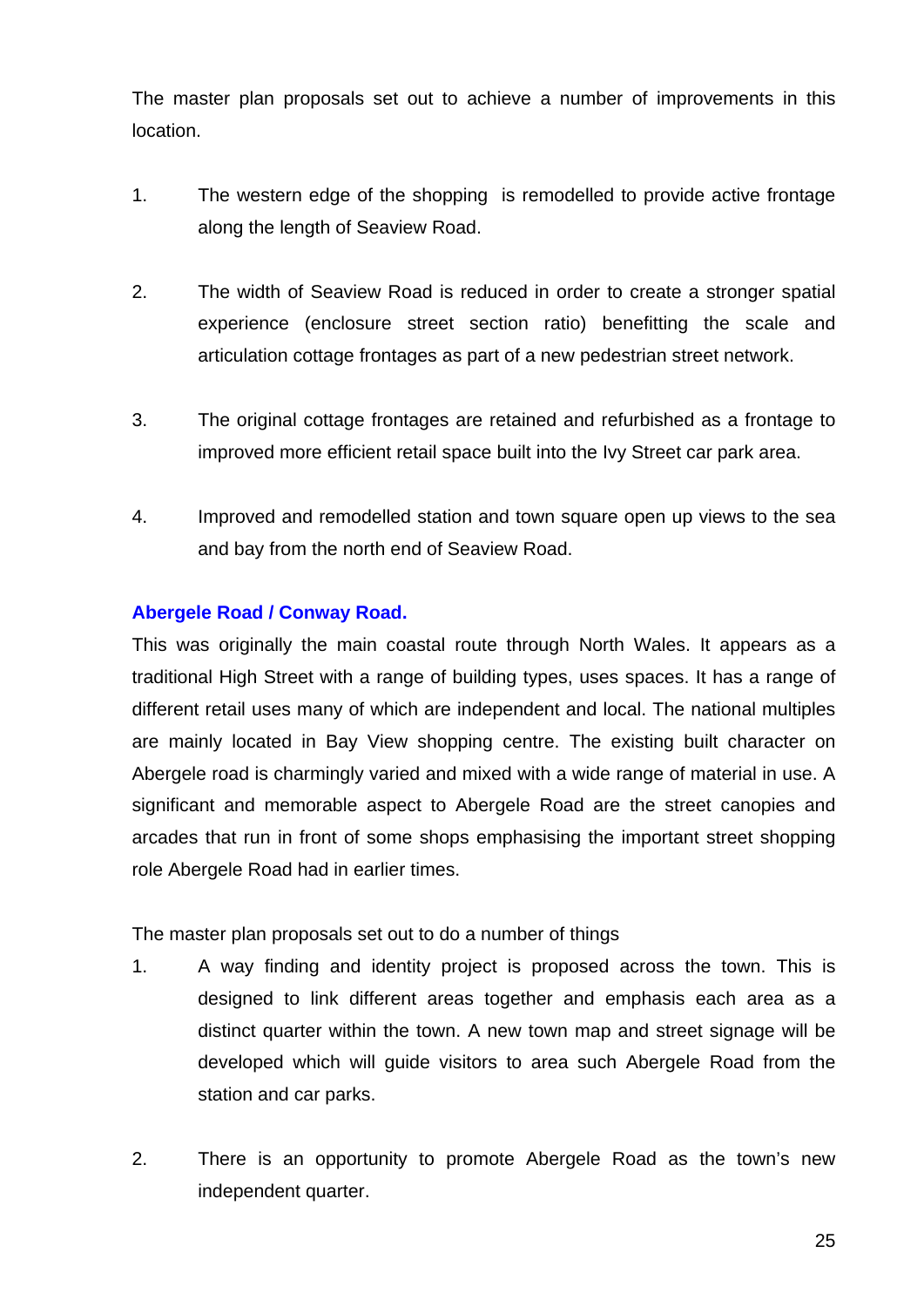The master plan proposals set out to achieve a number of improvements in this location.

- 1. The western edge of the shopping is remodelled to provide active frontage along the length of Seaview Road.
- 2. The width of Seaview Road is reduced in order to create a stronger spatial experience (enclosure street section ratio) benefitting the scale and articulation cottage frontages as part of a new pedestrian street network.
- 3. The original cottage frontages are retained and refurbished as a frontage to improved more efficient retail space built into the Ivy Street car park area.
- 4. Improved and remodelled station and town square open up views to the sea and bay from the north end of Seaview Road.

## **Abergele Road / Conway Road.**

This was originally the main coastal route through North Wales. It appears as a traditional High Street with a range of building types, uses spaces. It has a range of different retail uses many of which are independent and local. The national multiples are mainly located in Bay View shopping centre. The existing built character on Abergele road is charmingly varied and mixed with a wide range of material in use. A significant and memorable aspect to Abergele Road are the street canopies and arcades that run in front of some shops emphasising the important street shopping role Abergele Road had in earlier times.

The master plan proposals set out to do a number of things

- 1. A way finding and identity project is proposed across the town. This is designed to link different areas together and emphasis each area as a distinct quarter within the town. A new town map and street signage will be developed which will guide visitors to area such Abergele Road from the station and car parks.
- 2. There is an opportunity to promote Abergele Road as the town's new independent quarter.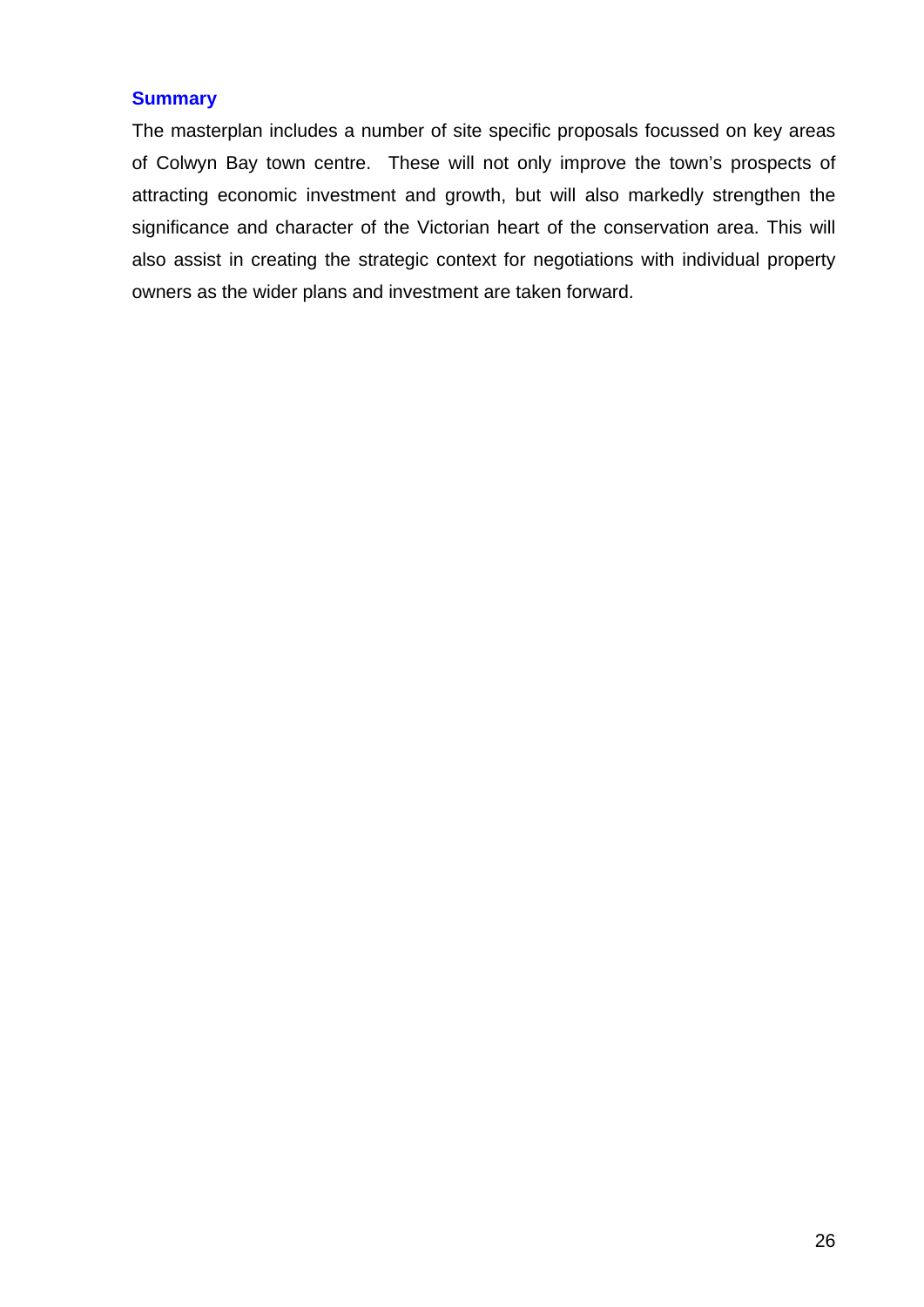## **Summary**

The masterplan includes a number of site specific proposals focussed on key areas of Colwyn Bay town centre. These will not only improve the town's prospects of attracting economic investment and growth, but will also markedly strengthen the significance and character of the Victorian heart of the conservation area. This will also assist in creating the strategic context for negotiations with individual property owners as the wider plans and investment are taken forward.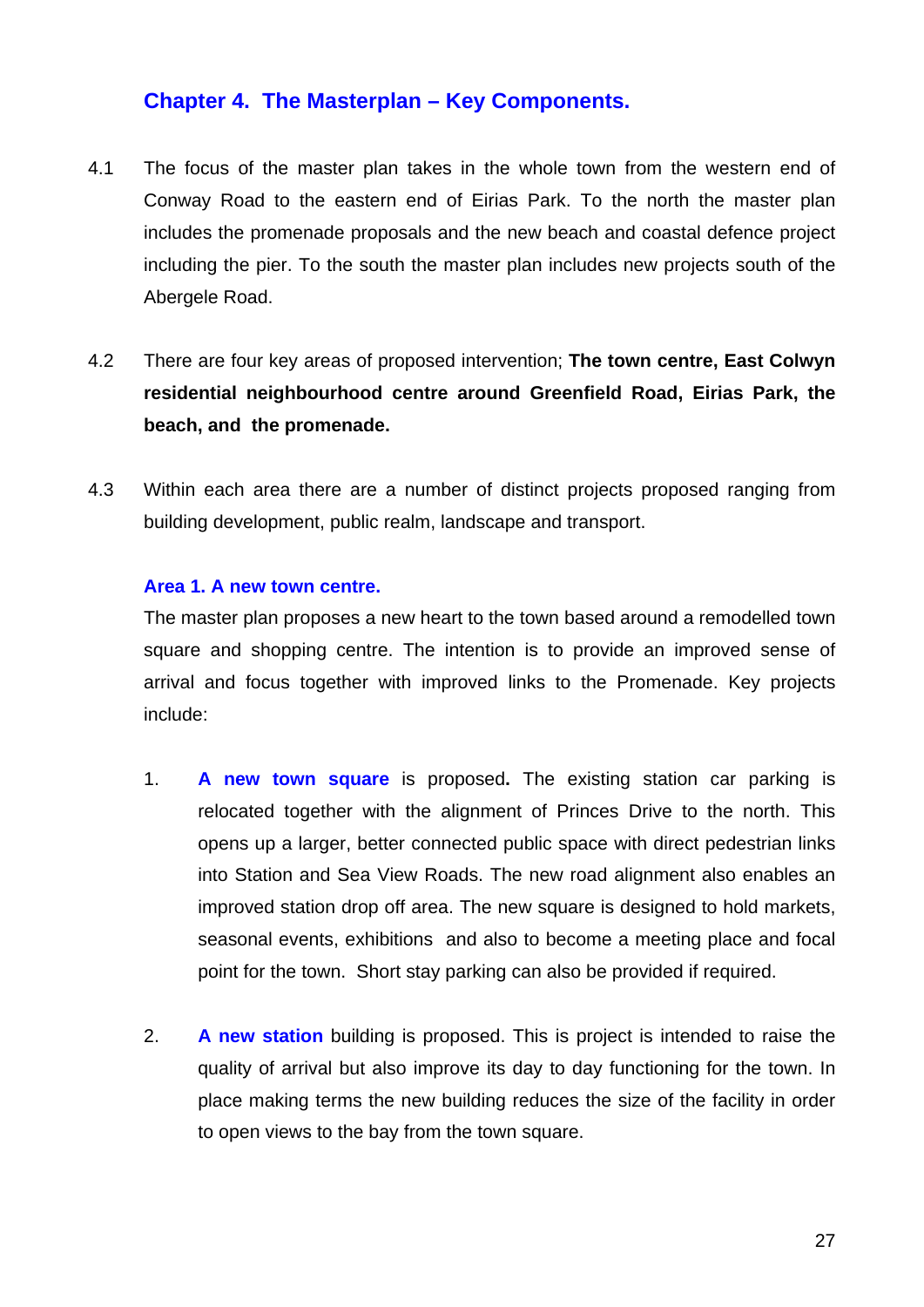# **Chapter 4. The Masterplan – Key Components.**

- 4.1 The focus of the master plan takes in the whole town from the western end of Conway Road to the eastern end of Eirias Park. To the north the master plan includes the promenade proposals and the new beach and coastal defence project including the pier. To the south the master plan includes new projects south of the Abergele Road.
- 4.2 There are four key areas of proposed intervention; **The town centre, East Colwyn residential neighbourhood centre around Greenfield Road, Eirias Park, the beach, and the promenade.**
- 4.3 Within each area there are a number of distinct projects proposed ranging from building development, public realm, landscape and transport.

## **Area 1. A new town centre.**

The master plan proposes a new heart to the town based around a remodelled town square and shopping centre. The intention is to provide an improved sense of arrival and focus together with improved links to the Promenade. Key projects include:

- 1. **A new town square** is proposed**.** The existing station car parking is relocated together with the alignment of Princes Drive to the north. This opens up a larger, better connected public space with direct pedestrian links into Station and Sea View Roads. The new road alignment also enables an improved station drop off area. The new square is designed to hold markets, seasonal events, exhibitions and also to become a meeting place and focal point for the town. Short stay parking can also be provided if required.
- 2. **A new station** building is proposed. This is project is intended to raise the quality of arrival but also improve its day to day functioning for the town. In place making terms the new building reduces the size of the facility in order to open views to the bay from the town square.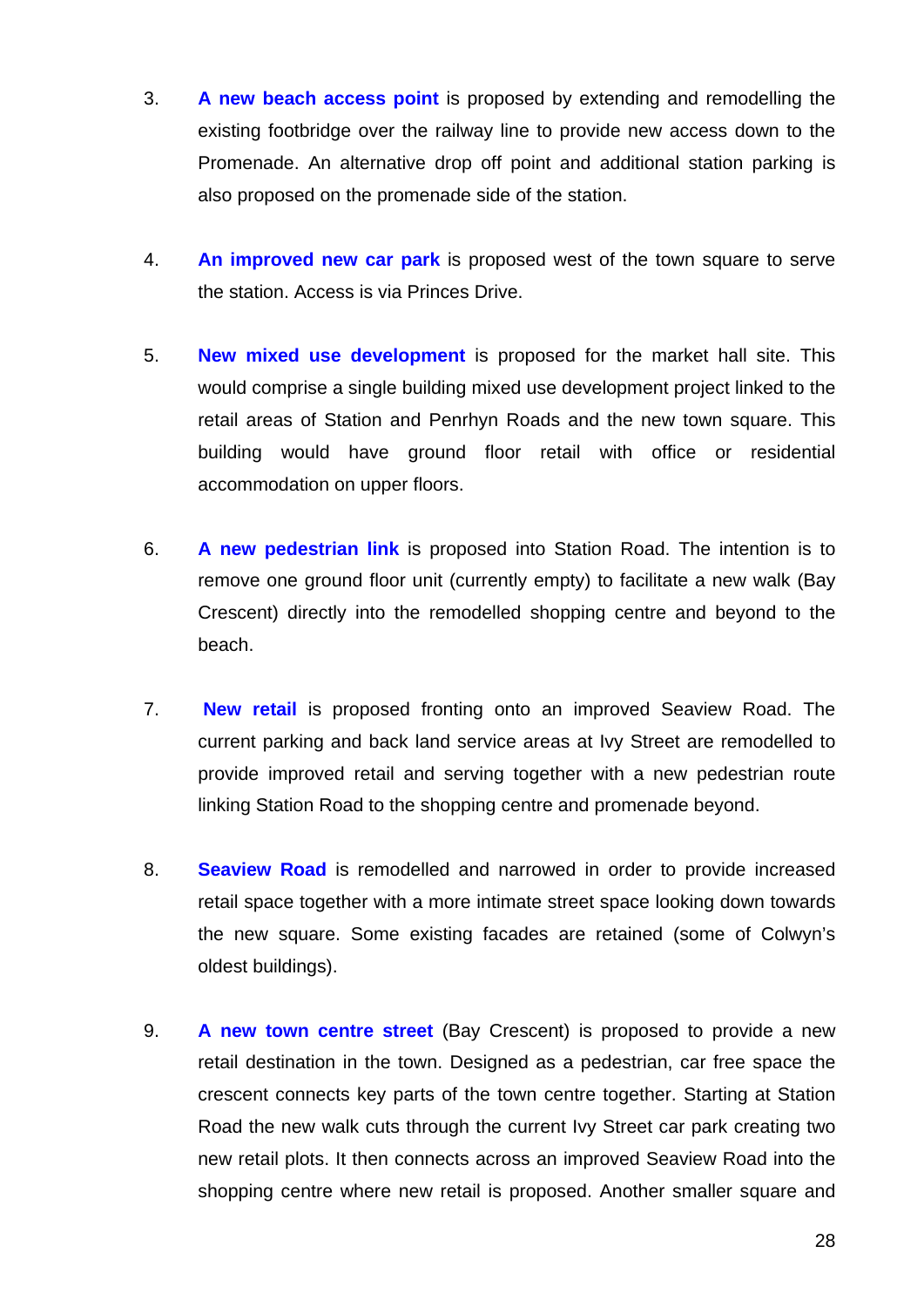- 3. **A new beach access point** is proposed by extending and remodelling the existing footbridge over the railway line to provide new access down to the Promenade. An alternative drop off point and additional station parking is also proposed on the promenade side of the station.
- 4. **An improved new car park** is proposed west of the town square to serve the station. Access is via Princes Drive.
- 5. **New mixed use development** is proposed for the market hall site. This would comprise a single building mixed use development project linked to the retail areas of Station and Penrhyn Roads and the new town square. This building would have ground floor retail with office or residential accommodation on upper floors.
- 6. **A new pedestrian link** is proposed into Station Road. The intention is to remove one ground floor unit (currently empty) to facilitate a new walk (Bay Crescent) directly into the remodelled shopping centre and beyond to the beach.
- 7. **New retail** is proposed fronting onto an improved Seaview Road. The current parking and back land service areas at Ivy Street are remodelled to provide improved retail and serving together with a new pedestrian route linking Station Road to the shopping centre and promenade beyond.
- 8. **Seaview Road** is remodelled and narrowed in order to provide increased retail space together with a more intimate street space looking down towards the new square. Some existing facades are retained (some of Colwyn's oldest buildings).
- 9. **A new town centre street** (Bay Crescent) is proposed to provide a new retail destination in the town. Designed as a pedestrian, car free space the crescent connects key parts of the town centre together. Starting at Station Road the new walk cuts through the current Ivy Street car park creating two new retail plots. It then connects across an improved Seaview Road into the shopping centre where new retail is proposed. Another smaller square and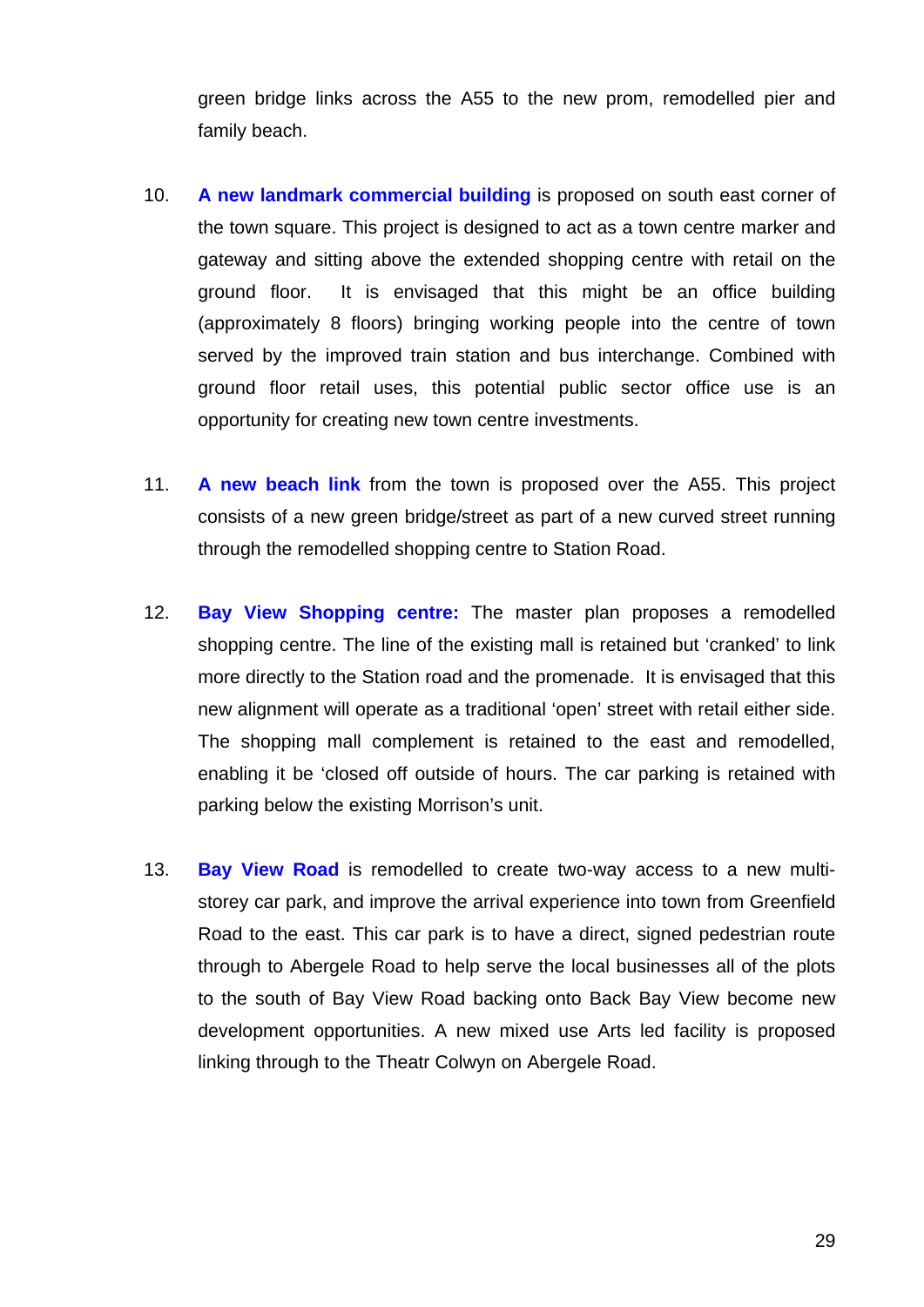green bridge links across the A55 to the new prom, remodelled pier and family beach.

- 10. **A new landmark commercial building** is proposed on south east corner of the town square. This project is designed to act as a town centre marker and gateway and sitting above the extended shopping centre with retail on the ground floor. It is envisaged that this might be an office building (approximately 8 floors) bringing working people into the centre of town served by the improved train station and bus interchange. Combined with ground floor retail uses, this potential public sector office use is an opportunity for creating new town centre investments.
- 11. **A new beach link** from the town is proposed over the A55. This project consists of a new green bridge/street as part of a new curved street running through the remodelled shopping centre to Station Road.
- 12. **Bay View Shopping centre:** The master plan proposes a remodelled shopping centre. The line of the existing mall is retained but 'cranked' to link more directly to the Station road and the promenade. It is envisaged that this new alignment will operate as a traditional 'open' street with retail either side. The shopping mall complement is retained to the east and remodelled, enabling it be 'closed off outside of hours. The car parking is retained with parking below the existing Morrison's unit.
- 13. **Bay View Road** is remodelled to create two-way access to a new multistorey car park, and improve the arrival experience into town from Greenfield Road to the east. This car park is to have a direct, signed pedestrian route through to Abergele Road to help serve the local businesses all of the plots to the south of Bay View Road backing onto Back Bay View become new development opportunities. A new mixed use Arts led facility is proposed linking through to the Theatr Colwyn on Abergele Road.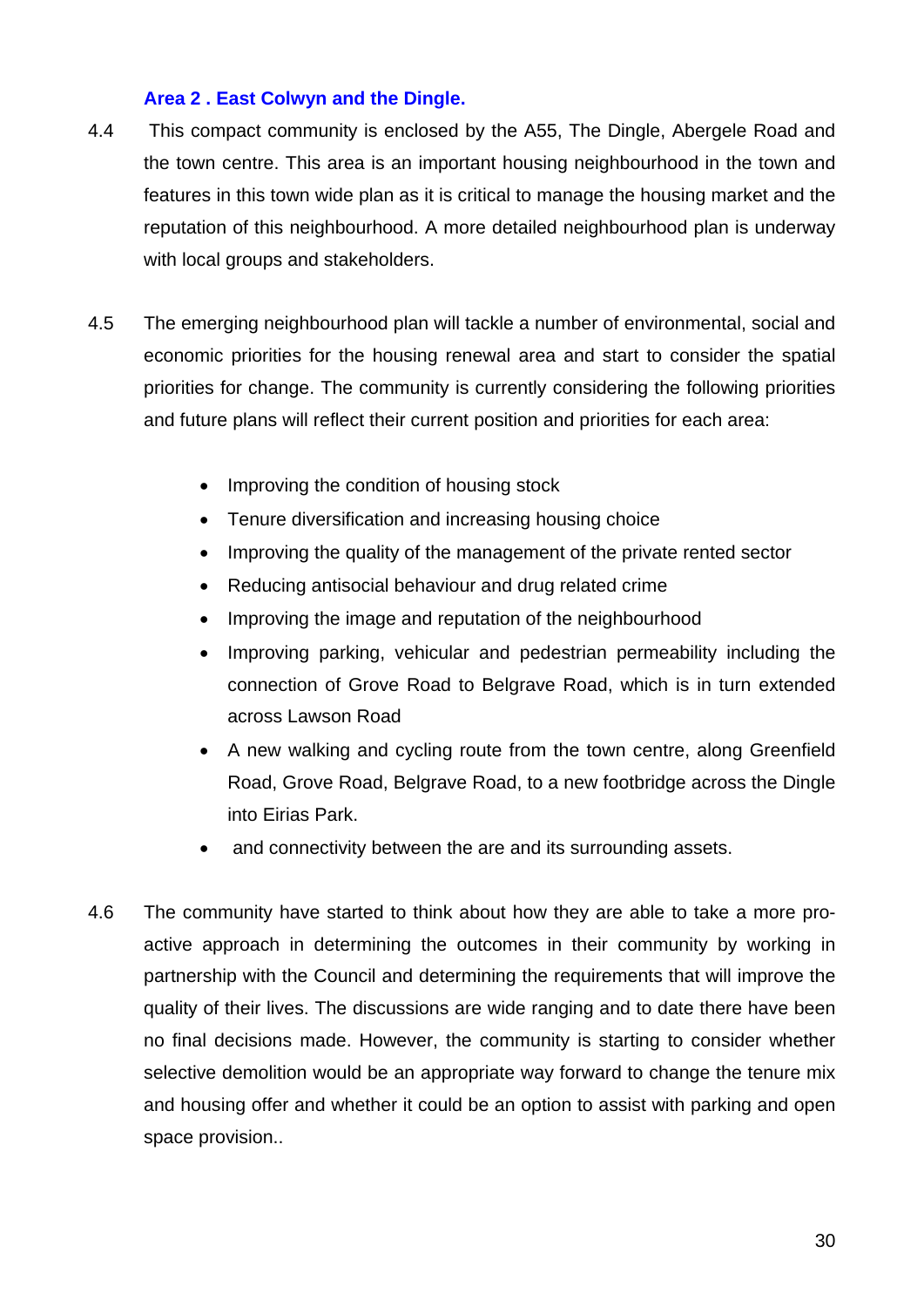## **Area 2 . East Colwyn and the Dingle.**

- 4.4 This compact community is enclosed by the A55, The Dingle, Abergele Road and the town centre. This area is an important housing neighbourhood in the town and features in this town wide plan as it is critical to manage the housing market and the reputation of this neighbourhood. A more detailed neighbourhood plan is underway with local groups and stakeholders.
- 4.5 The emerging neighbourhood plan will tackle a number of environmental, social and economic priorities for the housing renewal area and start to consider the spatial priorities for change. The community is currently considering the following priorities and future plans will reflect their current position and priorities for each area:
	- Improving the condition of housing stock
	- Tenure diversification and increasing housing choice
	- Improving the quality of the management of the private rented sector
	- Reducing antisocial behaviour and drug related crime
	- Improving the image and reputation of the neighbourhood
	- Improving parking, vehicular and pedestrian permeability including the connection of Grove Road to Belgrave Road, which is in turn extended across Lawson Road
	- A new walking and cycling route from the town centre, along Greenfield Road, Grove Road, Belgrave Road, to a new footbridge across the Dingle into Eirias Park.
	- and connectivity between the are and its surrounding assets.
- 4.6 The community have started to think about how they are able to take a more proactive approach in determining the outcomes in their community by working in partnership with the Council and determining the requirements that will improve the quality of their lives. The discussions are wide ranging and to date there have been no final decisions made. However, the community is starting to consider whether selective demolition would be an appropriate way forward to change the tenure mix and housing offer and whether it could be an option to assist with parking and open space provision..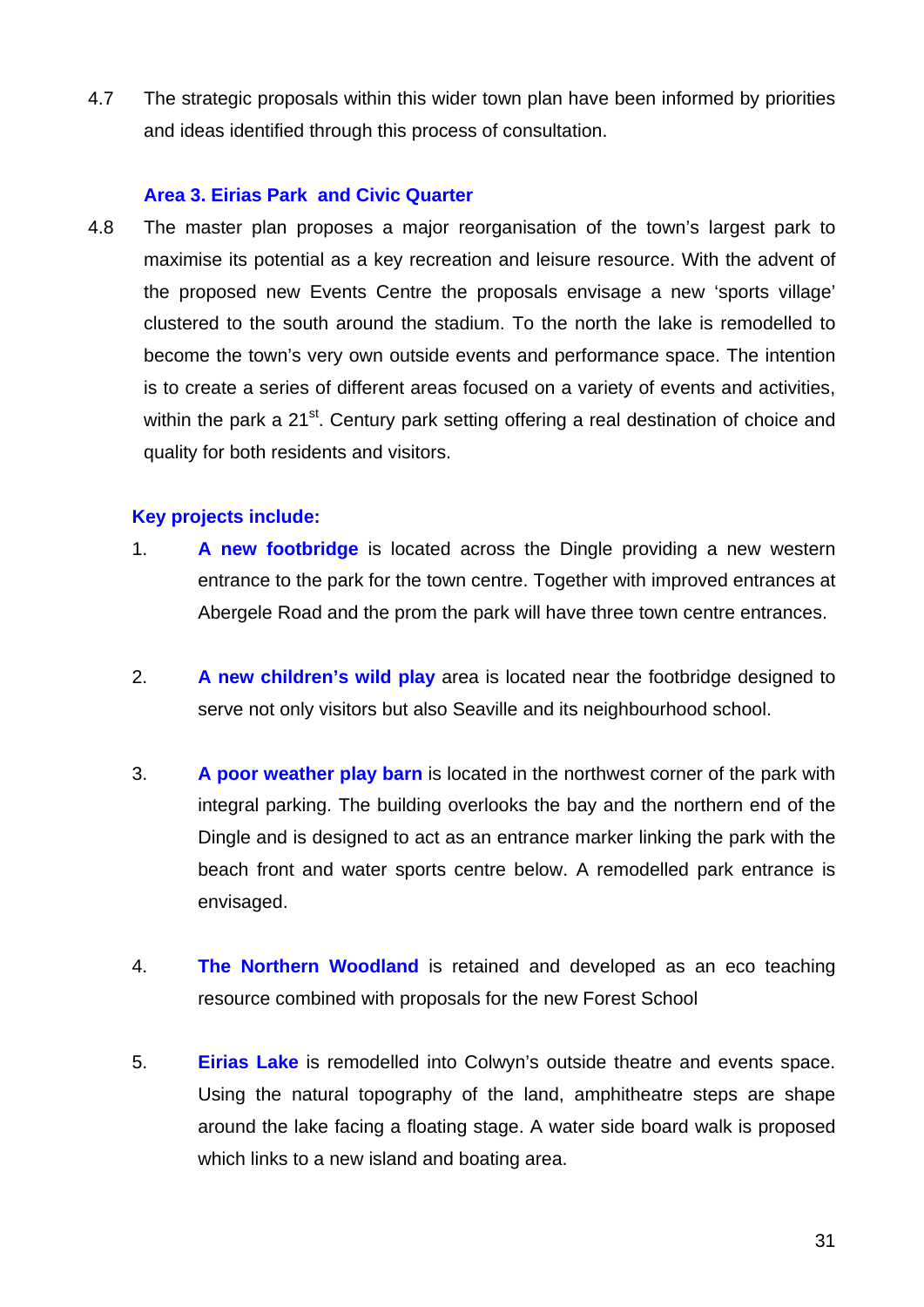4.7 The strategic proposals within this wider town plan have been informed by priorities and ideas identified through this process of consultation.

## **Area 3. Eirias Park and Civic Quarter**

4.8 The master plan proposes a major reorganisation of the town's largest park to maximise its potential as a key recreation and leisure resource. With the advent of the proposed new Events Centre the proposals envisage a new 'sports village' clustered to the south around the stadium. To the north the lake is remodelled to become the town's very own outside events and performance space. The intention is to create a series of different areas focused on a variety of events and activities, within the park a 21<sup>st</sup>. Century park setting offering a real destination of choice and quality for both residents and visitors.

## **Key projects include:**

- 1. **A new footbridge** is located across the Dingle providing a new western entrance to the park for the town centre. Together with improved entrances at Abergele Road and the prom the park will have three town centre entrances.
- 2. **A new children's wild play** area is located near the footbridge designed to serve not only visitors but also Seaville and its neighbourhood school.
- 3. **A poor weather play barn** is located in the northwest corner of the park with integral parking. The building overlooks the bay and the northern end of the Dingle and is designed to act as an entrance marker linking the park with the beach front and water sports centre below. A remodelled park entrance is envisaged.
- 4. **The Northern Woodland** is retained and developed as an eco teaching resource combined with proposals for the new Forest School
- 5. **Eirias Lake** is remodelled into Colwyn's outside theatre and events space. Using the natural topography of the land, amphitheatre steps are shape around the lake facing a floating stage. A water side board walk is proposed which links to a new island and boating area.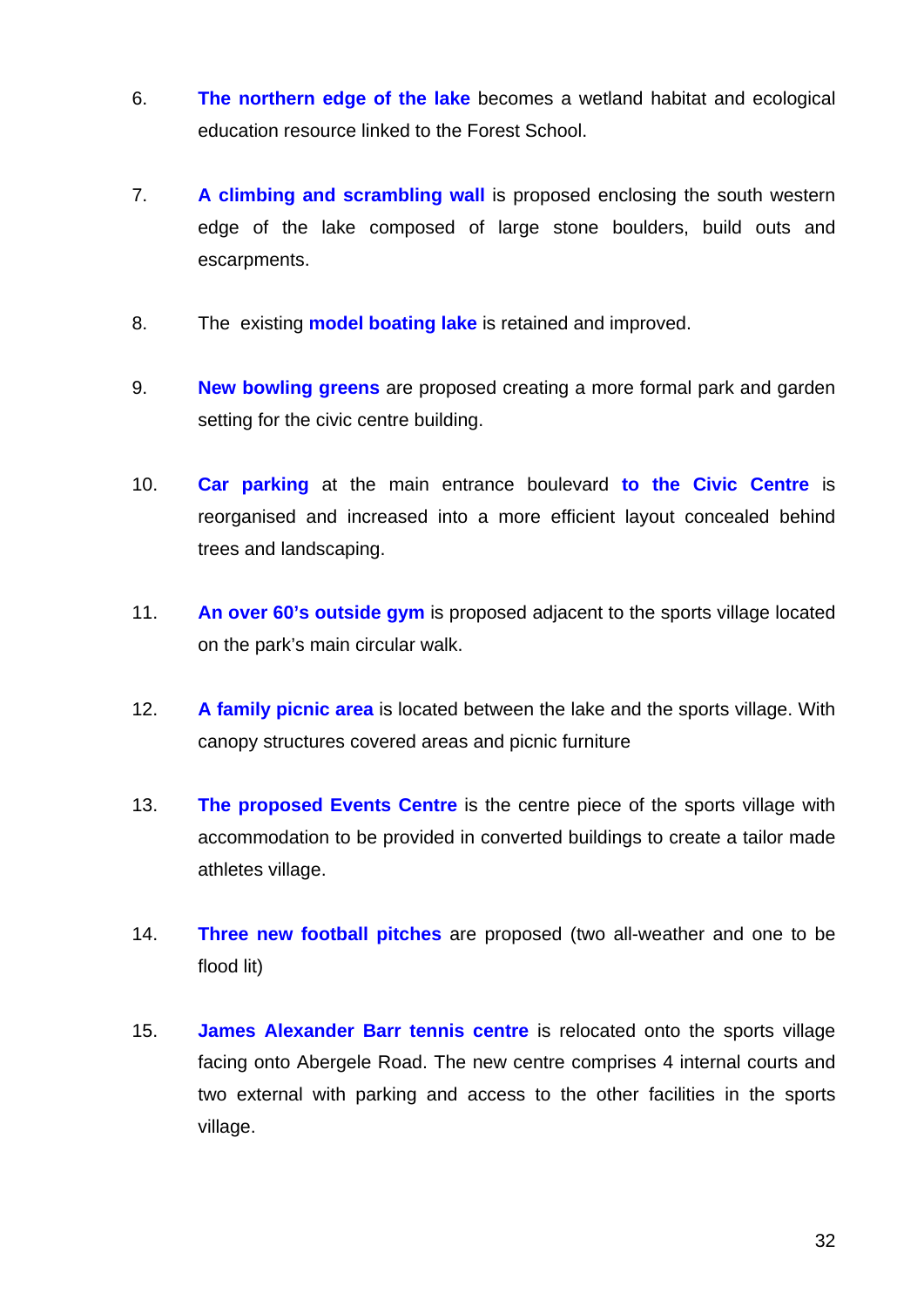- 6. **The northern edge of the lake** becomes a wetland habitat and ecological education resource linked to the Forest School.
- 7. **A climbing and scrambling wall** is proposed enclosing the south western edge of the lake composed of large stone boulders, build outs and escarpments.
- 8. The existing **model boating lake** is retained and improved.
- 9. **New bowling greens** are proposed creating a more formal park and garden setting for the civic centre building.
- 10. **Car parking** at the main entrance boulevard **to the Civic Centre** is reorganised and increased into a more efficient layout concealed behind trees and landscaping.
- 11. **An over 60's outside gym** is proposed adjacent to the sports village located on the park's main circular walk.
- 12. **A family picnic area** is located between the lake and the sports village. With canopy structures covered areas and picnic furniture
- 13. **The proposed Events Centre** is the centre piece of the sports village with accommodation to be provided in converted buildings to create a tailor made athletes village.
- 14. **Three new football pitches** are proposed (two all-weather and one to be flood lit)
- 15. **James Alexander Barr tennis centre** is relocated onto the sports village facing onto Abergele Road. The new centre comprises 4 internal courts and two external with parking and access to the other facilities in the sports village.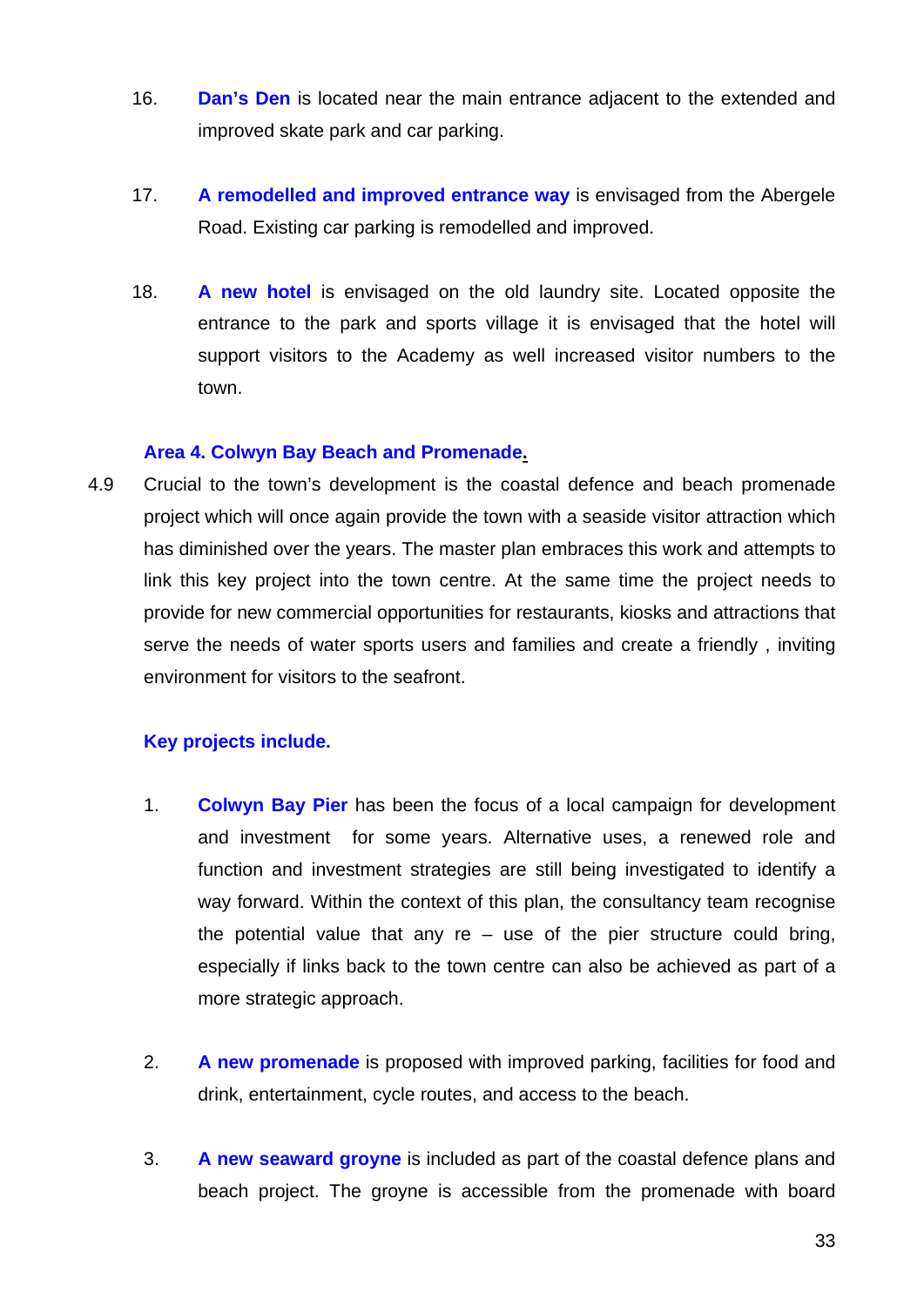- 16. **Dan's Den** is located near the main entrance adjacent to the extended and improved skate park and car parking.
- 17. **A remodelled and improved entrance way** is envisaged from the Abergele Road. Existing car parking is remodelled and improved.
- 18. **A new hotel** is envisaged on the old laundry site. Located opposite the entrance to the park and sports village it is envisaged that the hotel will support visitors to the Academy as well increased visitor numbers to the town.

## **Area 4. Colwyn Bay Beach and Promenade.**

4.9 Crucial to the town's development is the coastal defence and beach promenade project which will once again provide the town with a seaside visitor attraction which has diminished over the years. The master plan embraces this work and attempts to link this key project into the town centre. At the same time the project needs to provide for new commercial opportunities for restaurants, kiosks and attractions that serve the needs of water sports users and families and create a friendly , inviting environment for visitors to the seafront.

## **Key projects include.**

- 1. **Colwyn Bay Pier** has been the focus of a local campaign for development and investment for some years. Alternative uses, a renewed role and function and investment strategies are still being investigated to identify a way forward. Within the context of this plan, the consultancy team recognise the potential value that any  $re -$  use of the pier structure could bring, especially if links back to the town centre can also be achieved as part of a more strategic approach.
- 2. **A new promenade** is proposed with improved parking, facilities for food and drink, entertainment, cycle routes, and access to the beach.
- 3. **A new seaward groyne** is included as part of the coastal defence plans and beach project. The groyne is accessible from the promenade with board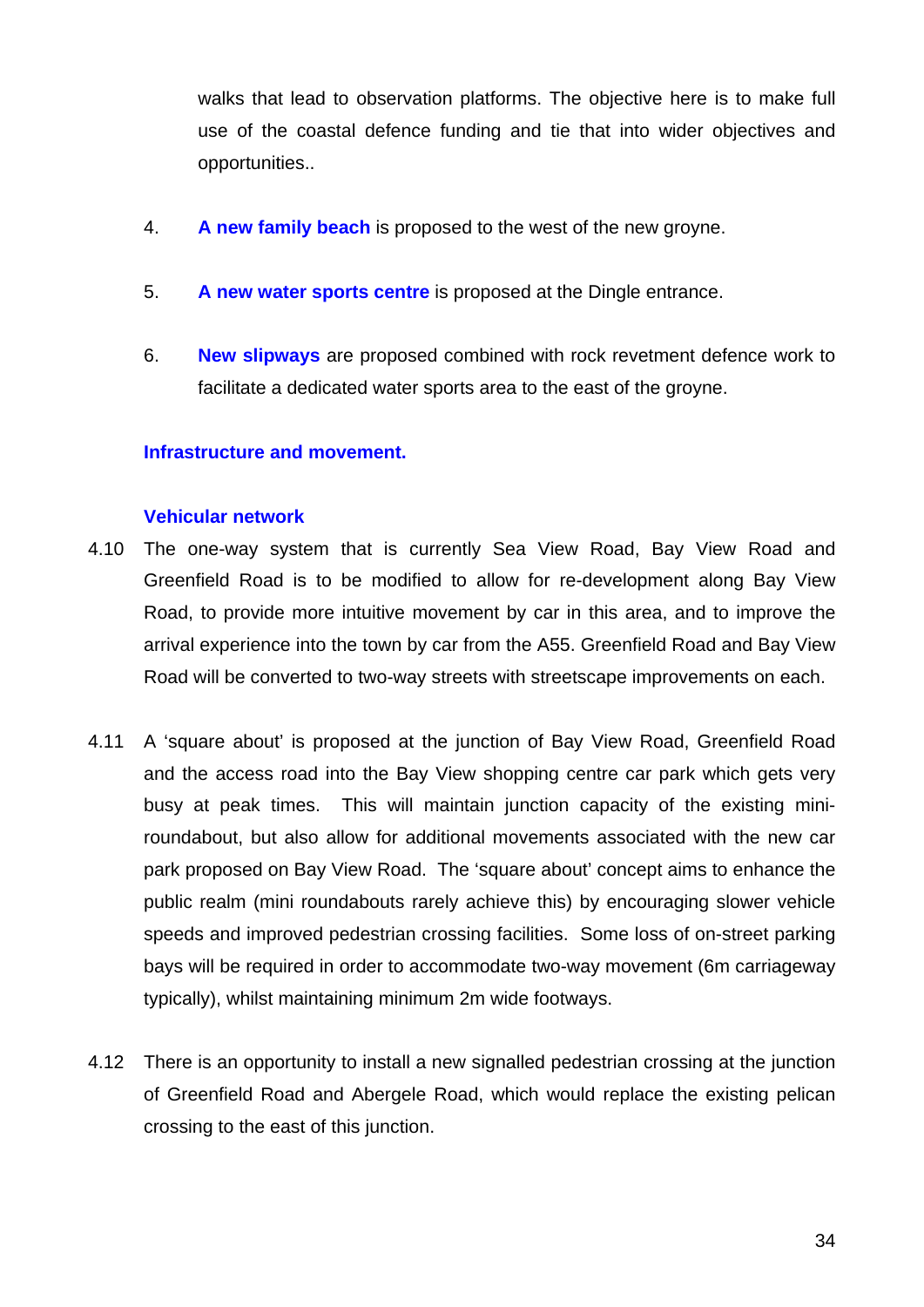walks that lead to observation platforms. The objective here is to make full use of the coastal defence funding and tie that into wider objectives and opportunities..

- 4. **A new family beach** is proposed to the west of the new groyne.
- 5. **A new water sports centre** is proposed at the Dingle entrance.
- 6. **New slipways** are proposed combined with rock revetment defence work to facilitate a dedicated water sports area to the east of the groyne.

## **Infrastructure and movement.**

#### **Vehicular network**

- 4.10 The one-way system that is currently Sea View Road, Bay View Road and Greenfield Road is to be modified to allow for re-development along Bay View Road, to provide more intuitive movement by car in this area, and to improve the arrival experience into the town by car from the A55. Greenfield Road and Bay View Road will be converted to two-way streets with streetscape improvements on each.
- 4.11 A 'square about' is proposed at the junction of Bay View Road, Greenfield Road and the access road into the Bay View shopping centre car park which gets very busy at peak times. This will maintain junction capacity of the existing miniroundabout, but also allow for additional movements associated with the new car park proposed on Bay View Road. The 'square about' concept aims to enhance the public realm (mini roundabouts rarely achieve this) by encouraging slower vehicle speeds and improved pedestrian crossing facilities. Some loss of on-street parking bays will be required in order to accommodate two-way movement (6m carriageway typically), whilst maintaining minimum 2m wide footways.
- 4.12 There is an opportunity to install a new signalled pedestrian crossing at the junction of Greenfield Road and Abergele Road, which would replace the existing pelican crossing to the east of this junction.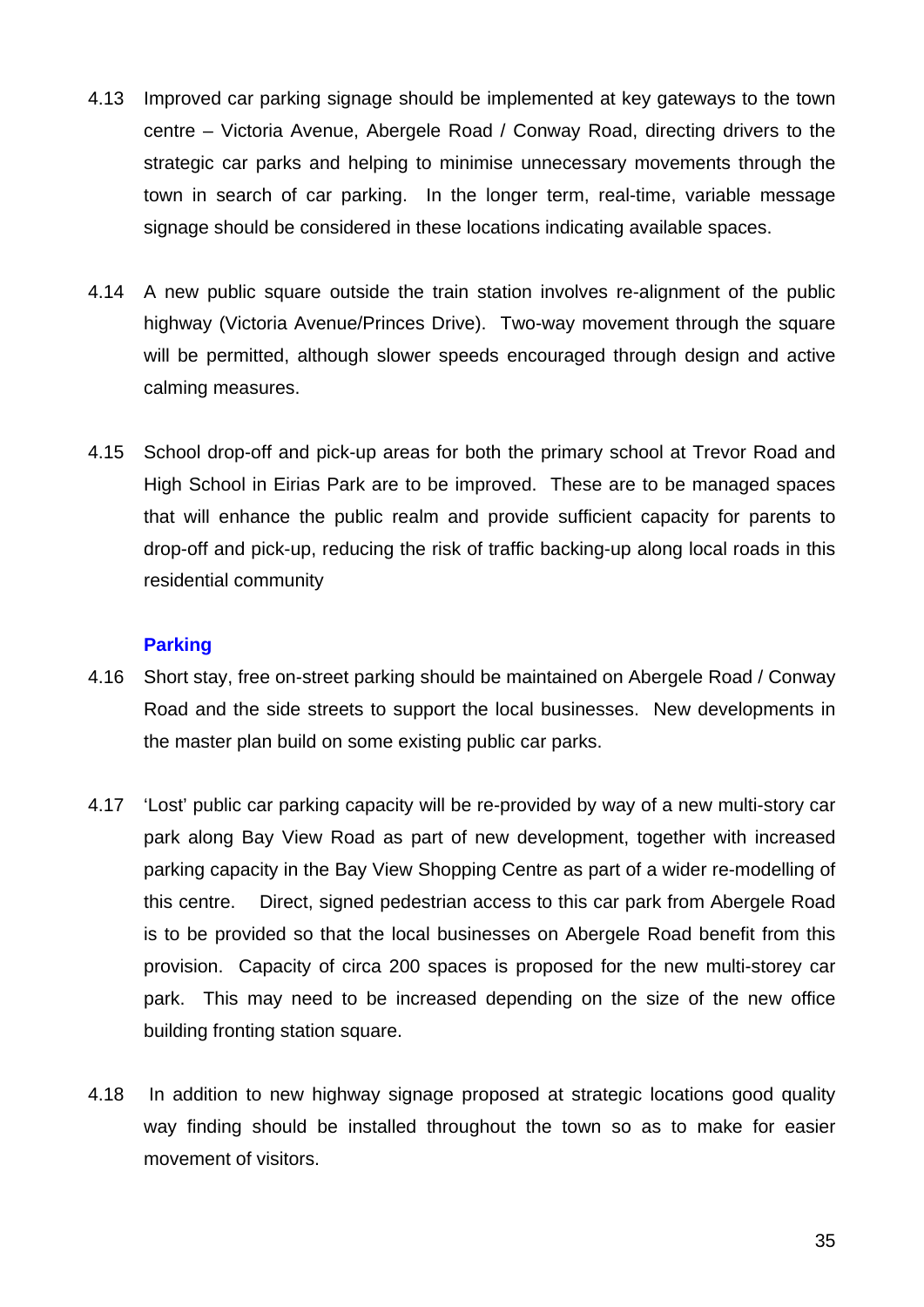- 4.13 Improved car parking signage should be implemented at key gateways to the town centre – Victoria Avenue, Abergele Road / Conway Road, directing drivers to the strategic car parks and helping to minimise unnecessary movements through the town in search of car parking. In the longer term, real-time, variable message signage should be considered in these locations indicating available spaces.
- 4.14 A new public square outside the train station involves re-alignment of the public highway (Victoria Avenue/Princes Drive). Two-way movement through the square will be permitted, although slower speeds encouraged through design and active calming measures.
- 4.15 School drop-off and pick-up areas for both the primary school at Trevor Road and High School in Eirias Park are to be improved. These are to be managed spaces that will enhance the public realm and provide sufficient capacity for parents to drop-off and pick-up, reducing the risk of traffic backing-up along local roads in this residential community

## **Parking**

- 4.16 Short stay, free on-street parking should be maintained on Abergele Road / Conway Road and the side streets to support the local businesses. New developments in the master plan build on some existing public car parks.
- 4.17 'Lost' public car parking capacity will be re-provided by way of a new multi-story car park along Bay View Road as part of new development, together with increased parking capacity in the Bay View Shopping Centre as part of a wider re-modelling of this centre. Direct, signed pedestrian access to this car park from Abergele Road is to be provided so that the local businesses on Abergele Road benefit from this provision. Capacity of circa 200 spaces is proposed for the new multi-storey car park. This may need to be increased depending on the size of the new office building fronting station square.
- 4.18 In addition to new highway signage proposed at strategic locations good quality way finding should be installed throughout the town so as to make for easier movement of visitors.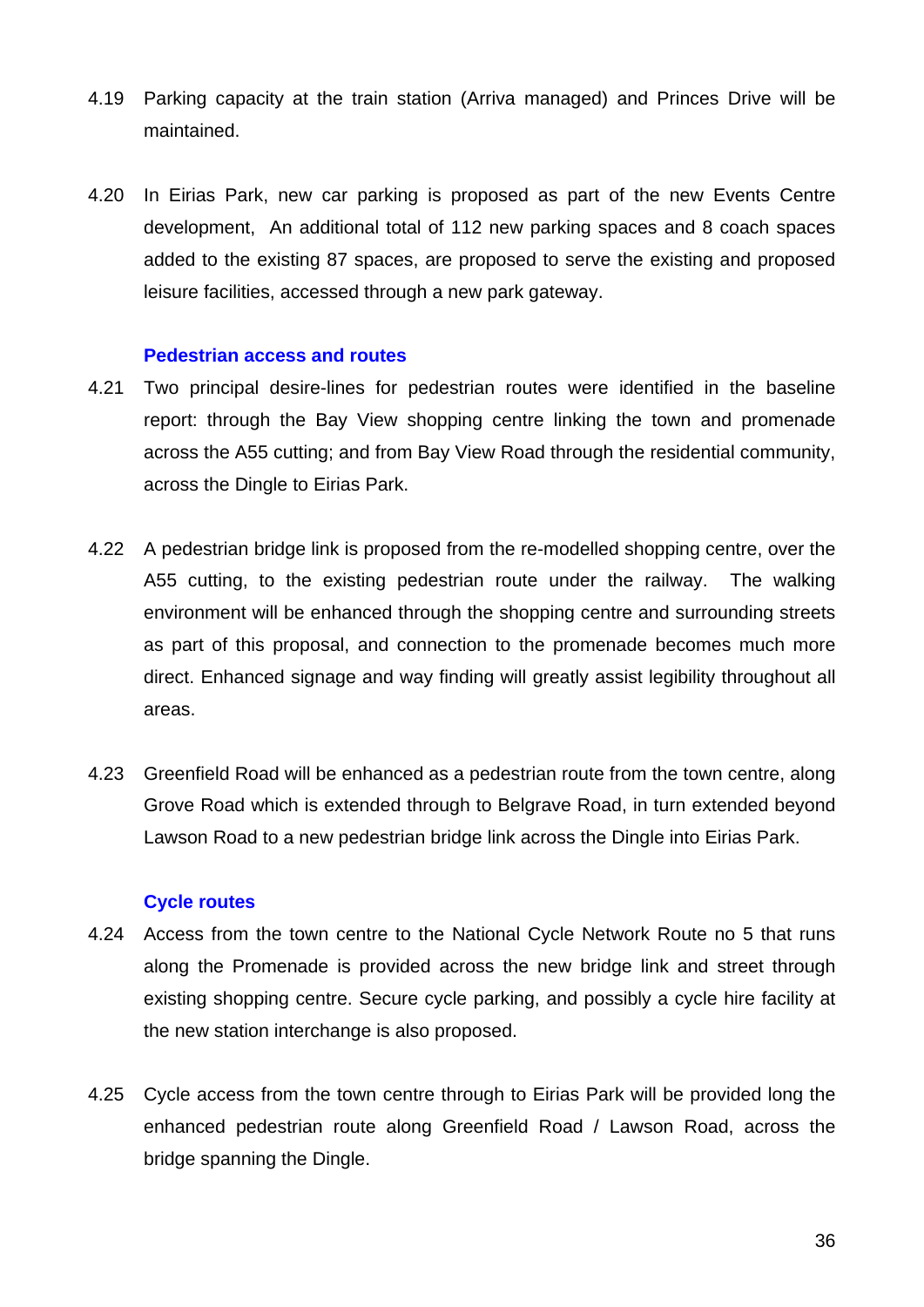- 4.19 Parking capacity at the train station (Arriva managed) and Princes Drive will be maintained.
- 4.20 In Eirias Park, new car parking is proposed as part of the new Events Centre development, An additional total of 112 new parking spaces and 8 coach spaces added to the existing 87 spaces, are proposed to serve the existing and proposed leisure facilities, accessed through a new park gateway.

#### **Pedestrian access and routes**

- 4.21 Two principal desire-lines for pedestrian routes were identified in the baseline report: through the Bay View shopping centre linking the town and promenade across the A55 cutting; and from Bay View Road through the residential community, across the Dingle to Eirias Park.
- 4.22 A pedestrian bridge link is proposed from the re-modelled shopping centre, over the A55 cutting, to the existing pedestrian route under the railway. The walking environment will be enhanced through the shopping centre and surrounding streets as part of this proposal, and connection to the promenade becomes much more direct. Enhanced signage and way finding will greatly assist legibility throughout all areas.
- 4.23 Greenfield Road will be enhanced as a pedestrian route from the town centre, along Grove Road which is extended through to Belgrave Road, in turn extended beyond Lawson Road to a new pedestrian bridge link across the Dingle into Eirias Park.

#### **Cycle routes**

- 4.24 Access from the town centre to the National Cycle Network Route no 5 that runs along the Promenade is provided across the new bridge link and street through existing shopping centre. Secure cycle parking, and possibly a cycle hire facility at the new station interchange is also proposed.
- 4.25 Cycle access from the town centre through to Eirias Park will be provided long the enhanced pedestrian route along Greenfield Road / Lawson Road, across the bridge spanning the Dingle.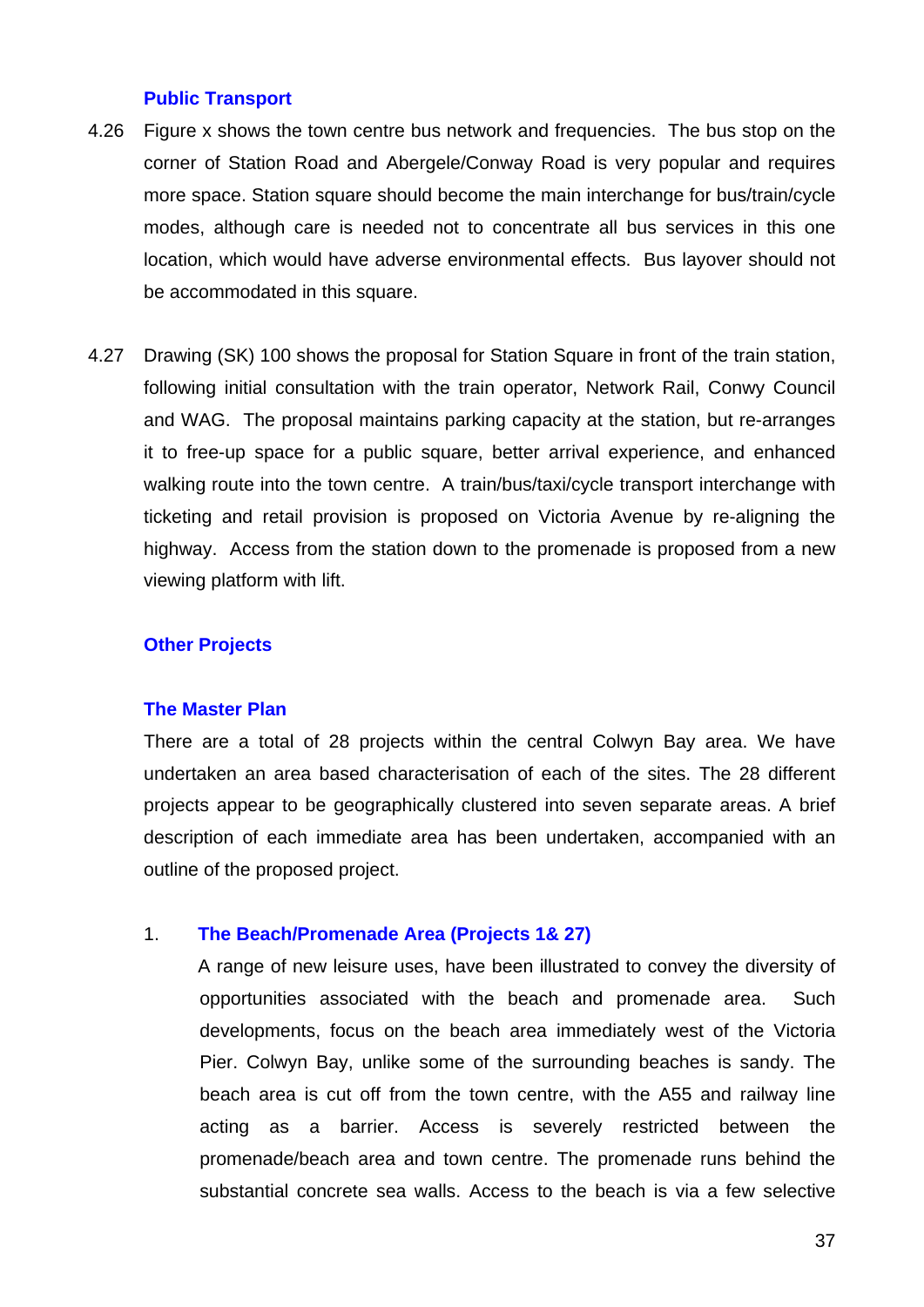#### **Public Transport**

- 4.26 Figure x shows the town centre bus network and frequencies. The bus stop on the corner of Station Road and Abergele/Conway Road is very popular and requires more space. Station square should become the main interchange for bus/train/cycle modes, although care is needed not to concentrate all bus services in this one location, which would have adverse environmental effects. Bus layover should not be accommodated in this square.
- 4.27 Drawing (SK) 100 shows the proposal for Station Square in front of the train station, following initial consultation with the train operator, Network Rail, Conwy Council and WAG. The proposal maintains parking capacity at the station, but re-arranges it to free-up space for a public square, better arrival experience, and enhanced walking route into the town centre. A train/bus/taxi/cycle transport interchange with ticketing and retail provision is proposed on Victoria Avenue by re-aligning the highway. Access from the station down to the promenade is proposed from a new viewing platform with lift.

#### **Other Projects**

#### **The Master Plan**

There are a total of 28 projects within the central Colwyn Bay area. We have undertaken an area based characterisation of each of the sites. The 28 different projects appear to be geographically clustered into seven separate areas. A brief description of each immediate area has been undertaken, accompanied with an outline of the proposed project.

#### 1. **The Beach/Promenade Area (Projects 1& 27)**

A range of new leisure uses, have been illustrated to convey the diversity of opportunities associated with the beach and promenade area. Such developments, focus on the beach area immediately west of the Victoria Pier. Colwyn Bay, unlike some of the surrounding beaches is sandy. The beach area is cut off from the town centre, with the A55 and railway line acting as a barrier. Access is severely restricted between the promenade/beach area and town centre. The promenade runs behind the substantial concrete sea walls. Access to the beach is via a few selective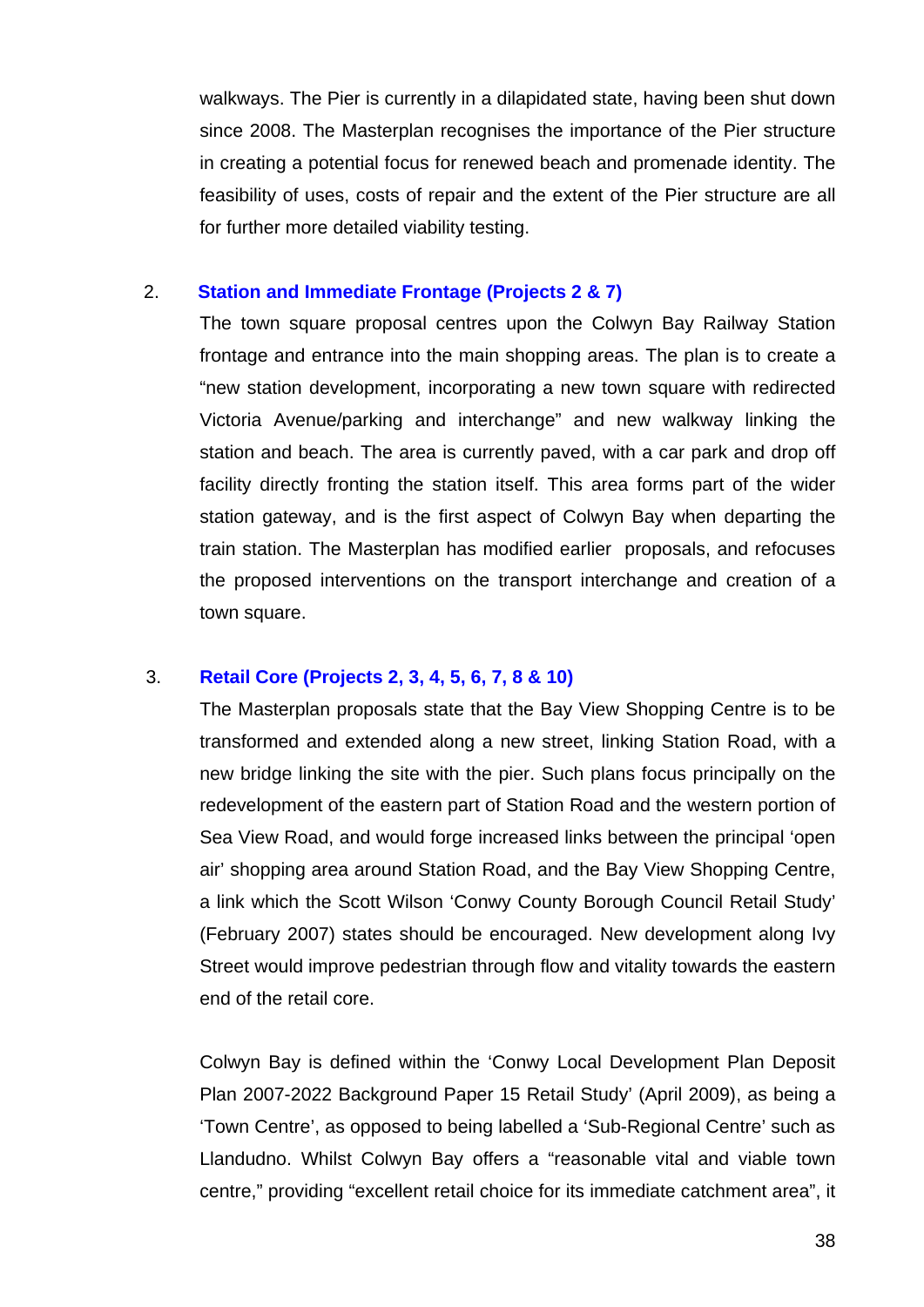walkways. The Pier is currently in a dilapidated state, having been shut down since 2008. The Masterplan recognises the importance of the Pier structure in creating a potential focus for renewed beach and promenade identity. The feasibility of uses, costs of repair and the extent of the Pier structure are all for further more detailed viability testing.

## 2. **Station and Immediate Frontage (Projects 2 & 7)**

The town square proposal centres upon the Colwyn Bay Railway Station frontage and entrance into the main shopping areas. The plan is to create a "new station development, incorporating a new town square with redirected Victoria Avenue/parking and interchange" and new walkway linking the station and beach. The area is currently paved, with a car park and drop off facility directly fronting the station itself. This area forms part of the wider station gateway, and is the first aspect of Colwyn Bay when departing the train station. The Masterplan has modified earlier proposals, and refocuses the proposed interventions on the transport interchange and creation of a town square.

## 3. **Retail Core (Projects 2, 3, 4, 5, 6, 7, 8 & 10)**

The Masterplan proposals state that the Bay View Shopping Centre is to be transformed and extended along a new street, linking Station Road, with a new bridge linking the site with the pier. Such plans focus principally on the redevelopment of the eastern part of Station Road and the western portion of Sea View Road, and would forge increased links between the principal 'open air' shopping area around Station Road, and the Bay View Shopping Centre, a link which the Scott Wilson 'Conwy County Borough Council Retail Study' (February 2007) states should be encouraged. New development along Ivy Street would improve pedestrian through flow and vitality towards the eastern end of the retail core.

Colwyn Bay is defined within the 'Conwy Local Development Plan Deposit Plan 2007-2022 Background Paper 15 Retail Study' (April 2009), as being a 'Town Centre', as opposed to being labelled a 'Sub-Regional Centre' such as Llandudno. Whilst Colwyn Bay offers a "reasonable vital and viable town centre," providing "excellent retail choice for its immediate catchment area", it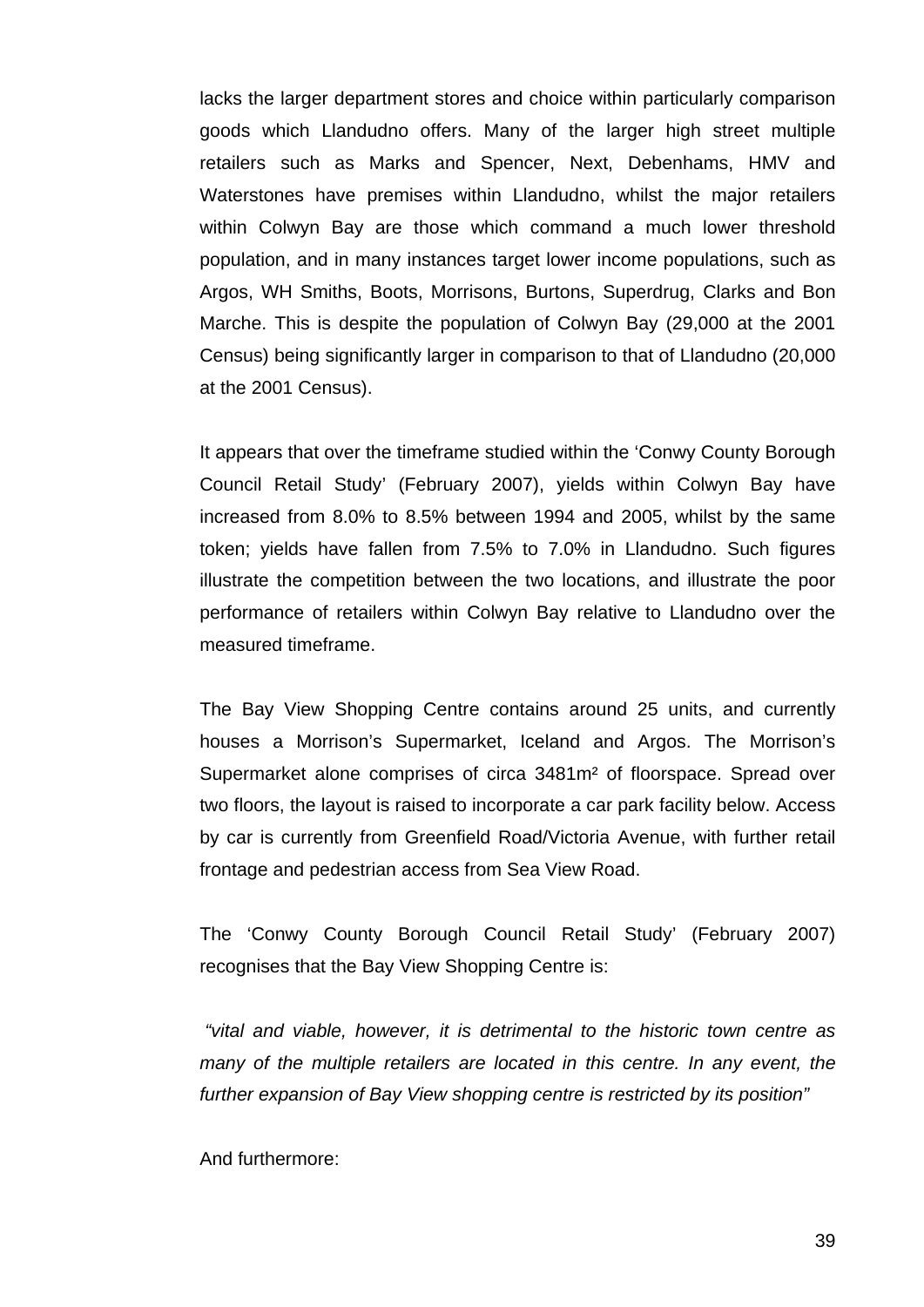lacks the larger department stores and choice within particularly comparison goods which Llandudno offers. Many of the larger high street multiple retailers such as Marks and Spencer, Next, Debenhams, HMV and Waterstones have premises within Llandudno, whilst the major retailers within Colwyn Bay are those which command a much lower threshold population, and in many instances target lower income populations, such as Argos, WH Smiths, Boots, Morrisons, Burtons, Superdrug, Clarks and Bon Marche. This is despite the population of Colwyn Bay (29,000 at the 2001 Census) being significantly larger in comparison to that of Llandudno (20,000 at the 2001 Census).

It appears that over the timeframe studied within the 'Conwy County Borough Council Retail Study' (February 2007), yields within Colwyn Bay have increased from 8.0% to 8.5% between 1994 and 2005, whilst by the same token; yields have fallen from 7.5% to 7.0% in Llandudno. Such figures illustrate the competition between the two locations, and illustrate the poor performance of retailers within Colwyn Bay relative to Llandudno over the measured timeframe.

The Bay View Shopping Centre contains around 25 units, and currently houses a Morrison's Supermarket, Iceland and Argos. The Morrison's Supermarket alone comprises of circa 3481m² of floorspace. Spread over two floors, the layout is raised to incorporate a car park facility below. Access by car is currently from Greenfield Road/Victoria Avenue, with further retail frontage and pedestrian access from Sea View Road.

The 'Conwy County Borough Council Retail Study' (February 2007) recognises that the Bay View Shopping Centre is:

 *"vital and viable, however, it is detrimental to the historic town centre as many of the multiple retailers are located in this centre. In any event, the further expansion of Bay View shopping centre is restricted by its position"* 

And furthermore: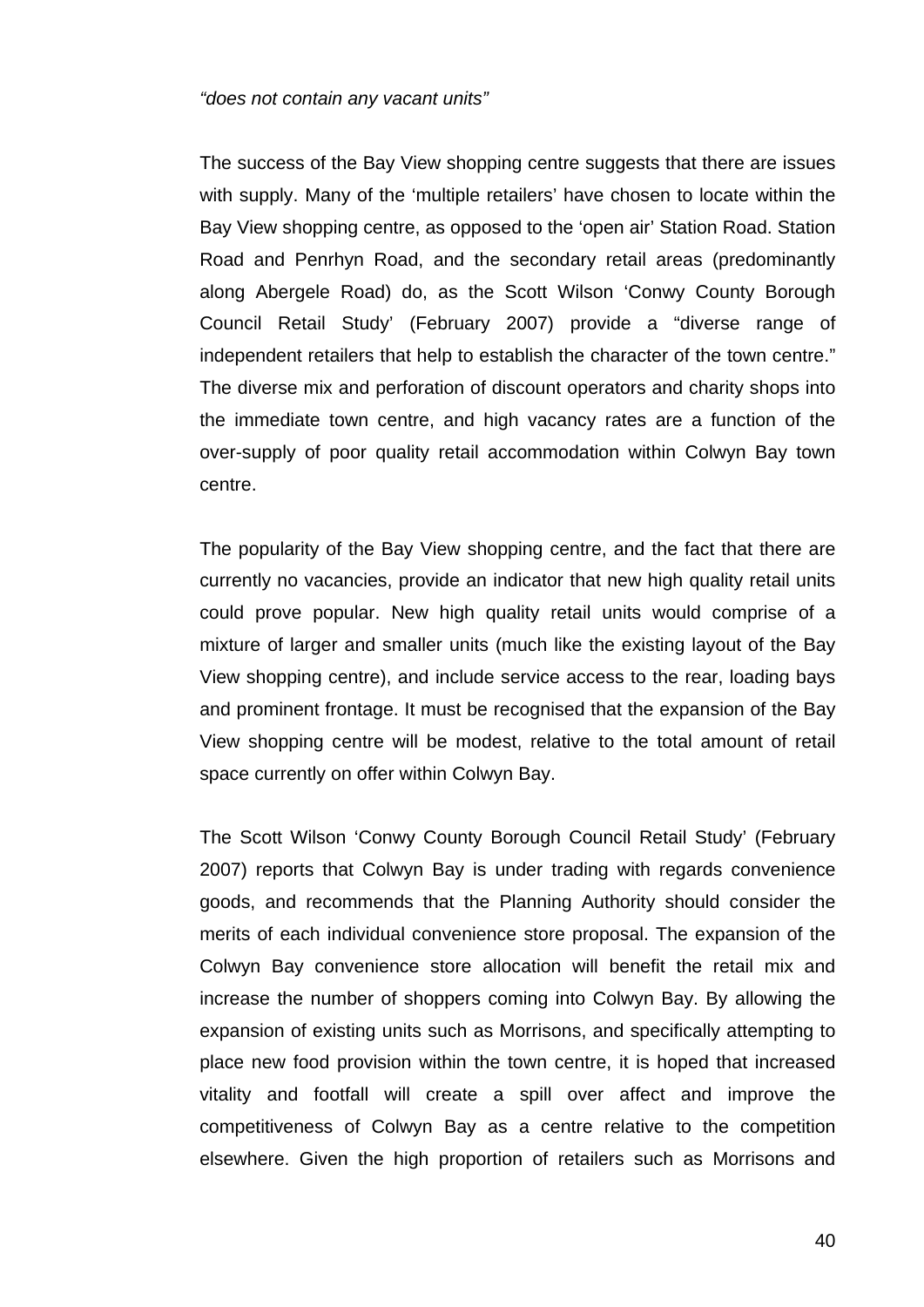#### *"does not contain any vacant units"*

The success of the Bay View shopping centre suggests that there are issues with supply. Many of the 'multiple retailers' have chosen to locate within the Bay View shopping centre, as opposed to the 'open air' Station Road. Station Road and Penrhyn Road, and the secondary retail areas (predominantly along Abergele Road) do, as the Scott Wilson 'Conwy County Borough Council Retail Study' (February 2007) provide a "diverse range of independent retailers that help to establish the character of the town centre." The diverse mix and perforation of discount operators and charity shops into the immediate town centre, and high vacancy rates are a function of the over-supply of poor quality retail accommodation within Colwyn Bay town centre.

The popularity of the Bay View shopping centre, and the fact that there are currently no vacancies, provide an indicator that new high quality retail units could prove popular. New high quality retail units would comprise of a mixture of larger and smaller units (much like the existing layout of the Bay View shopping centre), and include service access to the rear, loading bays and prominent frontage. It must be recognised that the expansion of the Bay View shopping centre will be modest, relative to the total amount of retail space currently on offer within Colwyn Bay.

The Scott Wilson 'Conwy County Borough Council Retail Study' (February 2007) reports that Colwyn Bay is under trading with regards convenience goods, and recommends that the Planning Authority should consider the merits of each individual convenience store proposal. The expansion of the Colwyn Bay convenience store allocation will benefit the retail mix and increase the number of shoppers coming into Colwyn Bay. By allowing the expansion of existing units such as Morrisons, and specifically attempting to place new food provision within the town centre, it is hoped that increased vitality and footfall will create a spill over affect and improve the competitiveness of Colwyn Bay as a centre relative to the competition elsewhere. Given the high proportion of retailers such as Morrisons and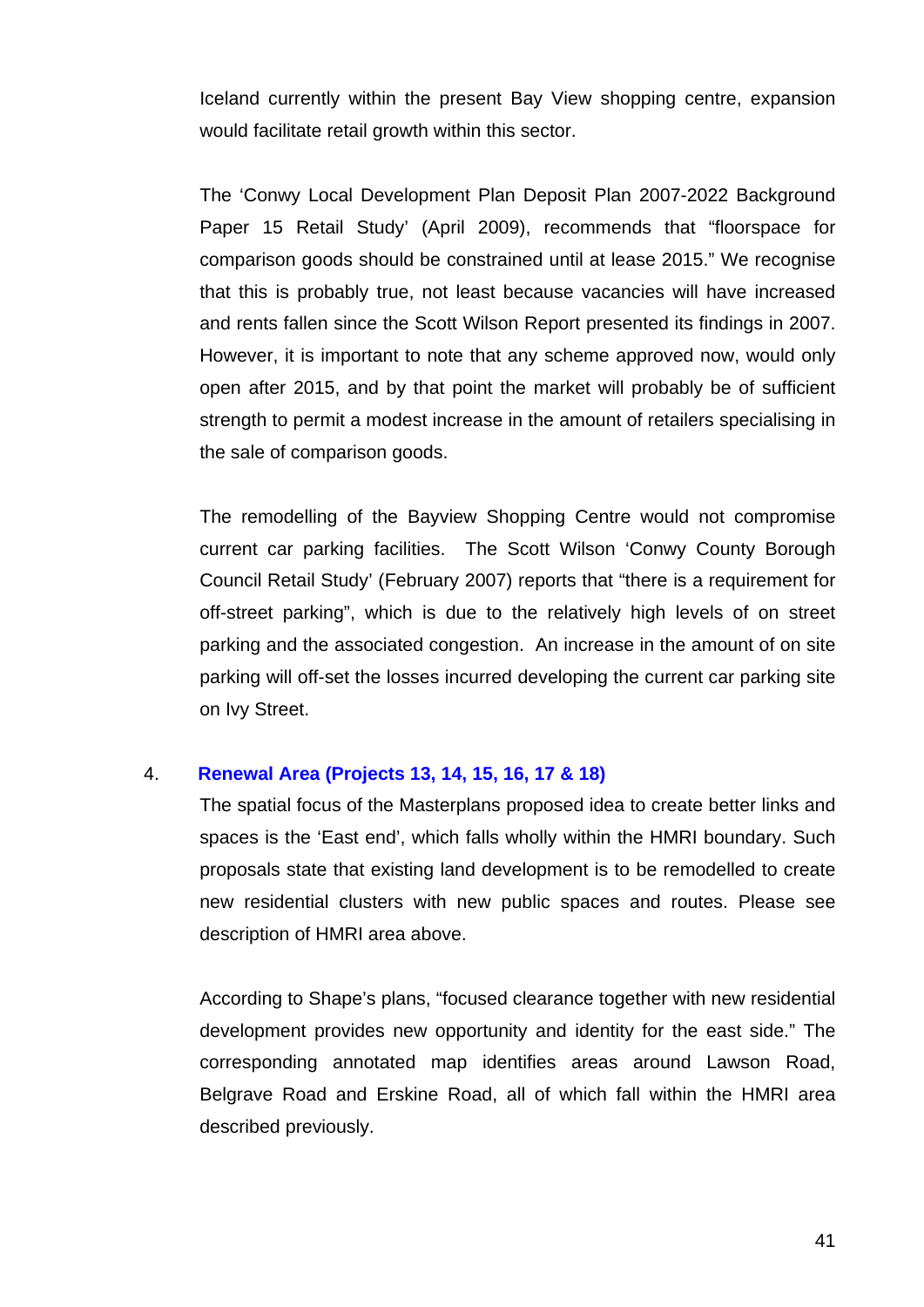Iceland currently within the present Bay View shopping centre, expansion would facilitate retail growth within this sector.

The 'Conwy Local Development Plan Deposit Plan 2007-2022 Background Paper 15 Retail Study' (April 2009), recommends that "floorspace for comparison goods should be constrained until at lease 2015." We recognise that this is probably true, not least because vacancies will have increased and rents fallen since the Scott Wilson Report presented its findings in 2007. However, it is important to note that any scheme approved now, would only open after 2015, and by that point the market will probably be of sufficient strength to permit a modest increase in the amount of retailers specialising in the sale of comparison goods.

The remodelling of the Bayview Shopping Centre would not compromise current car parking facilities. The Scott Wilson 'Conwy County Borough Council Retail Study' (February 2007) reports that "there is a requirement for off-street parking", which is due to the relatively high levels of on street parking and the associated congestion. An increase in the amount of on site parking will off-set the losses incurred developing the current car parking site on Ivy Street.

#### 4. **Renewal Area (Projects 13, 14, 15, 16, 17 & 18)**

The spatial focus of the Masterplans proposed idea to create better links and spaces is the 'East end', which falls wholly within the HMRI boundary. Such proposals state that existing land development is to be remodelled to create new residential clusters with new public spaces and routes. Please see description of HMRI area above.

According to Shape's plans, "focused clearance together with new residential development provides new opportunity and identity for the east side." The corresponding annotated map identifies areas around Lawson Road, Belgrave Road and Erskine Road, all of which fall within the HMRI area described previously.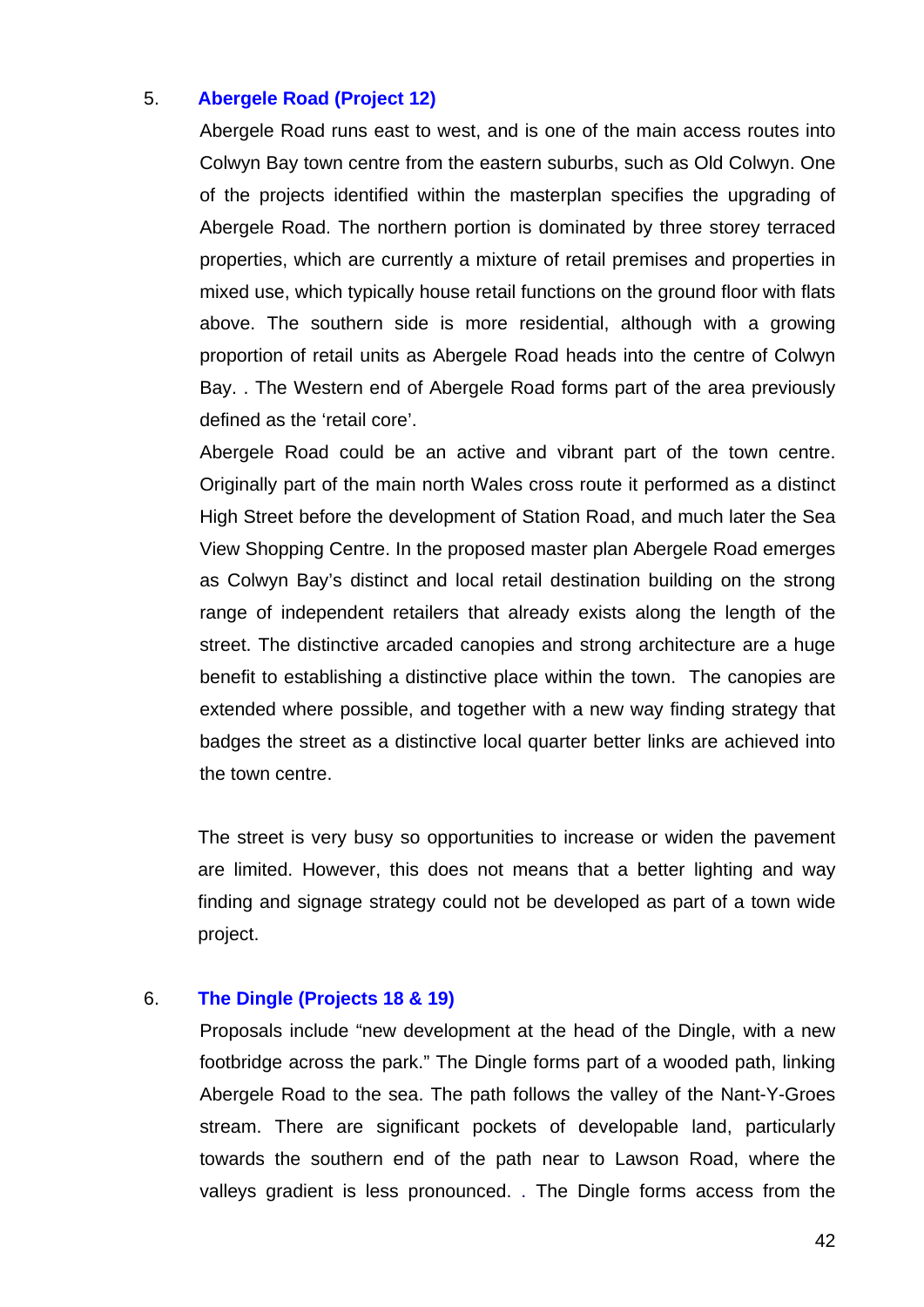#### 5. **Abergele Road (Project 12)**

Abergele Road runs east to west, and is one of the main access routes into Colwyn Bay town centre from the eastern suburbs, such as Old Colwyn. One of the projects identified within the masterplan specifies the upgrading of Abergele Road. The northern portion is dominated by three storey terraced properties, which are currently a mixture of retail premises and properties in mixed use, which typically house retail functions on the ground floor with flats above. The southern side is more residential, although with a growing proportion of retail units as Abergele Road heads into the centre of Colwyn Bay. . The Western end of Abergele Road forms part of the area previously defined as the 'retail core'.

Abergele Road could be an active and vibrant part of the town centre. Originally part of the main north Wales cross route it performed as a distinct High Street before the development of Station Road, and much later the Sea View Shopping Centre. In the proposed master plan Abergele Road emerges as Colwyn Bay's distinct and local retail destination building on the strong range of independent retailers that already exists along the length of the street. The distinctive arcaded canopies and strong architecture are a huge benefit to establishing a distinctive place within the town. The canopies are extended where possible, and together with a new way finding strategy that badges the street as a distinctive local quarter better links are achieved into the town centre.

The street is very busy so opportunities to increase or widen the pavement are limited. However, this does not means that a better lighting and way finding and signage strategy could not be developed as part of a town wide project.

#### 6. **The Dingle (Projects 18 & 19)**

Proposals include "new development at the head of the Dingle, with a new footbridge across the park." The Dingle forms part of a wooded path, linking Abergele Road to the sea. The path follows the valley of the Nant-Y-Groes stream. There are significant pockets of developable land, particularly towards the southern end of the path near to Lawson Road, where the valleys gradient is less pronounced. . The Dingle forms access from the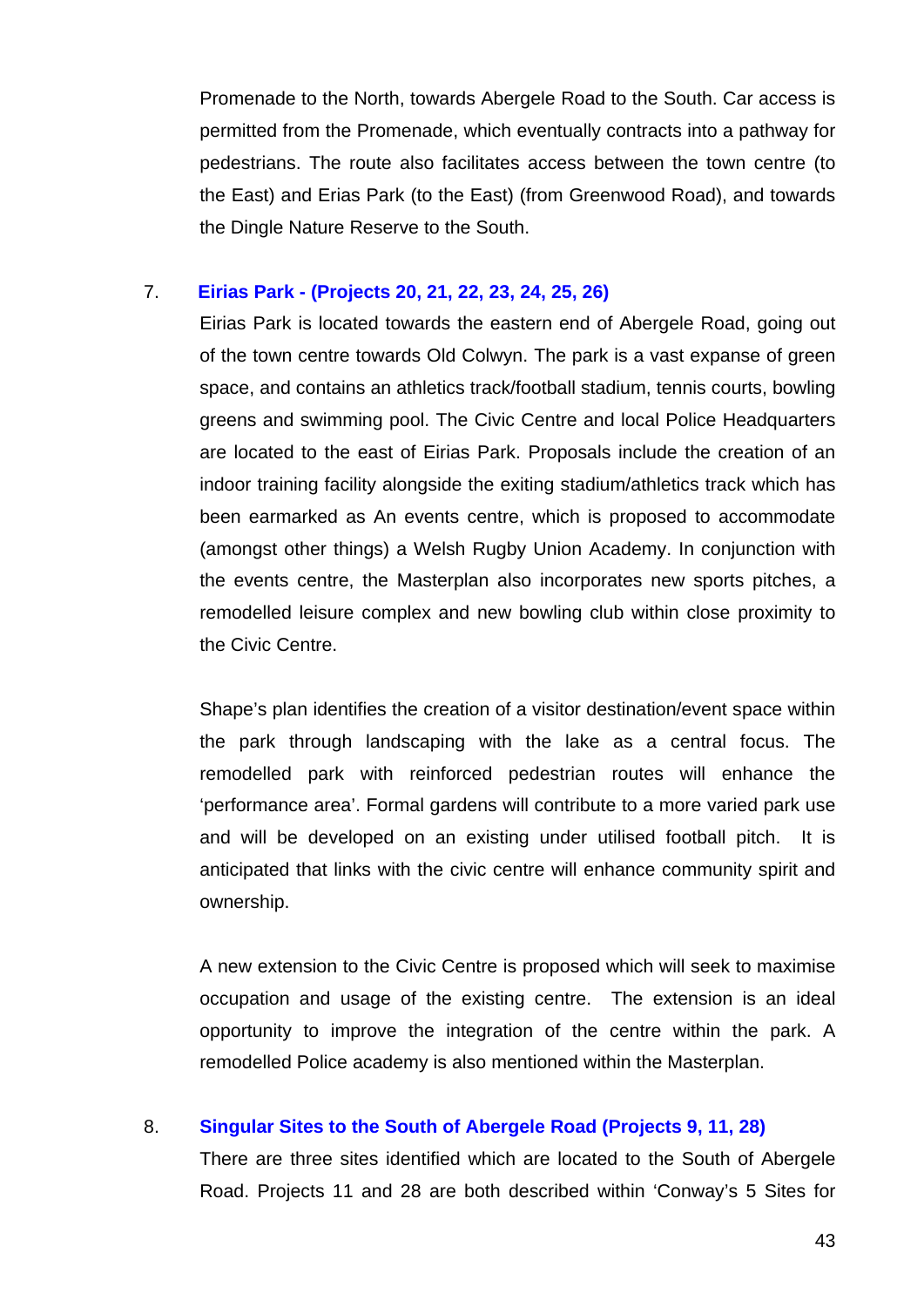Promenade to the North, towards Abergele Road to the South. Car access is permitted from the Promenade, which eventually contracts into a pathway for pedestrians. The route also facilitates access between the town centre (to the East) and Erias Park (to the East) (from Greenwood Road), and towards the Dingle Nature Reserve to the South.

#### 7. **Eirias Park - (Projects 20, 21, 22, 23, 24, 25, 26)**

Eirias Park is located towards the eastern end of Abergele Road, going out of the town centre towards Old Colwyn. The park is a vast expanse of green space, and contains an athletics track/football stadium, tennis courts, bowling greens and swimming pool. The Civic Centre and local Police Headquarters are located to the east of Eirias Park. Proposals include the creation of an indoor training facility alongside the exiting stadium/athletics track which has been earmarked as An events centre, which is proposed to accommodate (amongst other things) a Welsh Rugby Union Academy. In conjunction with the events centre, the Masterplan also incorporates new sports pitches, a remodelled leisure complex and new bowling club within close proximity to the Civic Centre.

Shape's plan identifies the creation of a visitor destination/event space within the park through landscaping with the lake as a central focus. The remodelled park with reinforced pedestrian routes will enhance the 'performance area'. Formal gardens will contribute to a more varied park use and will be developed on an existing under utilised football pitch. It is anticipated that links with the civic centre will enhance community spirit and ownership.

A new extension to the Civic Centre is proposed which will seek to maximise occupation and usage of the existing centre. The extension is an ideal opportunity to improve the integration of the centre within the park. A remodelled Police academy is also mentioned within the Masterplan.

## 8. **Singular Sites to the South of Abergele Road (Projects 9, 11, 28)**

There are three sites identified which are located to the South of Abergele Road. Projects 11 and 28 are both described within 'Conway's 5 Sites for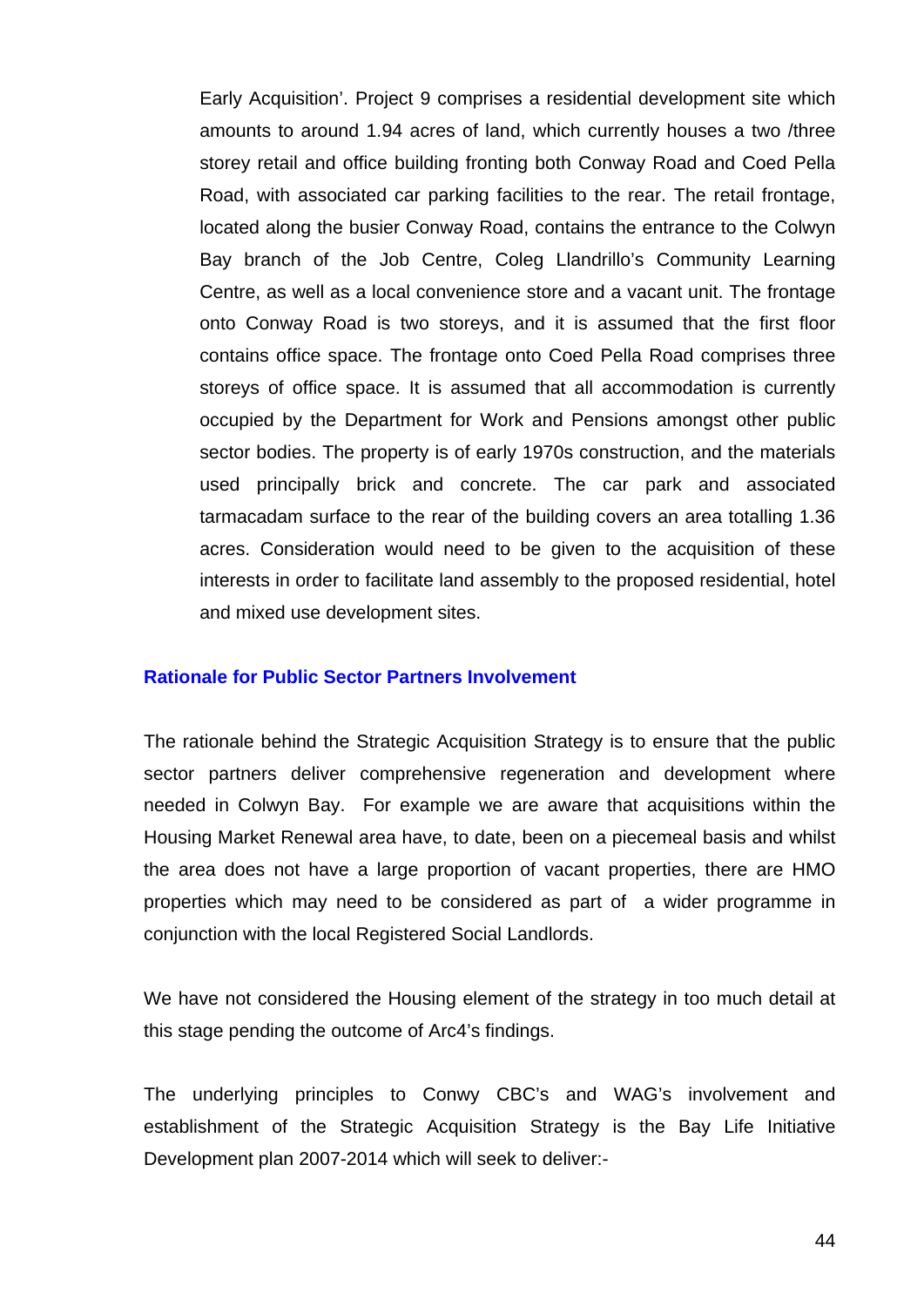Early Acquisition'. Project 9 comprises a residential development site which amounts to around 1.94 acres of land, which currently houses a two /three storey retail and office building fronting both Conway Road and Coed Pella Road, with associated car parking facilities to the rear. The retail frontage, located along the busier Conway Road, contains the entrance to the Colwyn Bay branch of the Job Centre, Coleg Llandrillo's Community Learning Centre, as well as a local convenience store and a vacant unit. The frontage onto Conway Road is two storeys, and it is assumed that the first floor contains office space. The frontage onto Coed Pella Road comprises three storeys of office space. It is assumed that all accommodation is currently occupied by the Department for Work and Pensions amongst other public sector bodies. The property is of early 1970s construction, and the materials used principally brick and concrete. The car park and associated tarmacadam surface to the rear of the building covers an area totalling 1.36 acres. Consideration would need to be given to the acquisition of these interests in order to facilitate land assembly to the proposed residential, hotel and mixed use development sites.

#### **Rationale for Public Sector Partners Involvement**

The rationale behind the Strategic Acquisition Strategy is to ensure that the public sector partners deliver comprehensive regeneration and development where needed in Colwyn Bay. For example we are aware that acquisitions within the Housing Market Renewal area have, to date, been on a piecemeal basis and whilst the area does not have a large proportion of vacant properties, there are HMO properties which may need to be considered as part of a wider programme in conjunction with the local Registered Social Landlords.

We have not considered the Housing element of the strategy in too much detail at this stage pending the outcome of Arc4's findings.

The underlying principles to Conwy CBC's and WAG's involvement and establishment of the Strategic Acquisition Strategy is the Bay Life Initiative Development plan 2007-2014 which will seek to deliver:-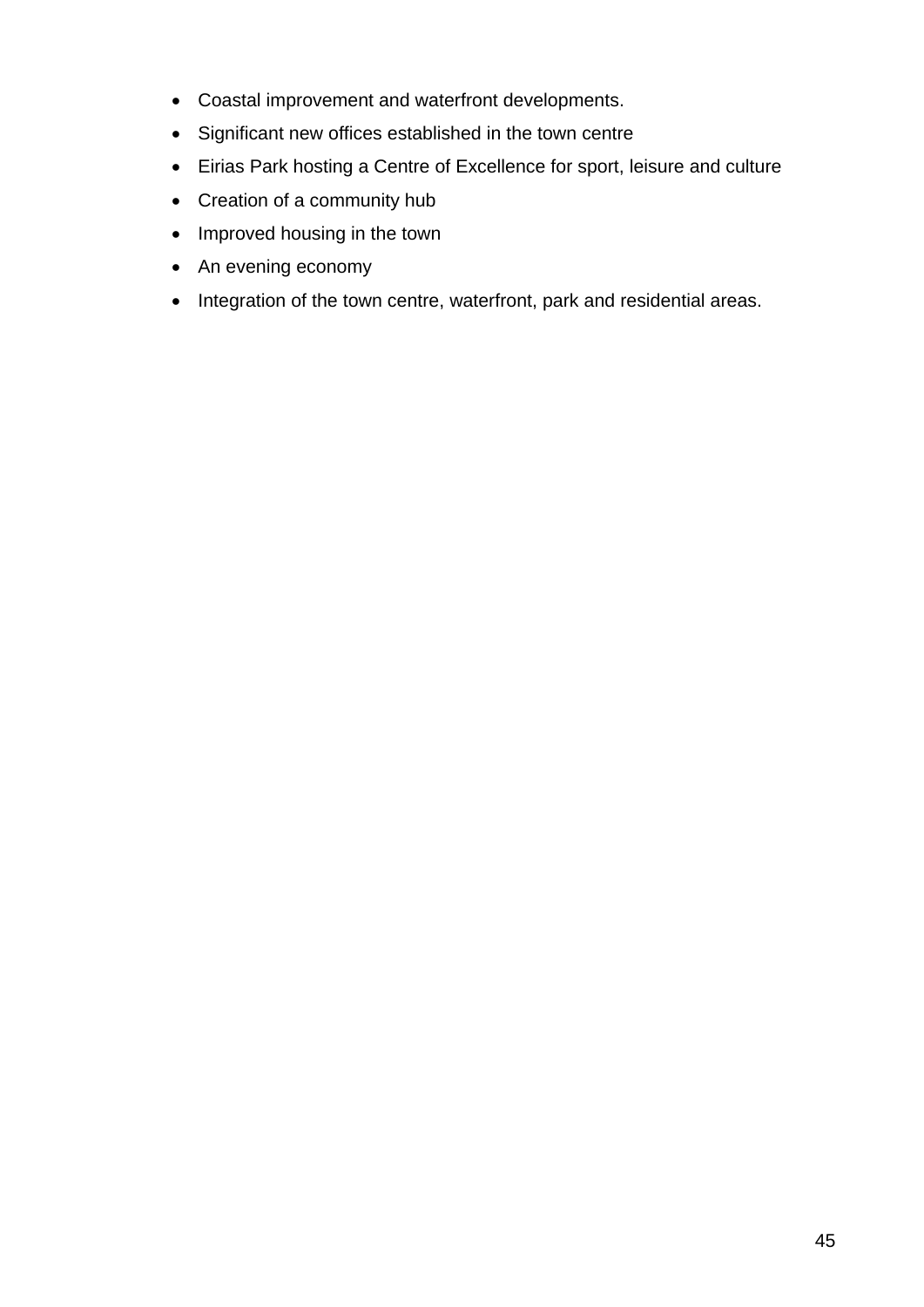- Coastal improvement and waterfront developments.
- Significant new offices established in the town centre
- Eirias Park hosting a Centre of Excellence for sport, leisure and culture
- Creation of a community hub
- Improved housing in the town
- An evening economy
- Integration of the town centre, waterfront, park and residential areas.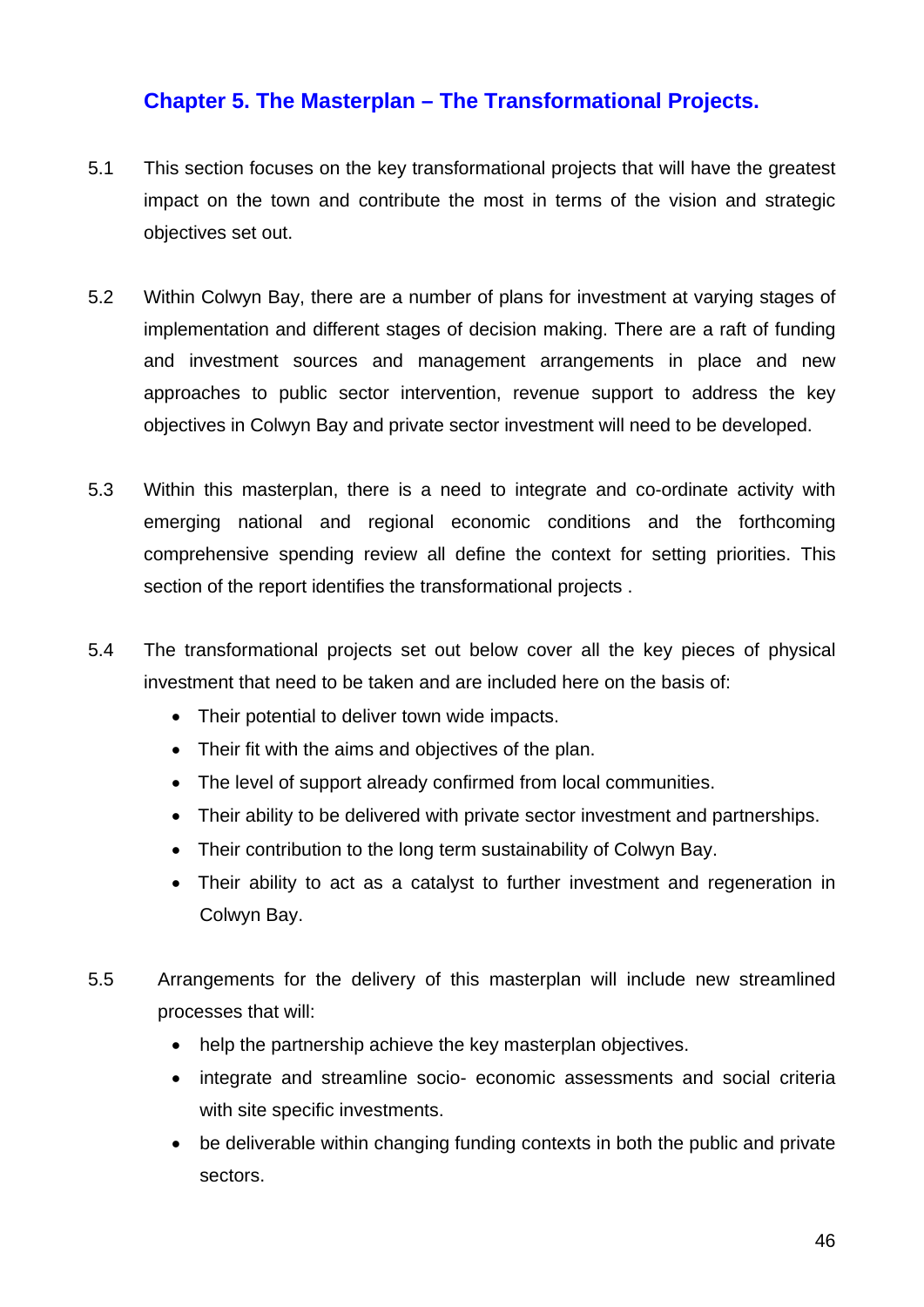# **Chapter 5. The Masterplan – The Transformational Projects.**

- 5.1 This section focuses on the key transformational projects that will have the greatest impact on the town and contribute the most in terms of the vision and strategic objectives set out.
- 5.2 Within Colwyn Bay, there are a number of plans for investment at varying stages of implementation and different stages of decision making. There are a raft of funding and investment sources and management arrangements in place and new approaches to public sector intervention, revenue support to address the key objectives in Colwyn Bay and private sector investment will need to be developed.
- 5.3 Within this masterplan, there is a need to integrate and co-ordinate activity with emerging national and regional economic conditions and the forthcoming comprehensive spending review all define the context for setting priorities. This section of the report identifies the transformational projects .
- 5.4 The transformational projects set out below cover all the key pieces of physical investment that need to be taken and are included here on the basis of:
	- Their potential to deliver town wide impacts.
	- Their fit with the aims and objectives of the plan.
	- The level of support already confirmed from local communities.
	- Their ability to be delivered with private sector investment and partnerships.
	- Their contribution to the long term sustainability of Colwyn Bay.
	- Their ability to act as a catalyst to further investment and regeneration in Colwyn Bay.
- 5.5 Arrangements for the delivery of this masterplan will include new streamlined processes that will:
	- help the partnership achieve the key masterplan objectives.
	- integrate and streamline socio- economic assessments and social criteria with site specific investments.
	- be deliverable within changing funding contexts in both the public and private sectors.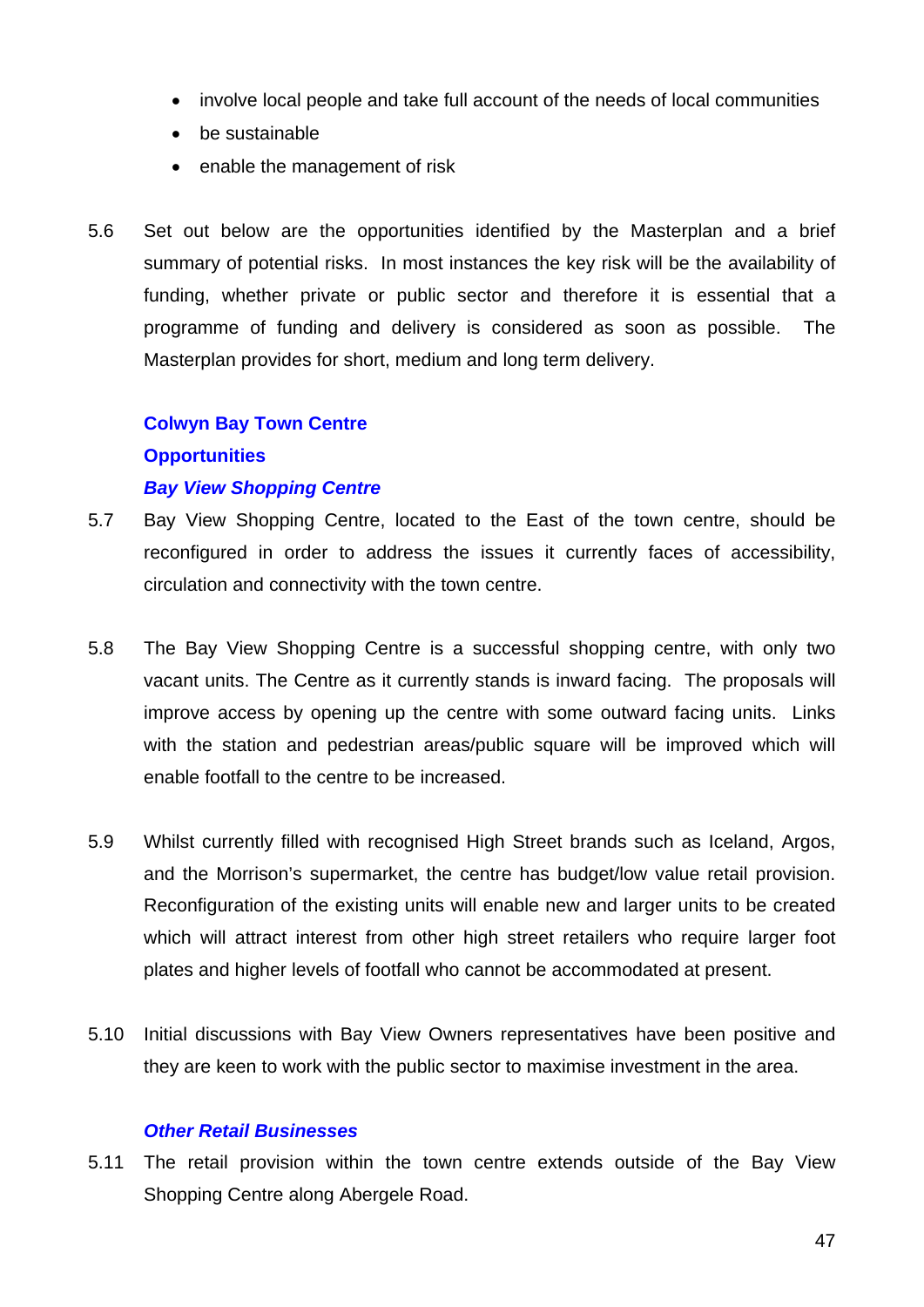- involve local people and take full account of the needs of local communities
- be sustainable
- enable the management of risk
- 5.6 Set out below are the opportunities identified by the Masterplan and a brief summary of potential risks. In most instances the key risk will be the availability of funding, whether private or public sector and therefore it is essential that a programme of funding and delivery is considered as soon as possible. The Masterplan provides for short, medium and long term delivery.

# **Colwyn Bay Town Centre Opportunities**  *Bay View Shopping Centre*

- 5.7 Bay View Shopping Centre, located to the East of the town centre, should be reconfigured in order to address the issues it currently faces of accessibility, circulation and connectivity with the town centre.
- 5.8 The Bay View Shopping Centre is a successful shopping centre, with only two vacant units. The Centre as it currently stands is inward facing. The proposals will improve access by opening up the centre with some outward facing units. Links with the station and pedestrian areas/public square will be improved which will enable footfall to the centre to be increased.
- 5.9 Whilst currently filled with recognised High Street brands such as Iceland, Argos, and the Morrison's supermarket, the centre has budget/low value retail provision. Reconfiguration of the existing units will enable new and larger units to be created which will attract interest from other high street retailers who require larger foot plates and higher levels of footfall who cannot be accommodated at present.
- 5.10 Initial discussions with Bay View Owners representatives have been positive and they are keen to work with the public sector to maximise investment in the area.

#### *Other Retail Businesses*

5.11 The retail provision within the town centre extends outside of the Bay View Shopping Centre along Abergele Road.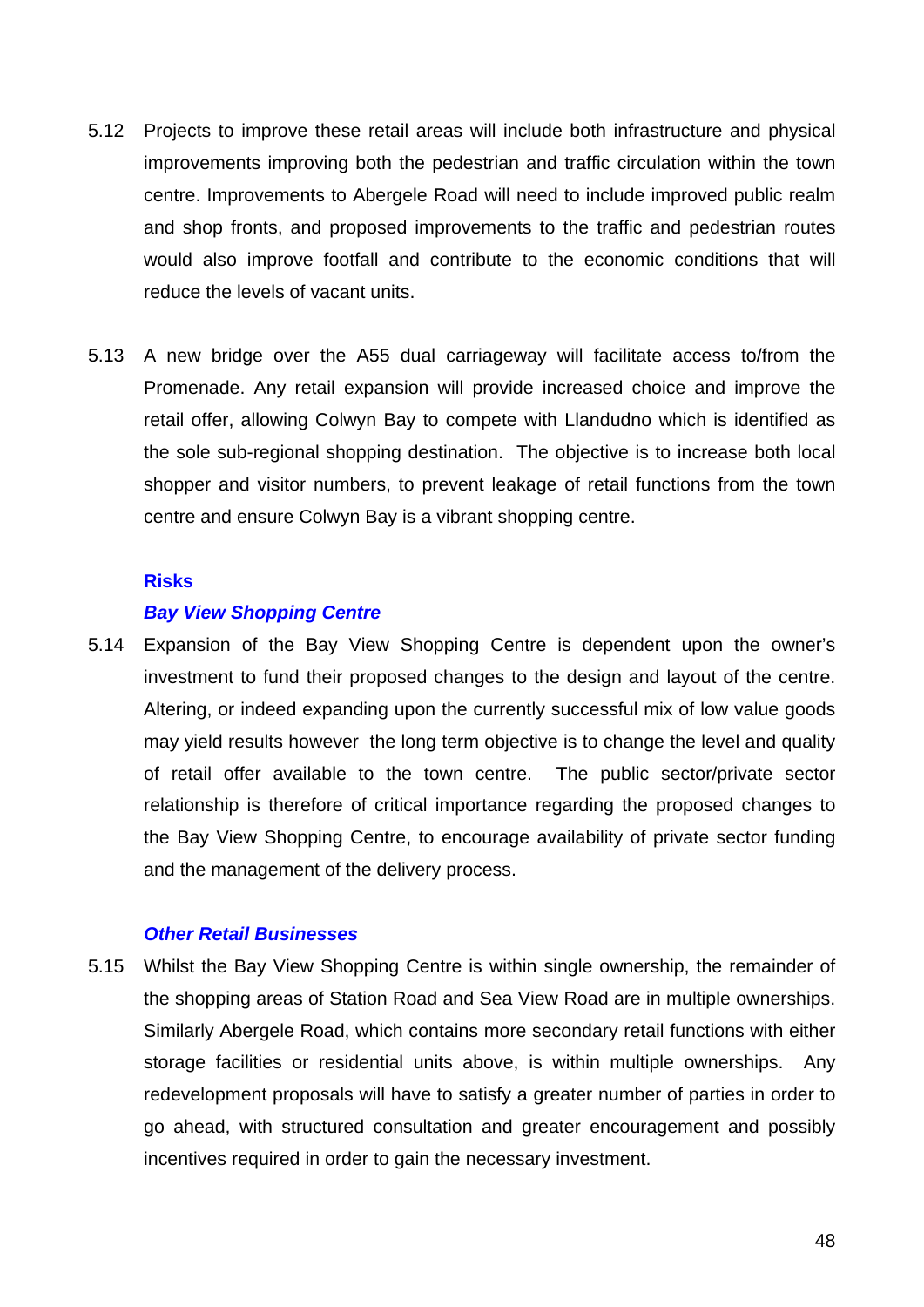- 5.12 Projects to improve these retail areas will include both infrastructure and physical improvements improving both the pedestrian and traffic circulation within the town centre. Improvements to Abergele Road will need to include improved public realm and shop fronts, and proposed improvements to the traffic and pedestrian routes would also improve footfall and contribute to the economic conditions that will reduce the levels of vacant units.
- 5.13 A new bridge over the A55 dual carriageway will facilitate access to/from the Promenade. Any retail expansion will provide increased choice and improve the retail offer, allowing Colwyn Bay to compete with Llandudno which is identified as the sole sub-regional shopping destination. The objective is to increase both local shopper and visitor numbers, to prevent leakage of retail functions from the town centre and ensure Colwyn Bay is a vibrant shopping centre.

#### **Risks**

#### *Bay View Shopping Centre*

5.14 Expansion of the Bay View Shopping Centre is dependent upon the owner's investment to fund their proposed changes to the design and layout of the centre. Altering, or indeed expanding upon the currently successful mix of low value goods may yield results however the long term objective is to change the level and quality of retail offer available to the town centre. The public sector/private sector relationship is therefore of critical importance regarding the proposed changes to the Bay View Shopping Centre, to encourage availability of private sector funding and the management of the delivery process.

#### *Other Retail Businesses*

5.15 Whilst the Bay View Shopping Centre is within single ownership, the remainder of the shopping areas of Station Road and Sea View Road are in multiple ownerships. Similarly Abergele Road, which contains more secondary retail functions with either storage facilities or residential units above, is within multiple ownerships. Any redevelopment proposals will have to satisfy a greater number of parties in order to go ahead, with structured consultation and greater encouragement and possibly incentives required in order to gain the necessary investment.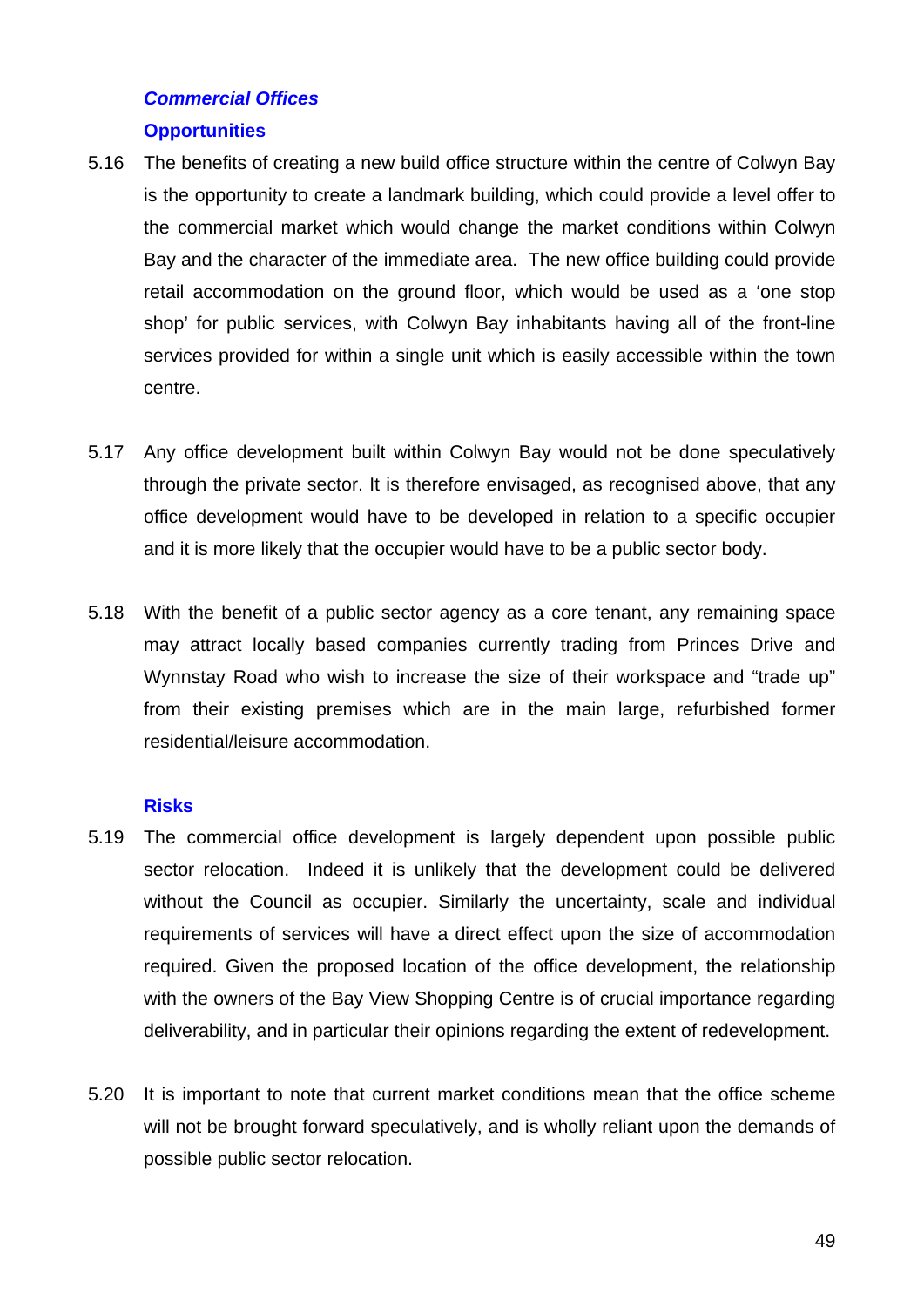# *Commercial Offices*  **Opportunities**

- 5.16 The benefits of creating a new build office structure within the centre of Colwyn Bay is the opportunity to create a landmark building, which could provide a level offer to the commercial market which would change the market conditions within Colwyn Bay and the character of the immediate area. The new office building could provide retail accommodation on the ground floor, which would be used as a 'one stop shop' for public services, with Colwyn Bay inhabitants having all of the front-line services provided for within a single unit which is easily accessible within the town centre.
- 5.17 Any office development built within Colwyn Bay would not be done speculatively through the private sector. It is therefore envisaged, as recognised above, that any office development would have to be developed in relation to a specific occupier and it is more likely that the occupier would have to be a public sector body.
- 5.18 With the benefit of a public sector agency as a core tenant, any remaining space may attract locally based companies currently trading from Princes Drive and Wynnstay Road who wish to increase the size of their workspace and "trade up" from their existing premises which are in the main large, refurbished former residential/leisure accommodation.

## **Risks**

- 5.19 The commercial office development is largely dependent upon possible public sector relocation. Indeed it is unlikely that the development could be delivered without the Council as occupier. Similarly the uncertainty, scale and individual requirements of services will have a direct effect upon the size of accommodation required. Given the proposed location of the office development, the relationship with the owners of the Bay View Shopping Centre is of crucial importance regarding deliverability, and in particular their opinions regarding the extent of redevelopment.
- 5.20 It is important to note that current market conditions mean that the office scheme will not be brought forward speculatively, and is wholly reliant upon the demands of possible public sector relocation.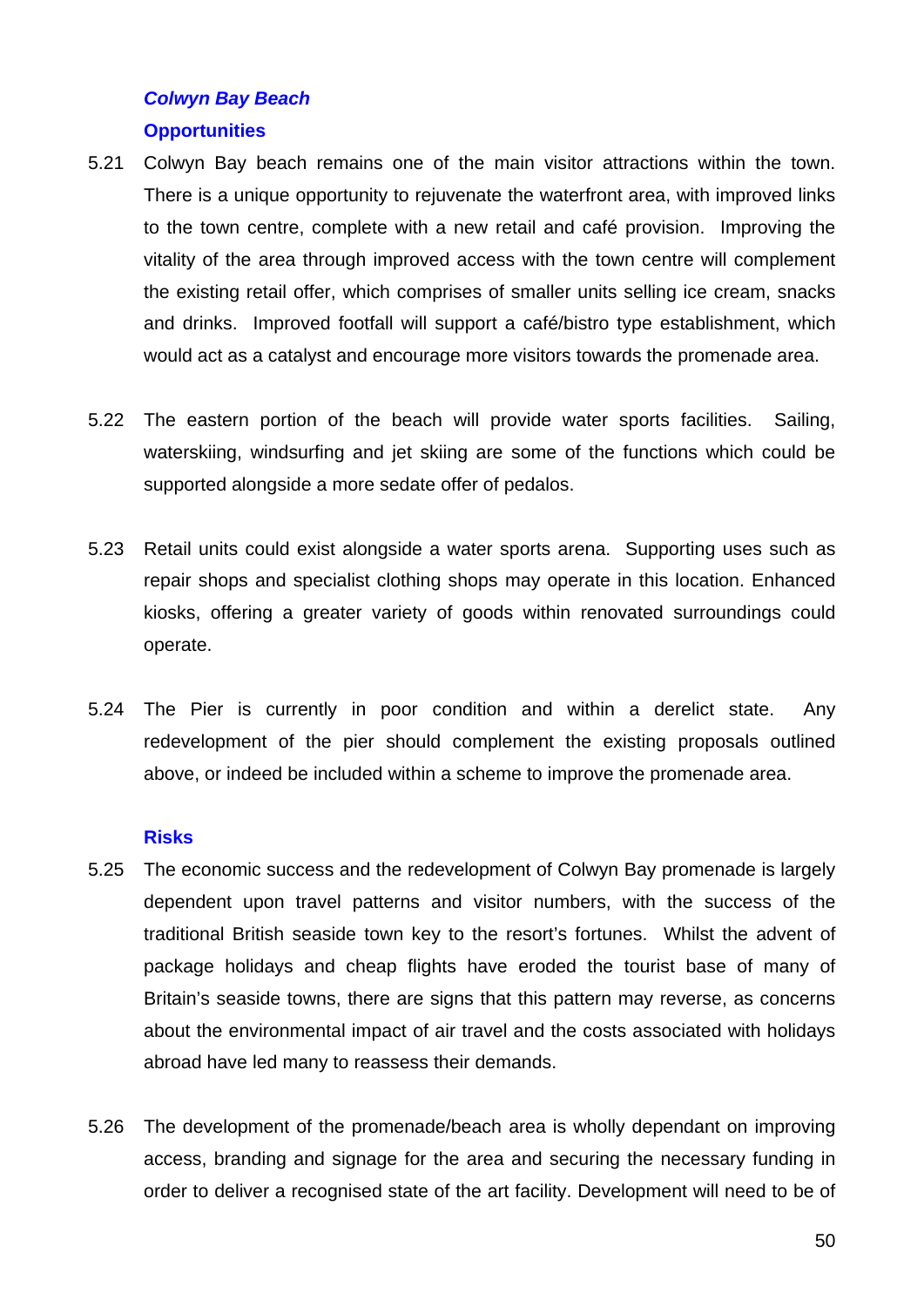# *Colwyn Bay Beach*  **Opportunities**

- 5.21 Colwyn Bay beach remains one of the main visitor attractions within the town. There is a unique opportunity to rejuvenate the waterfront area, with improved links to the town centre, complete with a new retail and café provision. Improving the vitality of the area through improved access with the town centre will complement the existing retail offer, which comprises of smaller units selling ice cream, snacks and drinks. Improved footfall will support a café/bistro type establishment, which would act as a catalyst and encourage more visitors towards the promenade area.
- 5.22 The eastern portion of the beach will provide water sports facilities. Sailing, waterskiing, windsurfing and jet skiing are some of the functions which could be supported alongside a more sedate offer of pedalos.
- 5.23 Retail units could exist alongside a water sports arena. Supporting uses such as repair shops and specialist clothing shops may operate in this location. Enhanced kiosks, offering a greater variety of goods within renovated surroundings could operate.
- 5.24 The Pier is currently in poor condition and within a derelict state. Any redevelopment of the pier should complement the existing proposals outlined above, or indeed be included within a scheme to improve the promenade area.

## **Risks**

- 5.25 The economic success and the redevelopment of Colwyn Bay promenade is largely dependent upon travel patterns and visitor numbers, with the success of the traditional British seaside town key to the resort's fortunes. Whilst the advent of package holidays and cheap flights have eroded the tourist base of many of Britain's seaside towns, there are signs that this pattern may reverse, as concerns about the environmental impact of air travel and the costs associated with holidays abroad have led many to reassess their demands.
- 5.26 The development of the promenade/beach area is wholly dependant on improving access, branding and signage for the area and securing the necessary funding in order to deliver a recognised state of the art facility. Development will need to be of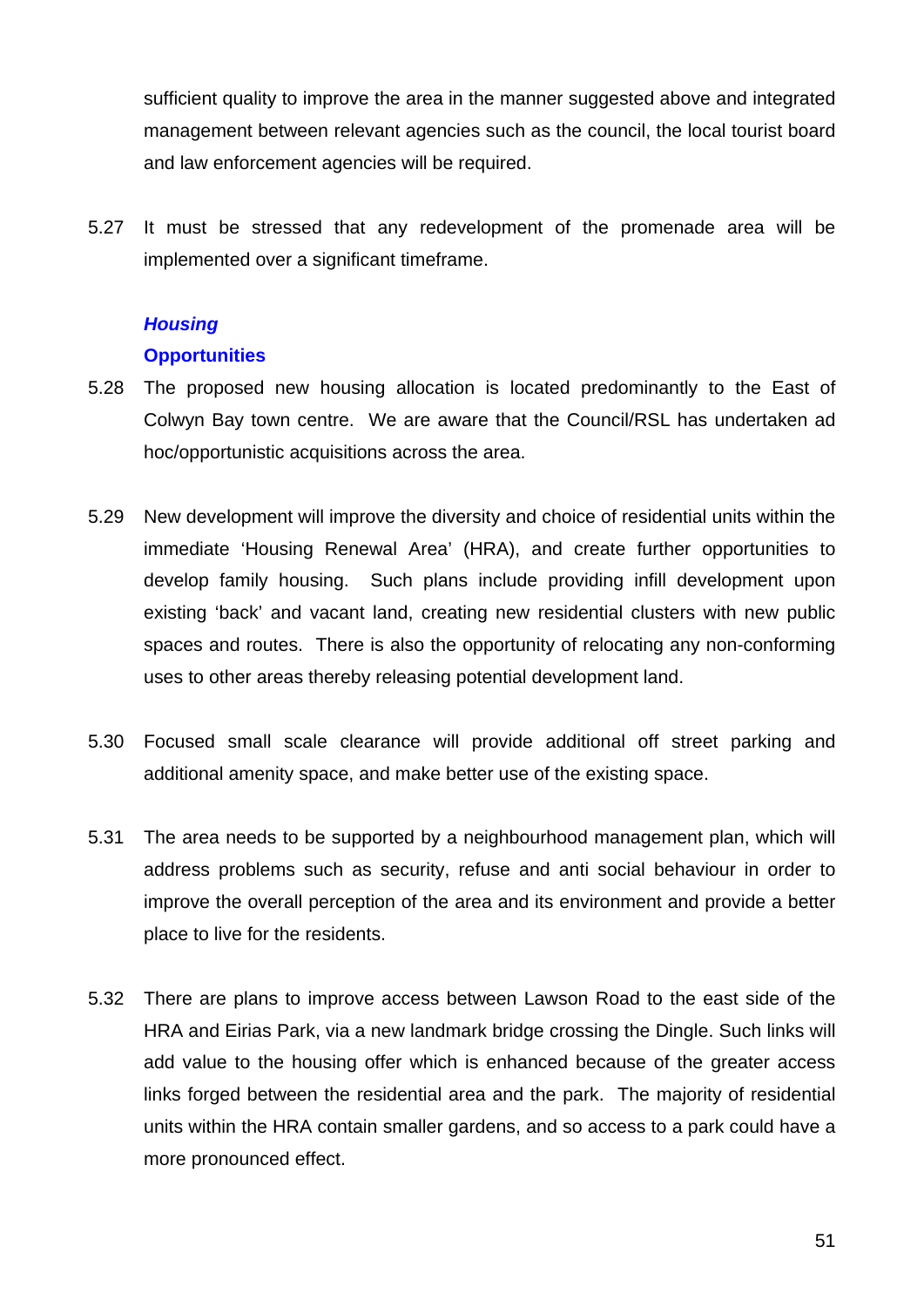sufficient quality to improve the area in the manner suggested above and integrated management between relevant agencies such as the council, the local tourist board and law enforcement agencies will be required.

5.27 It must be stressed that any redevelopment of the promenade area will be implemented over a significant timeframe.

# *Housing*

## **Opportunities**

- 5.28 The proposed new housing allocation is located predominantly to the East of Colwyn Bay town centre. We are aware that the Council/RSL has undertaken ad hoc/opportunistic acquisitions across the area.
- 5.29 New development will improve the diversity and choice of residential units within the immediate 'Housing Renewal Area' (HRA), and create further opportunities to develop family housing. Such plans include providing infill development upon existing 'back' and vacant land, creating new residential clusters with new public spaces and routes. There is also the opportunity of relocating any non-conforming uses to other areas thereby releasing potential development land.
- 5.30 Focused small scale clearance will provide additional off street parking and additional amenity space, and make better use of the existing space.
- 5.31 The area needs to be supported by a neighbourhood management plan, which will address problems such as security, refuse and anti social behaviour in order to improve the overall perception of the area and its environment and provide a better place to live for the residents.
- 5.32 There are plans to improve access between Lawson Road to the east side of the HRA and Eirias Park, via a new landmark bridge crossing the Dingle. Such links will add value to the housing offer which is enhanced because of the greater access links forged between the residential area and the park. The majority of residential units within the HRA contain smaller gardens, and so access to a park could have a more pronounced effect.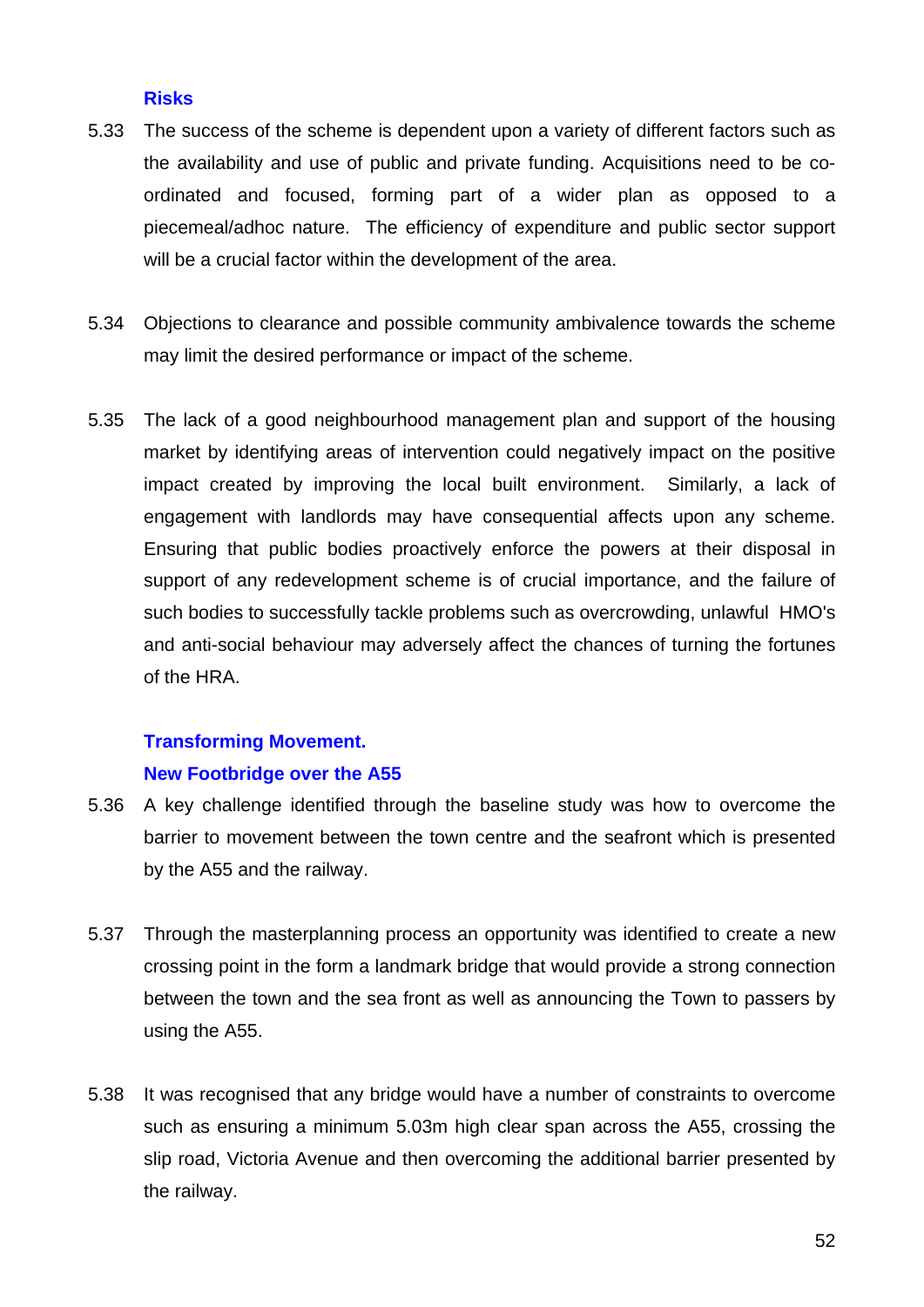## **Risks**

- 5.33 The success of the scheme is dependent upon a variety of different factors such as the availability and use of public and private funding. Acquisitions need to be coordinated and focused, forming part of a wider plan as opposed to a piecemeal/adhoc nature. The efficiency of expenditure and public sector support will be a crucial factor within the development of the area.
- 5.34 Objections to clearance and possible community ambivalence towards the scheme may limit the desired performance or impact of the scheme.
- 5.35 The lack of a good neighbourhood management plan and support of the housing market by identifying areas of intervention could negatively impact on the positive impact created by improving the local built environment. Similarly, a lack of engagement with landlords may have consequential affects upon any scheme. Ensuring that public bodies proactively enforce the powers at their disposal in support of any redevelopment scheme is of crucial importance, and the failure of such bodies to successfully tackle problems such as overcrowding, unlawful HMO's and anti-social behaviour may adversely affect the chances of turning the fortunes of the HRA.

# **Transforming Movement. New Footbridge over the A55**

- 5.36 A key challenge identified through the baseline study was how to overcome the barrier to movement between the town centre and the seafront which is presented by the A55 and the railway.
- 5.37 Through the masterplanning process an opportunity was identified to create a new crossing point in the form a landmark bridge that would provide a strong connection between the town and the sea front as well as announcing the Town to passers by using the A55.
- 5.38 It was recognised that any bridge would have a number of constraints to overcome such as ensuring a minimum 5.03m high clear span across the A55, crossing the slip road, Victoria Avenue and then overcoming the additional barrier presented by the railway.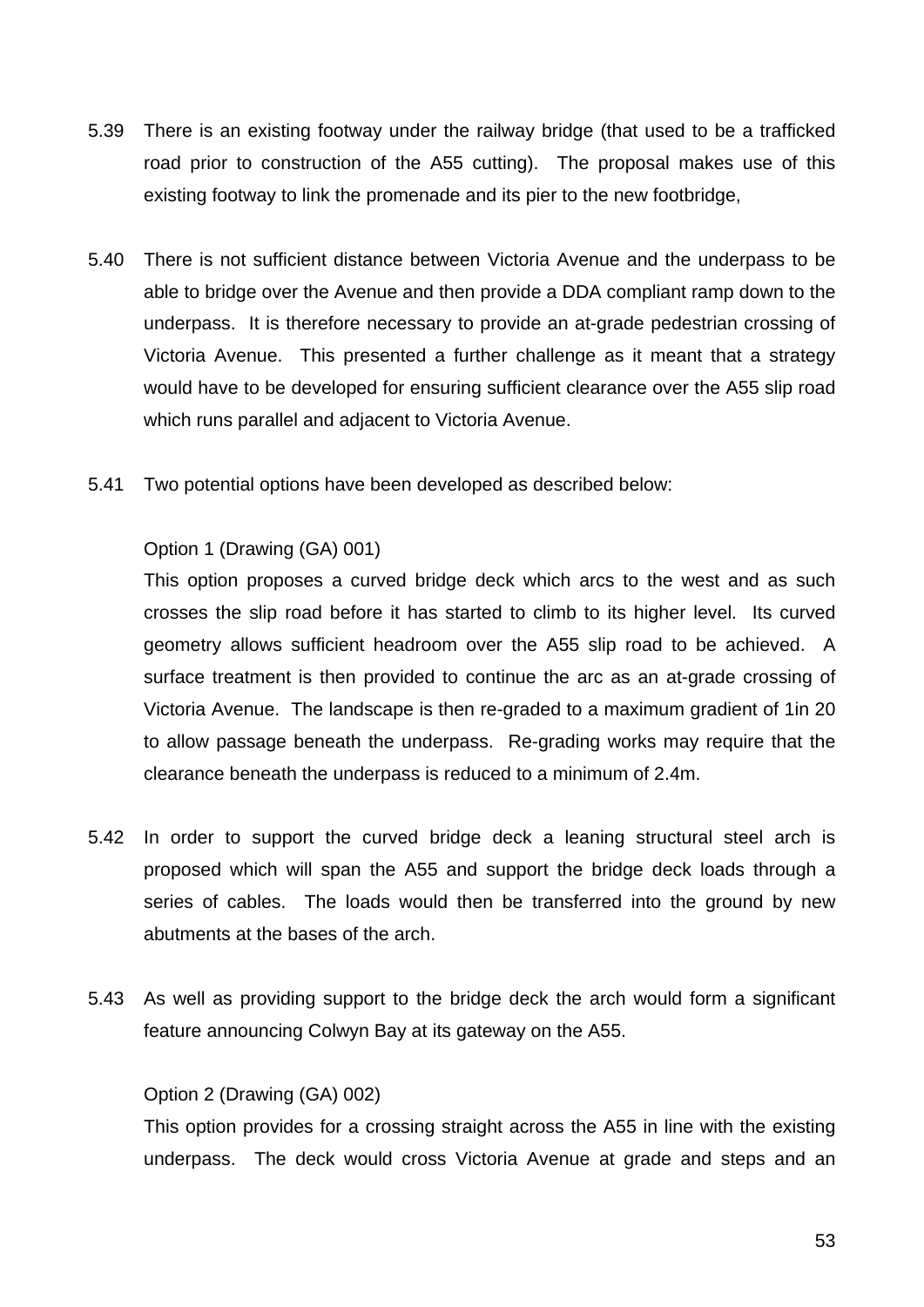- 5.39 There is an existing footway under the railway bridge (that used to be a trafficked road prior to construction of the A55 cutting). The proposal makes use of this existing footway to link the promenade and its pier to the new footbridge,
- 5.40 There is not sufficient distance between Victoria Avenue and the underpass to be able to bridge over the Avenue and then provide a DDA compliant ramp down to the underpass. It is therefore necessary to provide an at-grade pedestrian crossing of Victoria Avenue. This presented a further challenge as it meant that a strategy would have to be developed for ensuring sufficient clearance over the A55 slip road which runs parallel and adjacent to Victoria Avenue.
- 5.41 Two potential options have been developed as described below:

## Option 1 (Drawing (GA) 001)

This option proposes a curved bridge deck which arcs to the west and as such crosses the slip road before it has started to climb to its higher level. Its curved geometry allows sufficient headroom over the A55 slip road to be achieved. A surface treatment is then provided to continue the arc as an at-grade crossing of Victoria Avenue. The landscape is then re-graded to a maximum gradient of 1in 20 to allow passage beneath the underpass. Re-grading works may require that the clearance beneath the underpass is reduced to a minimum of 2.4m.

- 5.42 In order to support the curved bridge deck a leaning structural steel arch is proposed which will span the A55 and support the bridge deck loads through a series of cables. The loads would then be transferred into the ground by new abutments at the bases of the arch.
- 5.43 As well as providing support to the bridge deck the arch would form a significant feature announcing Colwyn Bay at its gateway on the A55.

#### Option 2 (Drawing (GA) 002)

This option provides for a crossing straight across the A55 in line with the existing underpass. The deck would cross Victoria Avenue at grade and steps and an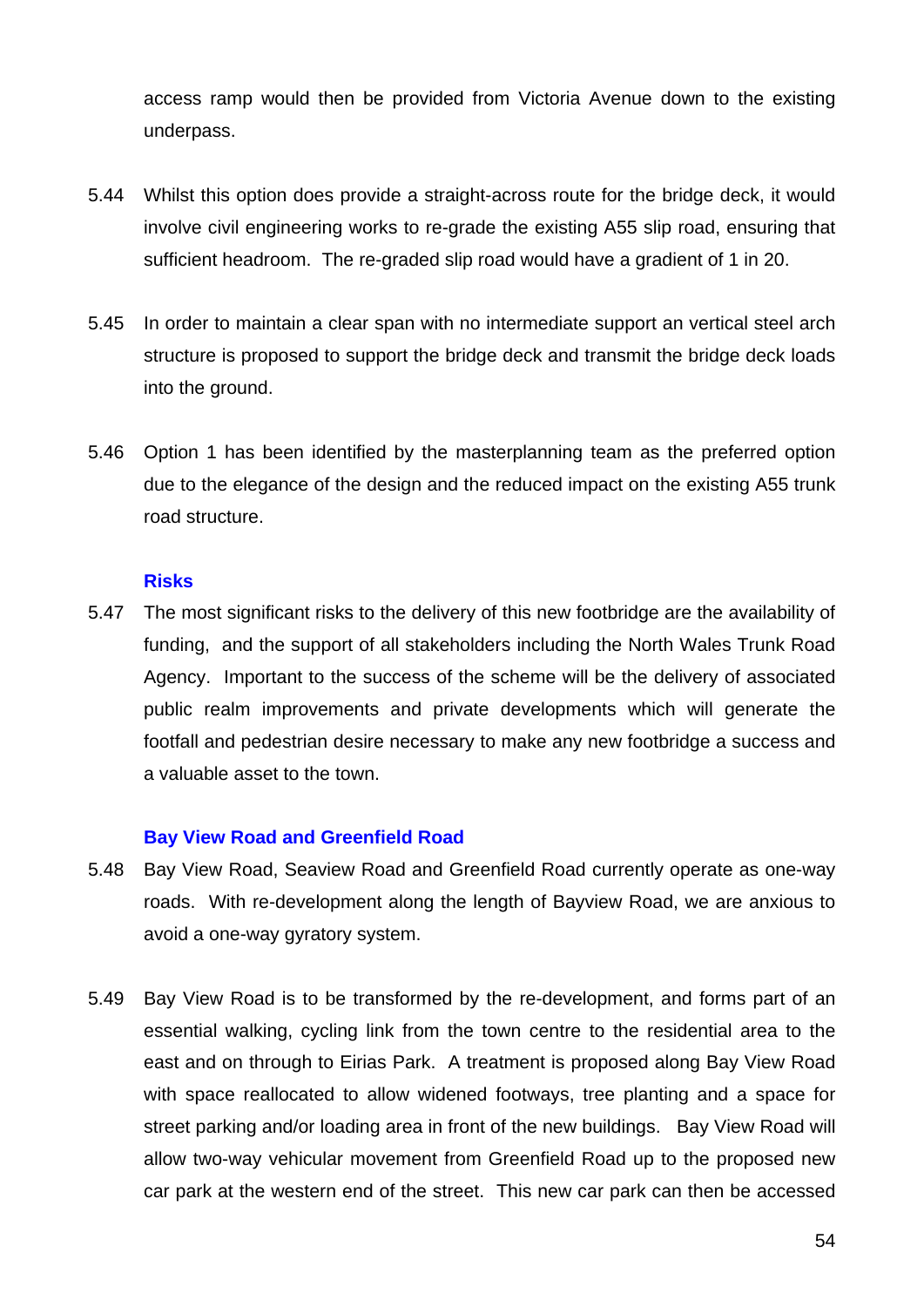access ramp would then be provided from Victoria Avenue down to the existing underpass.

- 5.44 Whilst this option does provide a straight-across route for the bridge deck, it would involve civil engineering works to re-grade the existing A55 slip road, ensuring that sufficient headroom. The re-graded slip road would have a gradient of 1 in 20.
- 5.45 In order to maintain a clear span with no intermediate support an vertical steel arch structure is proposed to support the bridge deck and transmit the bridge deck loads into the ground.
- 5.46 Option 1 has been identified by the masterplanning team as the preferred option due to the elegance of the design and the reduced impact on the existing A55 trunk road structure.

#### **Risks**

5.47 The most significant risks to the delivery of this new footbridge are the availability of funding, and the support of all stakeholders including the North Wales Trunk Road Agency. Important to the success of the scheme will be the delivery of associated public realm improvements and private developments which will generate the footfall and pedestrian desire necessary to make any new footbridge a success and a valuable asset to the town.

#### **Bay View Road and Greenfield Road**

- 5.48 Bay View Road, Seaview Road and Greenfield Road currently operate as one-way roads. With re-development along the length of Bayview Road, we are anxious to avoid a one-way gyratory system.
- 5.49 Bay View Road is to be transformed by the re-development, and forms part of an essential walking, cycling link from the town centre to the residential area to the east and on through to Eirias Park. A treatment is proposed along Bay View Road with space reallocated to allow widened footways, tree planting and a space for street parking and/or loading area in front of the new buildings. Bay View Road will allow two-way vehicular movement from Greenfield Road up to the proposed new car park at the western end of the street. This new car park can then be accessed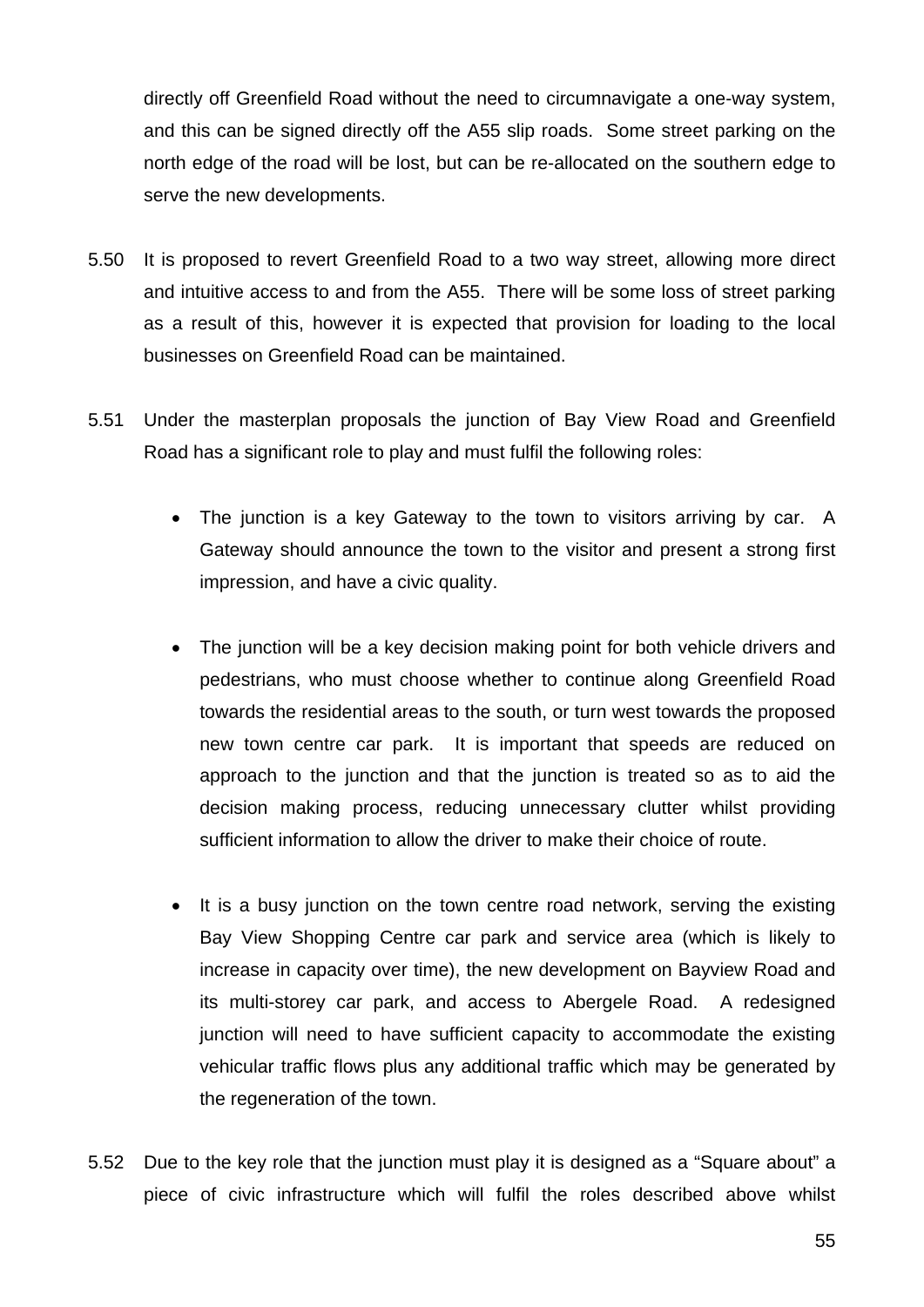directly off Greenfield Road without the need to circumnavigate a one-way system, and this can be signed directly off the A55 slip roads. Some street parking on the north edge of the road will be lost, but can be re-allocated on the southern edge to serve the new developments.

- 5.50 It is proposed to revert Greenfield Road to a two way street, allowing more direct and intuitive access to and from the A55. There will be some loss of street parking as a result of this, however it is expected that provision for loading to the local businesses on Greenfield Road can be maintained.
- 5.51 Under the masterplan proposals the junction of Bay View Road and Greenfield Road has a significant role to play and must fulfil the following roles:
	- The junction is a key Gateway to the town to visitors arriving by car. A Gateway should announce the town to the visitor and present a strong first impression, and have a civic quality.
	- The junction will be a key decision making point for both vehicle drivers and pedestrians, who must choose whether to continue along Greenfield Road towards the residential areas to the south, or turn west towards the proposed new town centre car park. It is important that speeds are reduced on approach to the junction and that the junction is treated so as to aid the decision making process, reducing unnecessary clutter whilst providing sufficient information to allow the driver to make their choice of route.
	- It is a busy junction on the town centre road network, serving the existing Bay View Shopping Centre car park and service area (which is likely to increase in capacity over time), the new development on Bayview Road and its multi-storey car park, and access to Abergele Road. A redesigned junction will need to have sufficient capacity to accommodate the existing vehicular traffic flows plus any additional traffic which may be generated by the regeneration of the town.
- 5.52 Due to the key role that the junction must play it is designed as a "Square about" a piece of civic infrastructure which will fulfil the roles described above whilst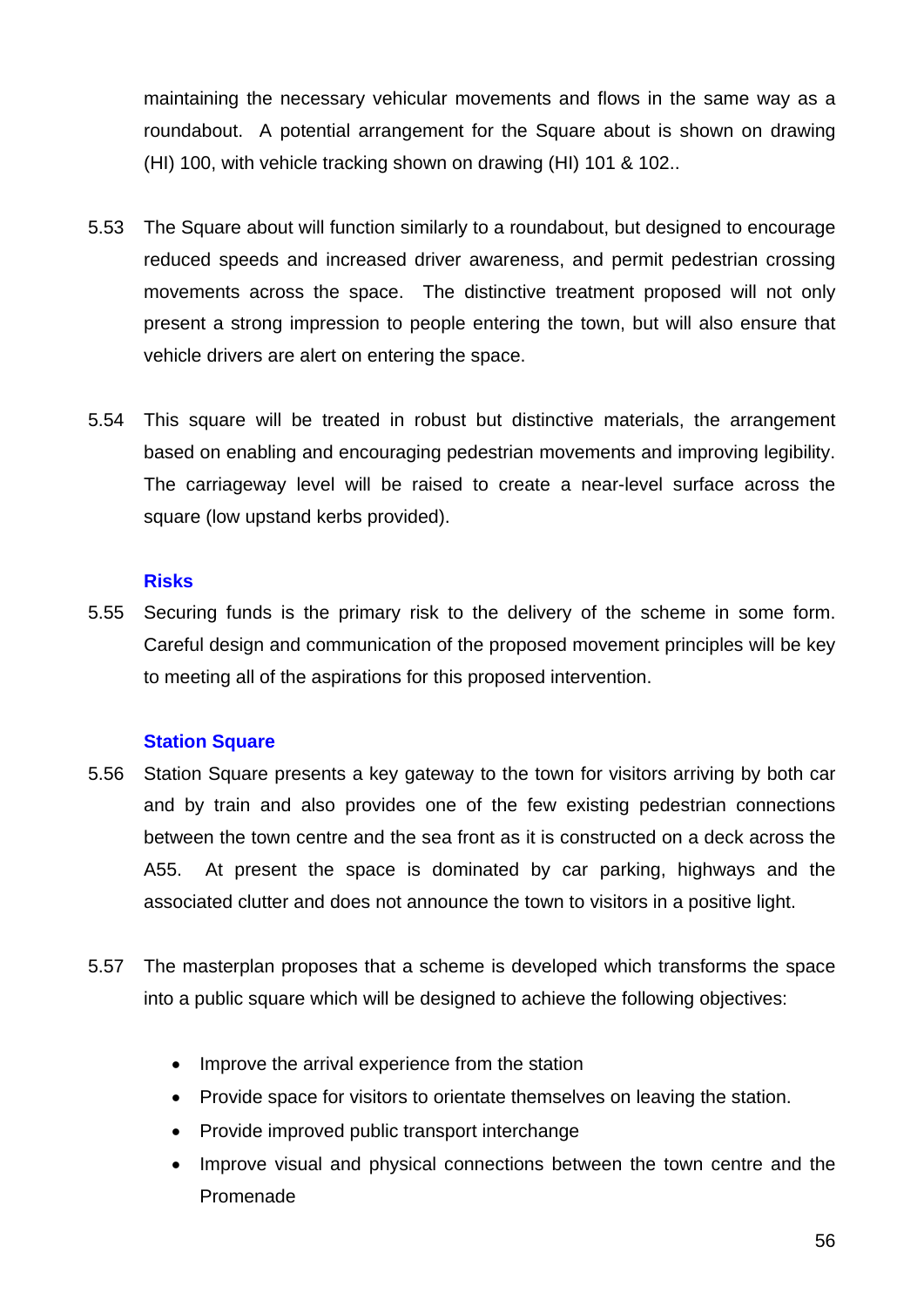maintaining the necessary vehicular movements and flows in the same way as a roundabout. A potential arrangement for the Square about is shown on drawing (HI) 100, with vehicle tracking shown on drawing (HI) 101 & 102..

- 5.53 The Square about will function similarly to a roundabout, but designed to encourage reduced speeds and increased driver awareness, and permit pedestrian crossing movements across the space. The distinctive treatment proposed will not only present a strong impression to people entering the town, but will also ensure that vehicle drivers are alert on entering the space.
- 5.54 This square will be treated in robust but distinctive materials, the arrangement based on enabling and encouraging pedestrian movements and improving legibility. The carriageway level will be raised to create a near-level surface across the square (low upstand kerbs provided).

#### **Risks**

5.55 Securing funds is the primary risk to the delivery of the scheme in some form. Careful design and communication of the proposed movement principles will be key to meeting all of the aspirations for this proposed intervention.

#### **Station Square**

- 5.56 Station Square presents a key gateway to the town for visitors arriving by both car and by train and also provides one of the few existing pedestrian connections between the town centre and the sea front as it is constructed on a deck across the A55. At present the space is dominated by car parking, highways and the associated clutter and does not announce the town to visitors in a positive light.
- 5.57 The masterplan proposes that a scheme is developed which transforms the space into a public square which will be designed to achieve the following objectives:
	- Improve the arrival experience from the station
	- Provide space for visitors to orientate themselves on leaving the station.
	- Provide improved public transport interchange
	- Improve visual and physical connections between the town centre and the Promenade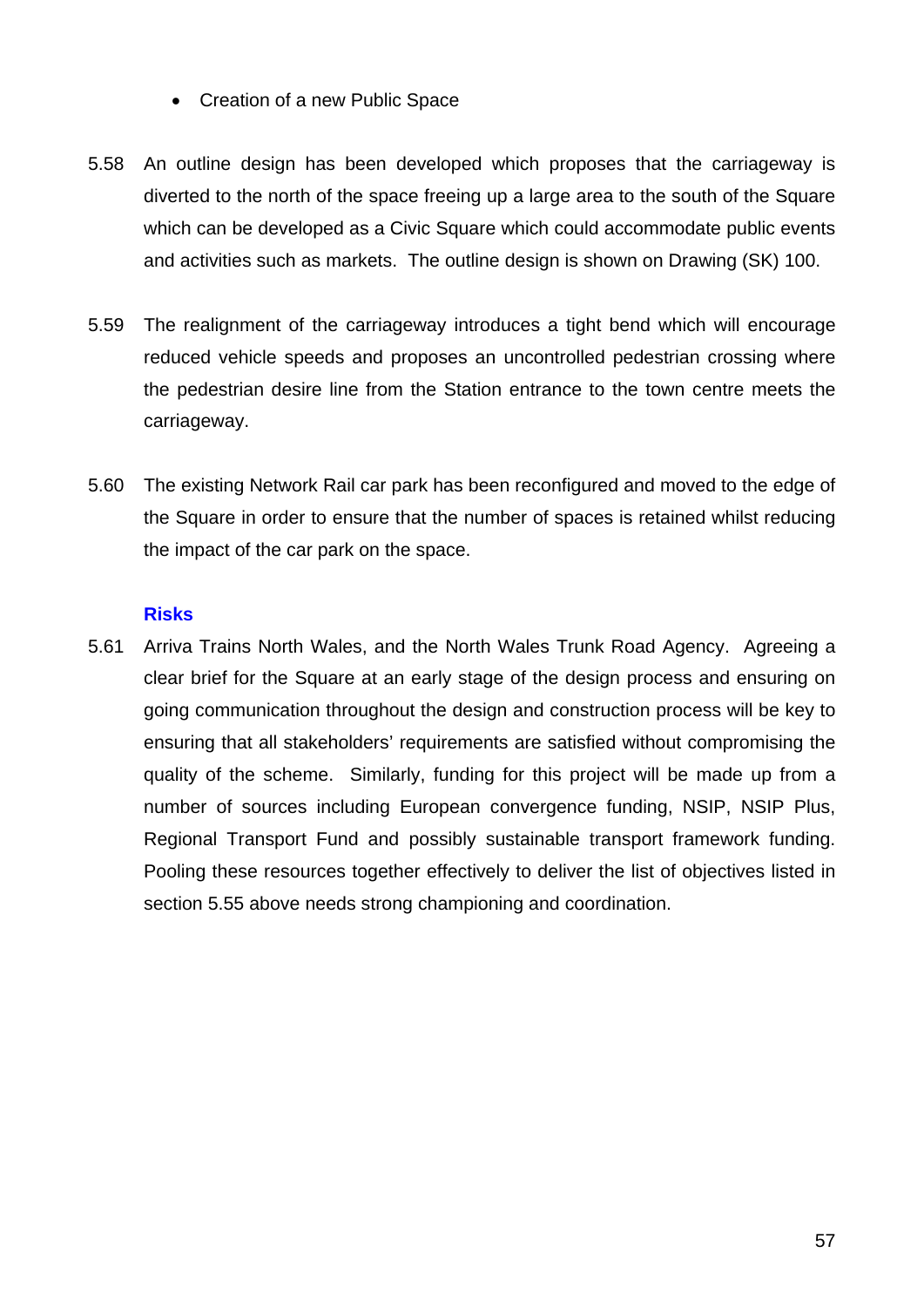- Creation of a new Public Space
- 5.58 An outline design has been developed which proposes that the carriageway is diverted to the north of the space freeing up a large area to the south of the Square which can be developed as a Civic Square which could accommodate public events and activities such as markets. The outline design is shown on Drawing (SK) 100.
- 5.59 The realignment of the carriageway introduces a tight bend which will encourage reduced vehicle speeds and proposes an uncontrolled pedestrian crossing where the pedestrian desire line from the Station entrance to the town centre meets the carriageway.
- 5.60 The existing Network Rail car park has been reconfigured and moved to the edge of the Square in order to ensure that the number of spaces is retained whilst reducing the impact of the car park on the space.

## **Risks**

5.61 Arriva Trains North Wales, and the North Wales Trunk Road Agency. Agreeing a clear brief for the Square at an early stage of the design process and ensuring on going communication throughout the design and construction process will be key to ensuring that all stakeholders' requirements are satisfied without compromising the quality of the scheme. Similarly, funding for this project will be made up from a number of sources including European convergence funding, NSIP, NSIP Plus, Regional Transport Fund and possibly sustainable transport framework funding. Pooling these resources together effectively to deliver the list of objectives listed in section 5.55 above needs strong championing and coordination.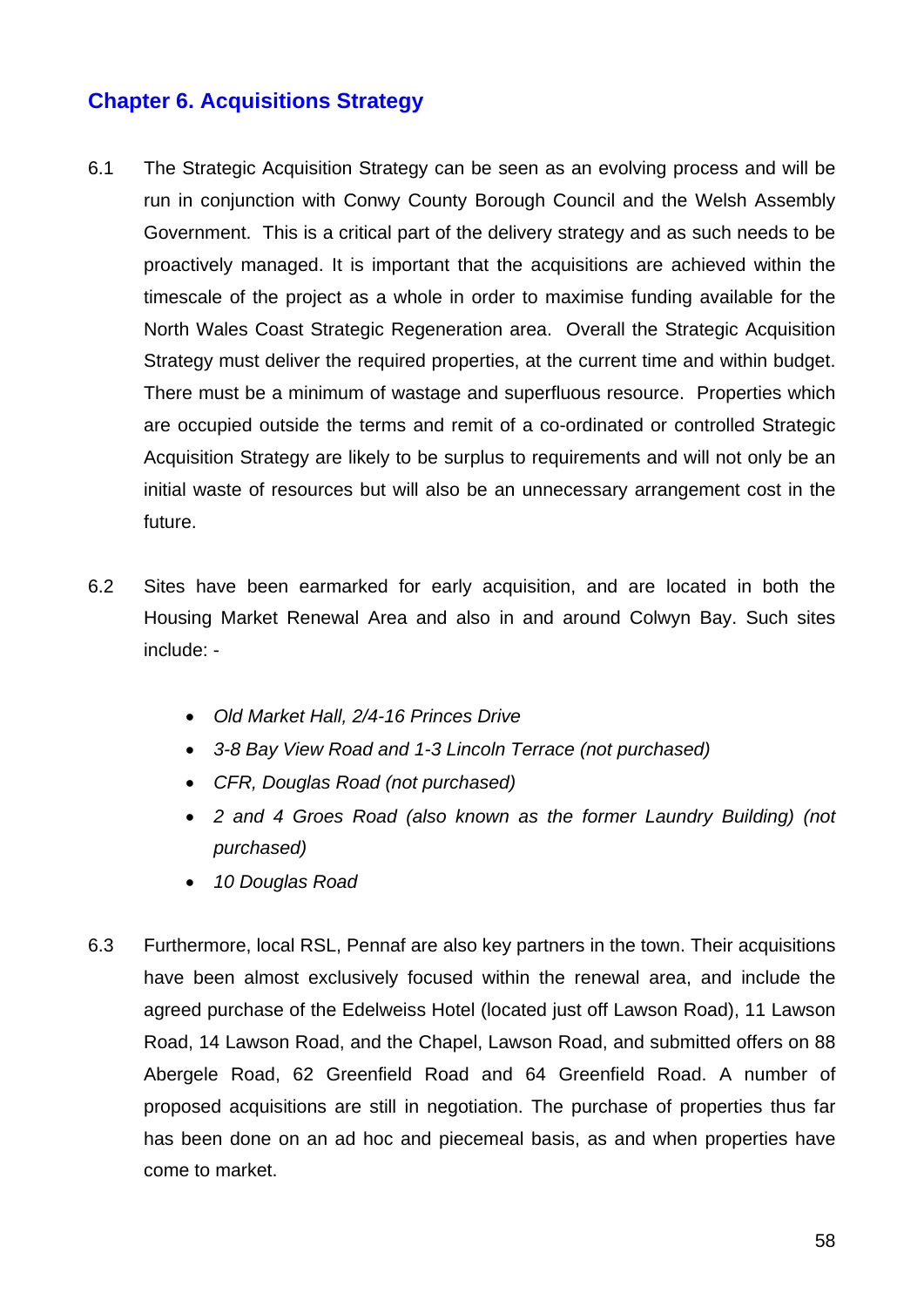# **Chapter 6. Acquisitions Strategy**

- 6.1 The Strategic Acquisition Strategy can be seen as an evolving process and will be run in conjunction with Conwy County Borough Council and the Welsh Assembly Government. This is a critical part of the delivery strategy and as such needs to be proactively managed. It is important that the acquisitions are achieved within the timescale of the project as a whole in order to maximise funding available for the North Wales Coast Strategic Regeneration area. Overall the Strategic Acquisition Strategy must deliver the required properties, at the current time and within budget. There must be a minimum of wastage and superfluous resource. Properties which are occupied outside the terms and remit of a co-ordinated or controlled Strategic Acquisition Strategy are likely to be surplus to requirements and will not only be an initial waste of resources but will also be an unnecessary arrangement cost in the future.
- 6.2 Sites have been earmarked for early acquisition, and are located in both the Housing Market Renewal Area and also in and around Colwyn Bay. Such sites include: -
	- *Old Market Hall, 2/4-16 Princes Drive*
	- *3-8 Bay View Road and 1-3 Lincoln Terrace (not purchased)*
	- *CFR, Douglas Road (not purchased)*
	- *2 and 4 Groes Road (also known as the former Laundry Building) (not purchased)*
	- *10 Douglas Road*
- 6.3 Furthermore, local RSL, Pennaf are also key partners in the town. Their acquisitions have been almost exclusively focused within the renewal area, and include the agreed purchase of the Edelweiss Hotel (located just off Lawson Road), 11 Lawson Road, 14 Lawson Road, and the Chapel, Lawson Road, and submitted offers on 88 Abergele Road, 62 Greenfield Road and 64 Greenfield Road. A number of proposed acquisitions are still in negotiation. The purchase of properties thus far has been done on an ad hoc and piecemeal basis, as and when properties have come to market.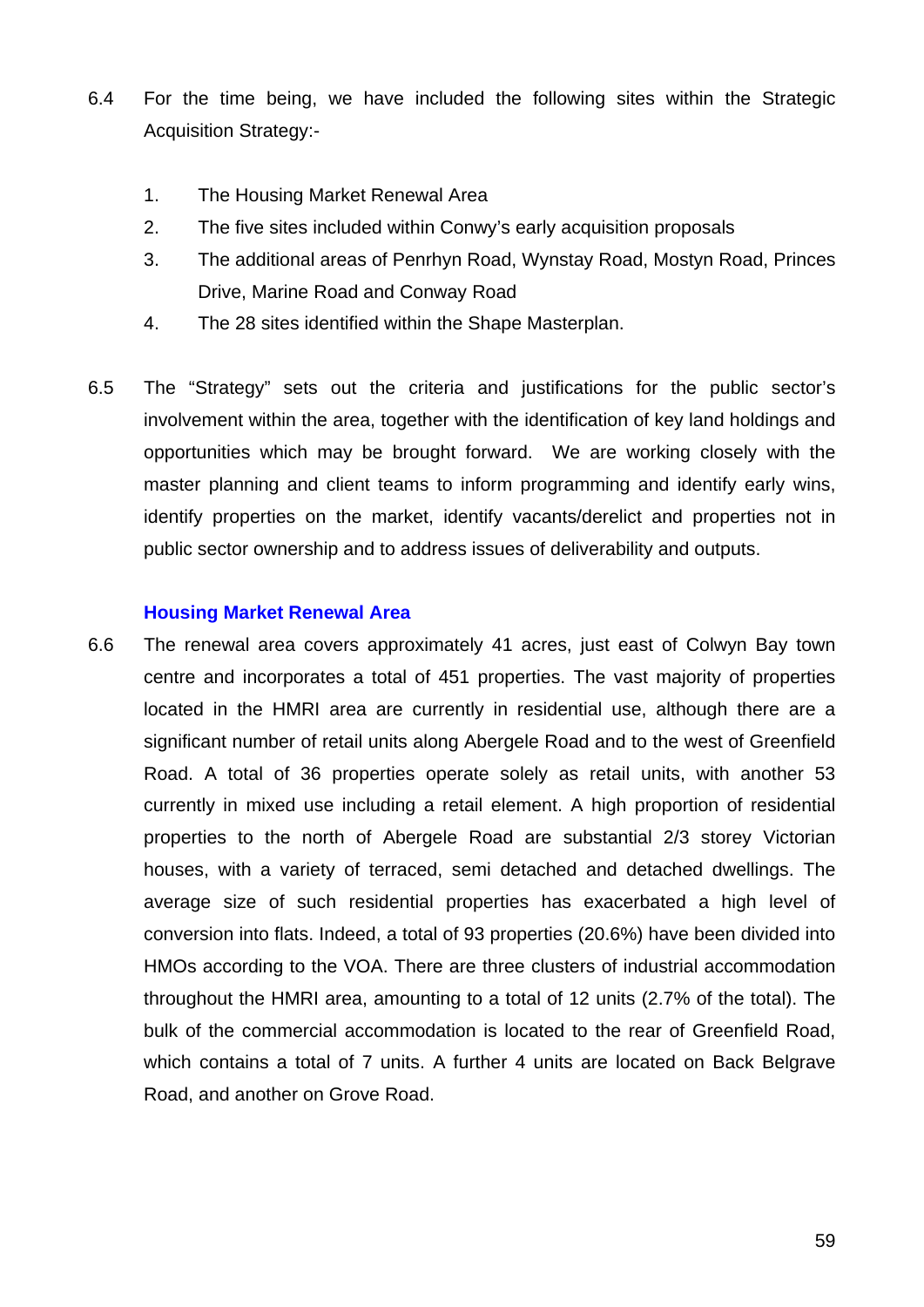- 6.4 For the time being, we have included the following sites within the Strategic Acquisition Strategy:-
	- 1. The Housing Market Renewal Area
	- 2. The five sites included within Conwy's early acquisition proposals
	- 3. The additional areas of Penrhyn Road, Wynstay Road, Mostyn Road, Princes Drive, Marine Road and Conway Road
	- 4. The 28 sites identified within the Shape Masterplan.
- 6.5 The "Strategy" sets out the criteria and justifications for the public sector's involvement within the area, together with the identification of key land holdings and opportunities which may be brought forward. We are working closely with the master planning and client teams to inform programming and identify early wins, identify properties on the market, identify vacants/derelict and properties not in public sector ownership and to address issues of deliverability and outputs.

#### **Housing Market Renewal Area**

6.6 The renewal area covers approximately 41 acres, just east of Colwyn Bay town centre and incorporates a total of 451 properties. The vast majority of properties located in the HMRI area are currently in residential use, although there are a significant number of retail units along Abergele Road and to the west of Greenfield Road. A total of 36 properties operate solely as retail units, with another 53 currently in mixed use including a retail element. A high proportion of residential properties to the north of Abergele Road are substantial 2/3 storey Victorian houses, with a variety of terraced, semi detached and detached dwellings. The average size of such residential properties has exacerbated a high level of conversion into flats. Indeed, a total of 93 properties (20.6%) have been divided into HMOs according to the VOA. There are three clusters of industrial accommodation throughout the HMRI area, amounting to a total of 12 units (2.7% of the total). The bulk of the commercial accommodation is located to the rear of Greenfield Road, which contains a total of 7 units. A further 4 units are located on Back Belgrave Road, and another on Grove Road.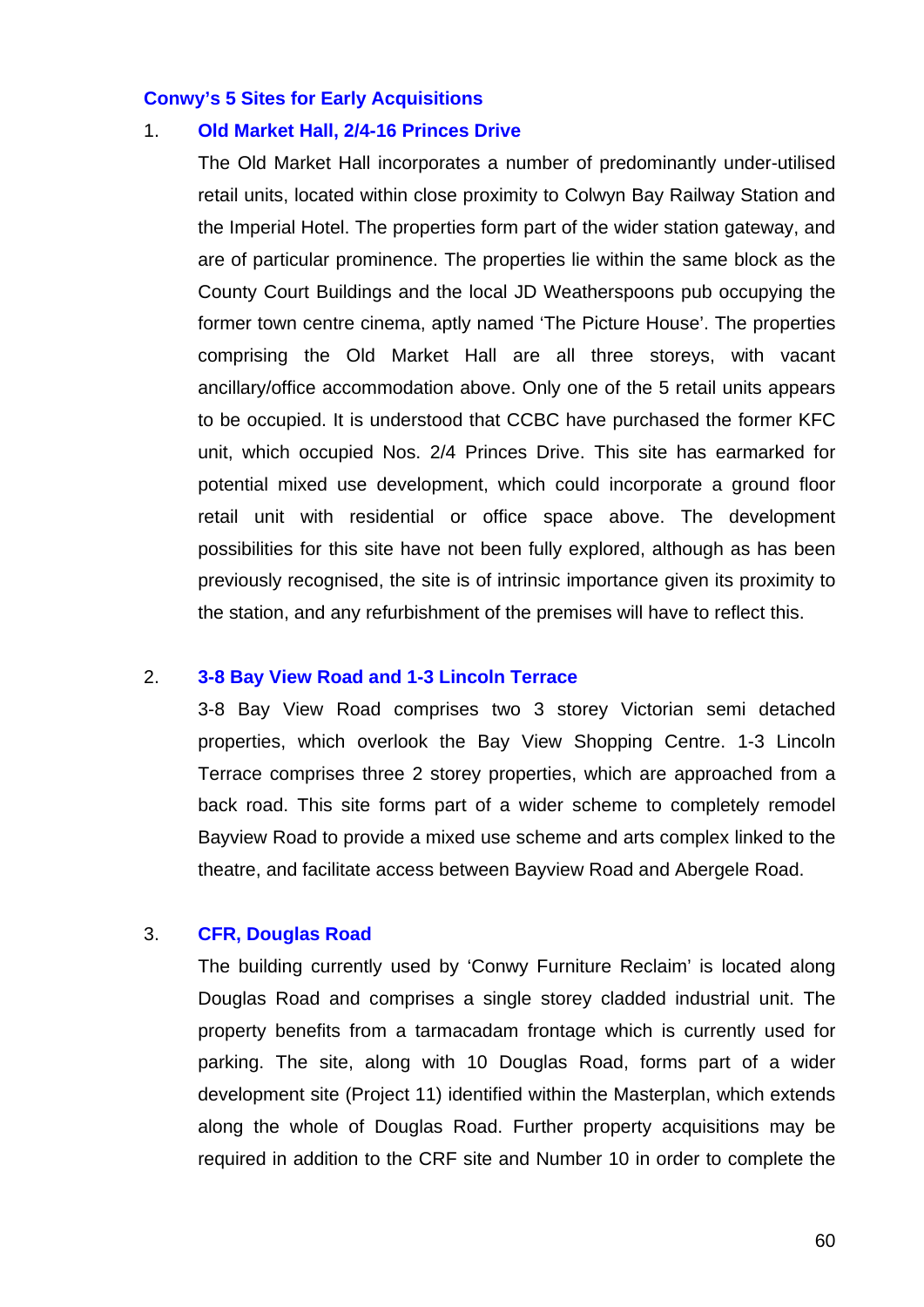#### **Conwy's 5 Sites for Early Acquisitions**

#### 1. **Old Market Hall, 2/4-16 Princes Drive**

The Old Market Hall incorporates a number of predominantly under-utilised retail units, located within close proximity to Colwyn Bay Railway Station and the Imperial Hotel. The properties form part of the wider station gateway, and are of particular prominence. The properties lie within the same block as the County Court Buildings and the local JD Weatherspoons pub occupying the former town centre cinema, aptly named 'The Picture House'. The properties comprising the Old Market Hall are all three storeys, with vacant ancillary/office accommodation above. Only one of the 5 retail units appears to be occupied. It is understood that CCBC have purchased the former KFC unit, which occupied Nos. 2/4 Princes Drive. This site has earmarked for potential mixed use development, which could incorporate a ground floor retail unit with residential or office space above. The development possibilities for this site have not been fully explored, although as has been previously recognised, the site is of intrinsic importance given its proximity to the station, and any refurbishment of the premises will have to reflect this.

#### 2. **3-8 Bay View Road and 1-3 Lincoln Terrace**

3-8 Bay View Road comprises two 3 storey Victorian semi detached properties, which overlook the Bay View Shopping Centre. 1-3 Lincoln Terrace comprises three 2 storey properties, which are approached from a back road. This site forms part of a wider scheme to completely remodel Bayview Road to provide a mixed use scheme and arts complex linked to the theatre, and facilitate access between Bayview Road and Abergele Road.

#### 3. **CFR, Douglas Road**

The building currently used by 'Conwy Furniture Reclaim' is located along Douglas Road and comprises a single storey cladded industrial unit. The property benefits from a tarmacadam frontage which is currently used for parking. The site, along with 10 Douglas Road, forms part of a wider development site (Project 11) identified within the Masterplan, which extends along the whole of Douglas Road. Further property acquisitions may be required in addition to the CRF site and Number 10 in order to complete the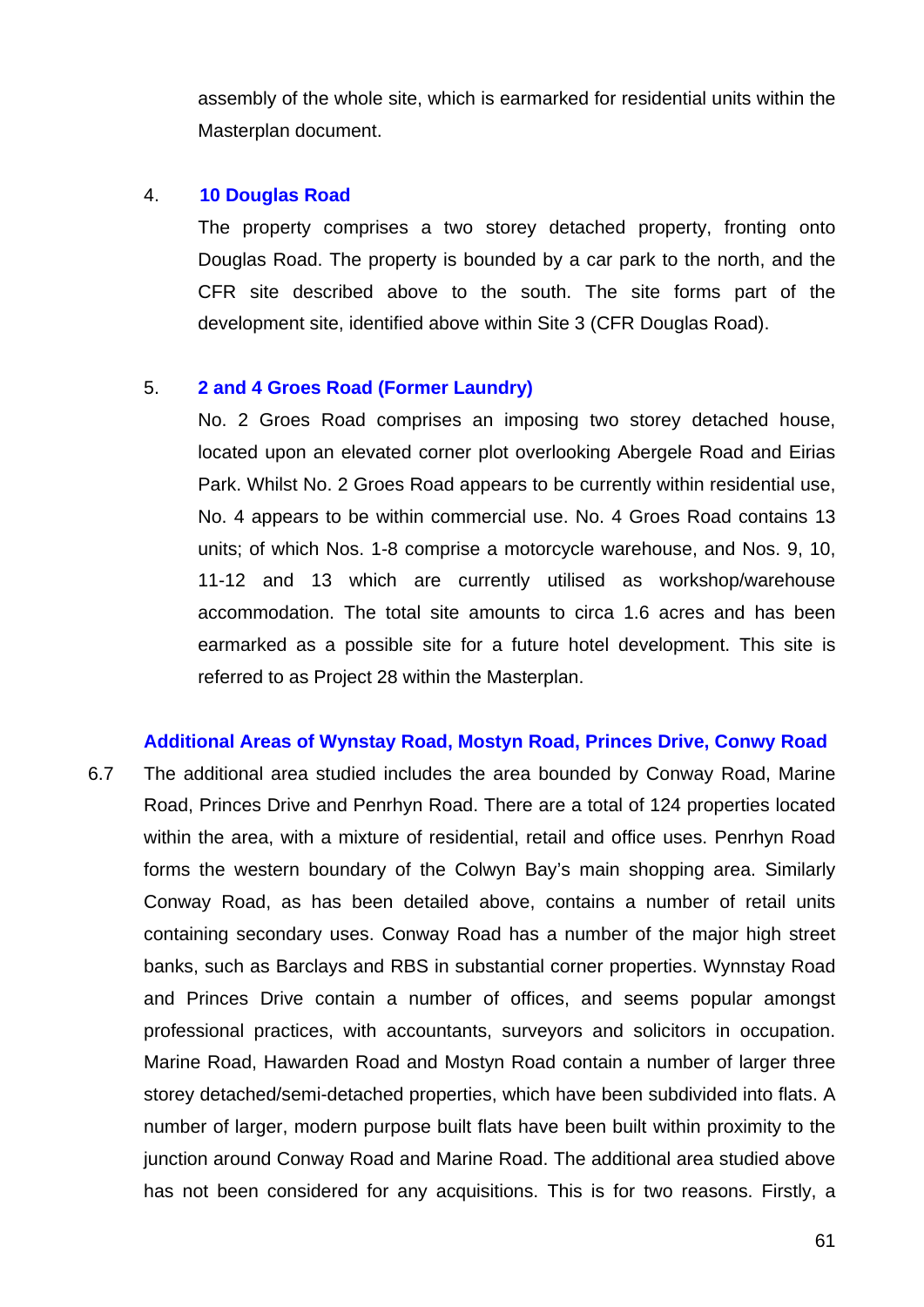assembly of the whole site, which is earmarked for residential units within the Masterplan document.

## 4. **10 Douglas Road**

The property comprises a two storey detached property, fronting onto Douglas Road. The property is bounded by a car park to the north, and the CFR site described above to the south. The site forms part of the development site, identified above within Site 3 (CFR Douglas Road).

## 5. **2 and 4 Groes Road (Former Laundry)**

No. 2 Groes Road comprises an imposing two storey detached house, located upon an elevated corner plot overlooking Abergele Road and Eirias Park. Whilst No. 2 Groes Road appears to be currently within residential use, No. 4 appears to be within commercial use. No. 4 Groes Road contains 13 units; of which Nos. 1-8 comprise a motorcycle warehouse, and Nos. 9, 10, 11-12 and 13 which are currently utilised as workshop/warehouse accommodation. The total site amounts to circa 1.6 acres and has been earmarked as a possible site for a future hotel development. This site is referred to as Project 28 within the Masterplan.

## **Additional Areas of Wynstay Road, Mostyn Road, Princes Drive, Conwy Road**

6.7 The additional area studied includes the area bounded by Conway Road, Marine Road, Princes Drive and Penrhyn Road. There are a total of 124 properties located within the area, with a mixture of residential, retail and office uses. Penrhyn Road forms the western boundary of the Colwyn Bay's main shopping area. Similarly Conway Road, as has been detailed above, contains a number of retail units containing secondary uses. Conway Road has a number of the major high street banks, such as Barclays and RBS in substantial corner properties. Wynnstay Road and Princes Drive contain a number of offices, and seems popular amongst professional practices, with accountants, surveyors and solicitors in occupation. Marine Road, Hawarden Road and Mostyn Road contain a number of larger three storey detached/semi-detached properties, which have been subdivided into flats. A number of larger, modern purpose built flats have been built within proximity to the junction around Conway Road and Marine Road. The additional area studied above has not been considered for any acquisitions. This is for two reasons. Firstly, a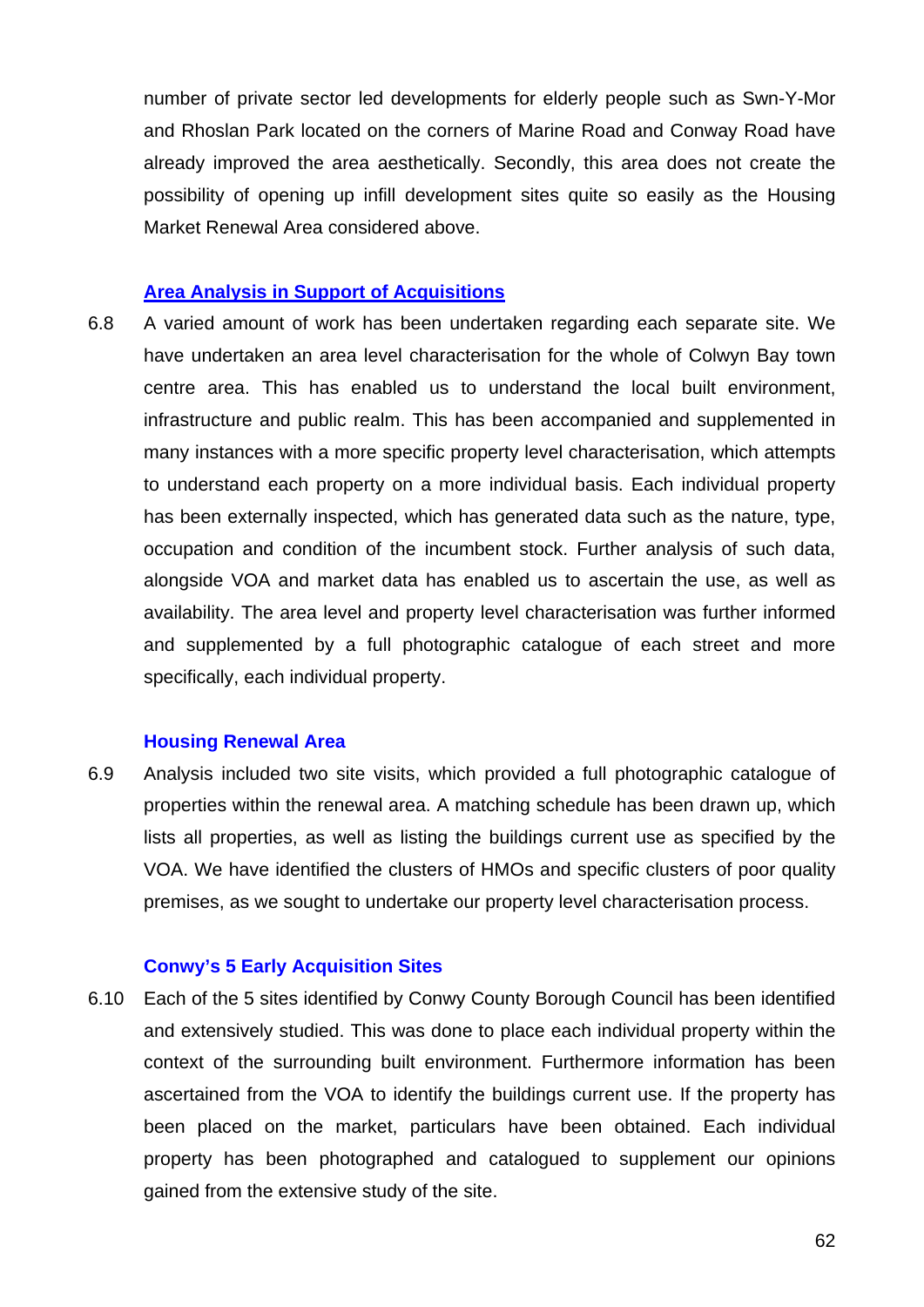number of private sector led developments for elderly people such as Swn-Y-Mor and Rhoslan Park located on the corners of Marine Road and Conway Road have already improved the area aesthetically. Secondly, this area does not create the possibility of opening up infill development sites quite so easily as the Housing Market Renewal Area considered above.

#### **Area Analysis in Support of Acquisitions**

6.8 A varied amount of work has been undertaken regarding each separate site. We have undertaken an area level characterisation for the whole of Colwyn Bay town centre area. This has enabled us to understand the local built environment, infrastructure and public realm. This has been accompanied and supplemented in many instances with a more specific property level characterisation, which attempts to understand each property on a more individual basis. Each individual property has been externally inspected, which has generated data such as the nature, type, occupation and condition of the incumbent stock. Further analysis of such data, alongside VOA and market data has enabled us to ascertain the use, as well as availability. The area level and property level characterisation was further informed and supplemented by a full photographic catalogue of each street and more specifically, each individual property.

#### **Housing Renewal Area**

6.9 Analysis included two site visits, which provided a full photographic catalogue of properties within the renewal area. A matching schedule has been drawn up, which lists all properties, as well as listing the buildings current use as specified by the VOA. We have identified the clusters of HMOs and specific clusters of poor quality premises, as we sought to undertake our property level characterisation process.

#### **Conwy's 5 Early Acquisition Sites**

6.10 Each of the 5 sites identified by Conwy County Borough Council has been identified and extensively studied. This was done to place each individual property within the context of the surrounding built environment. Furthermore information has been ascertained from the VOA to identify the buildings current use. If the property has been placed on the market, particulars have been obtained. Each individual property has been photographed and catalogued to supplement our opinions gained from the extensive study of the site.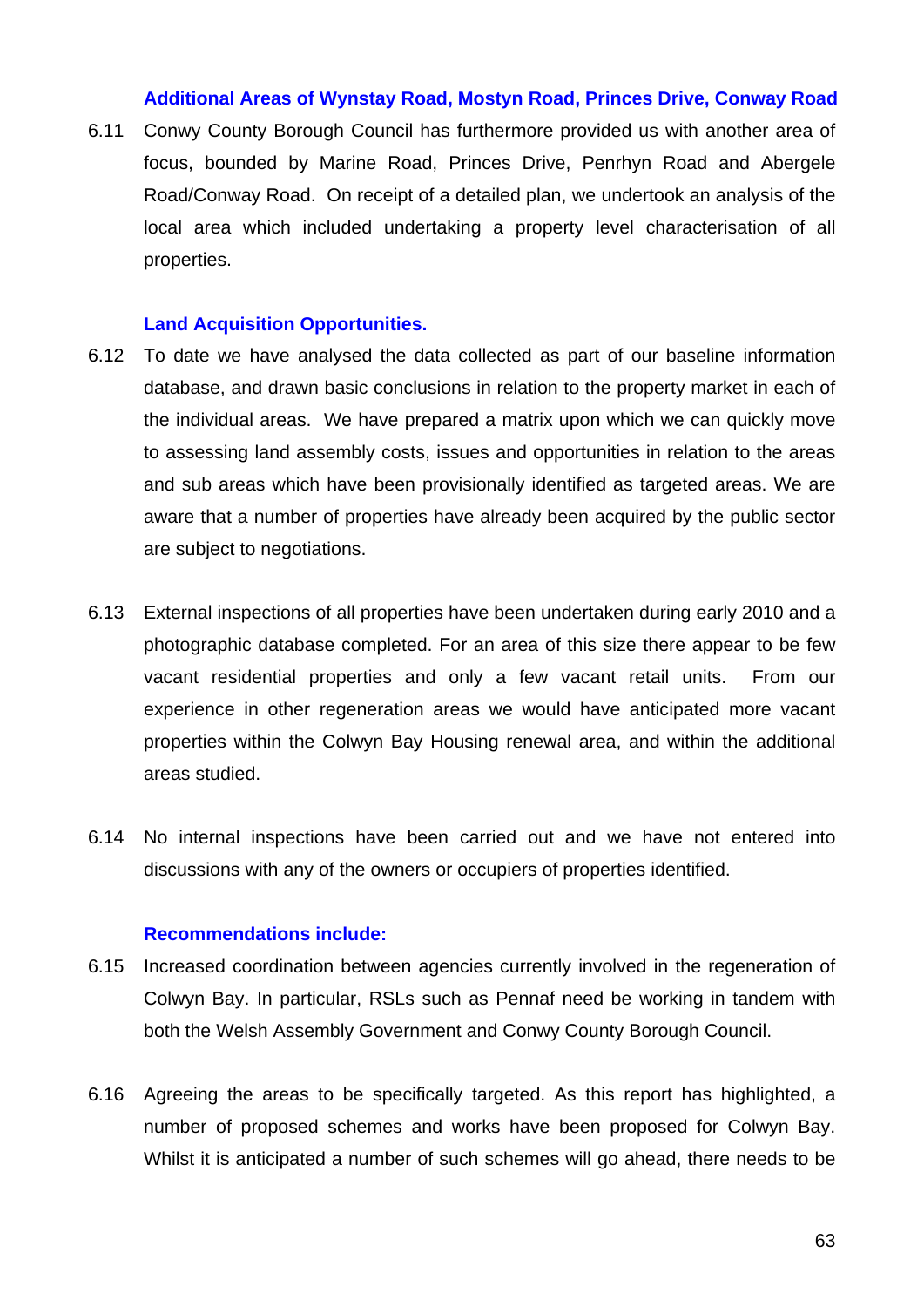#### **Additional Areas of Wynstay Road, Mostyn Road, Princes Drive, Conway Road**

6.11 Conwy County Borough Council has furthermore provided us with another area of focus, bounded by Marine Road, Princes Drive, Penrhyn Road and Abergele Road/Conway Road. On receipt of a detailed plan, we undertook an analysis of the local area which included undertaking a property level characterisation of all properties.

#### **Land Acquisition Opportunities.**

- 6.12 To date we have analysed the data collected as part of our baseline information database, and drawn basic conclusions in relation to the property market in each of the individual areas. We have prepared a matrix upon which we can quickly move to assessing land assembly costs, issues and opportunities in relation to the areas and sub areas which have been provisionally identified as targeted areas. We are aware that a number of properties have already been acquired by the public sector are subject to negotiations.
- 6.13 External inspections of all properties have been undertaken during early 2010 and a photographic database completed. For an area of this size there appear to be few vacant residential properties and only a few vacant retail units. From our experience in other regeneration areas we would have anticipated more vacant properties within the Colwyn Bay Housing renewal area, and within the additional areas studied.
- 6.14 No internal inspections have been carried out and we have not entered into discussions with any of the owners or occupiers of properties identified.

#### **Recommendations include:**

- 6.15 Increased coordination between agencies currently involved in the regeneration of Colwyn Bay. In particular, RSLs such as Pennaf need be working in tandem with both the Welsh Assembly Government and Conwy County Borough Council.
- 6.16 Agreeing the areas to be specifically targeted. As this report has highlighted, a number of proposed schemes and works have been proposed for Colwyn Bay. Whilst it is anticipated a number of such schemes will go ahead, there needs to be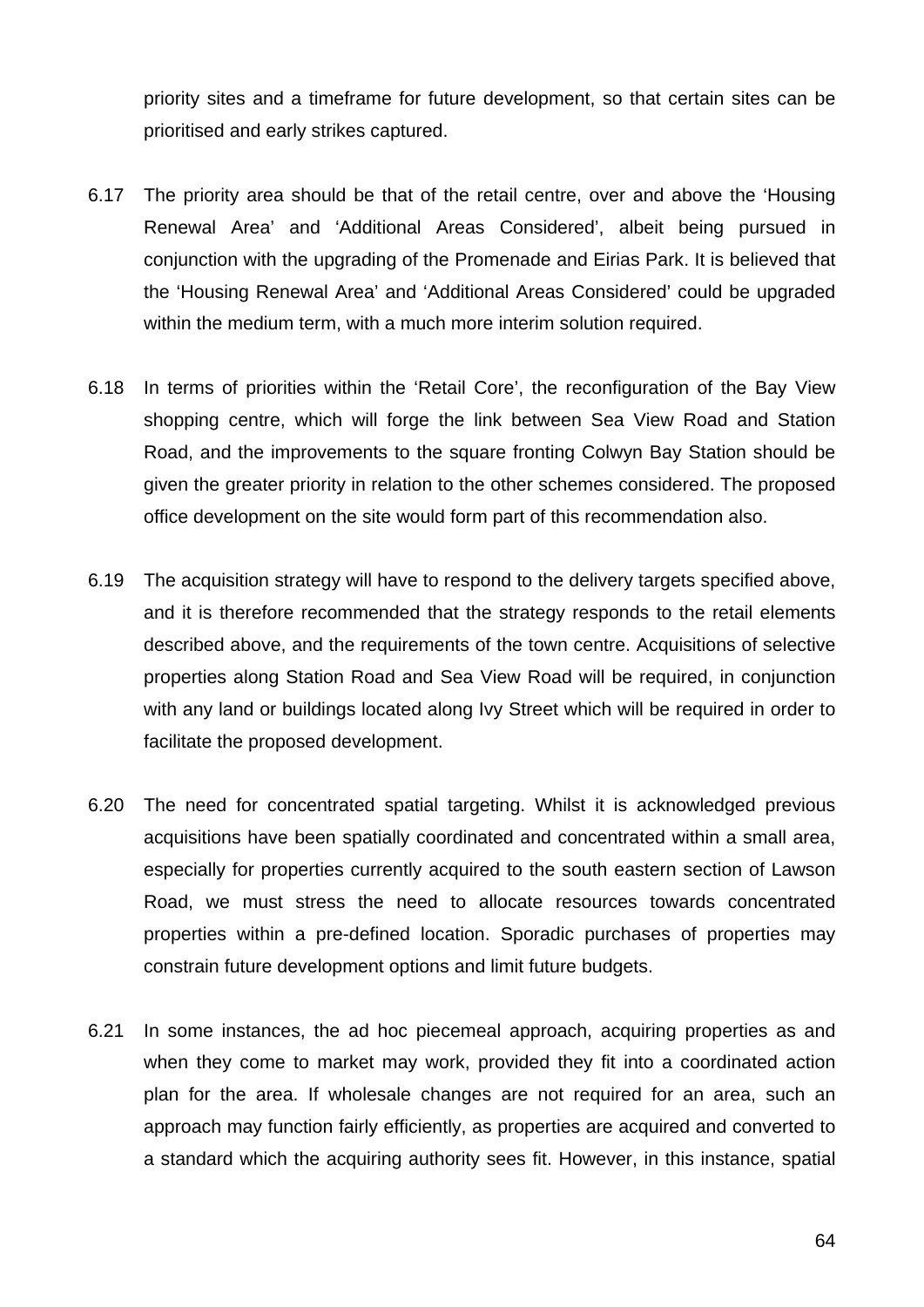priority sites and a timeframe for future development, so that certain sites can be prioritised and early strikes captured.

- 6.17 The priority area should be that of the retail centre, over and above the 'Housing Renewal Area' and 'Additional Areas Considered', albeit being pursued in conjunction with the upgrading of the Promenade and Eirias Park. It is believed that the 'Housing Renewal Area' and 'Additional Areas Considered' could be upgraded within the medium term, with a much more interim solution required.
- 6.18 In terms of priorities within the 'Retail Core', the reconfiguration of the Bay View shopping centre, which will forge the link between Sea View Road and Station Road, and the improvements to the square fronting Colwyn Bay Station should be given the greater priority in relation to the other schemes considered. The proposed office development on the site would form part of this recommendation also.
- 6.19 The acquisition strategy will have to respond to the delivery targets specified above, and it is therefore recommended that the strategy responds to the retail elements described above, and the requirements of the town centre. Acquisitions of selective properties along Station Road and Sea View Road will be required, in conjunction with any land or buildings located along Ivy Street which will be required in order to facilitate the proposed development.
- 6.20 The need for concentrated spatial targeting. Whilst it is acknowledged previous acquisitions have been spatially coordinated and concentrated within a small area, especially for properties currently acquired to the south eastern section of Lawson Road, we must stress the need to allocate resources towards concentrated properties within a pre-defined location. Sporadic purchases of properties may constrain future development options and limit future budgets.
- 6.21 In some instances, the ad hoc piecemeal approach, acquiring properties as and when they come to market may work, provided they fit into a coordinated action plan for the area. If wholesale changes are not required for an area, such an approach may function fairly efficiently, as properties are acquired and converted to a standard which the acquiring authority sees fit. However, in this instance, spatial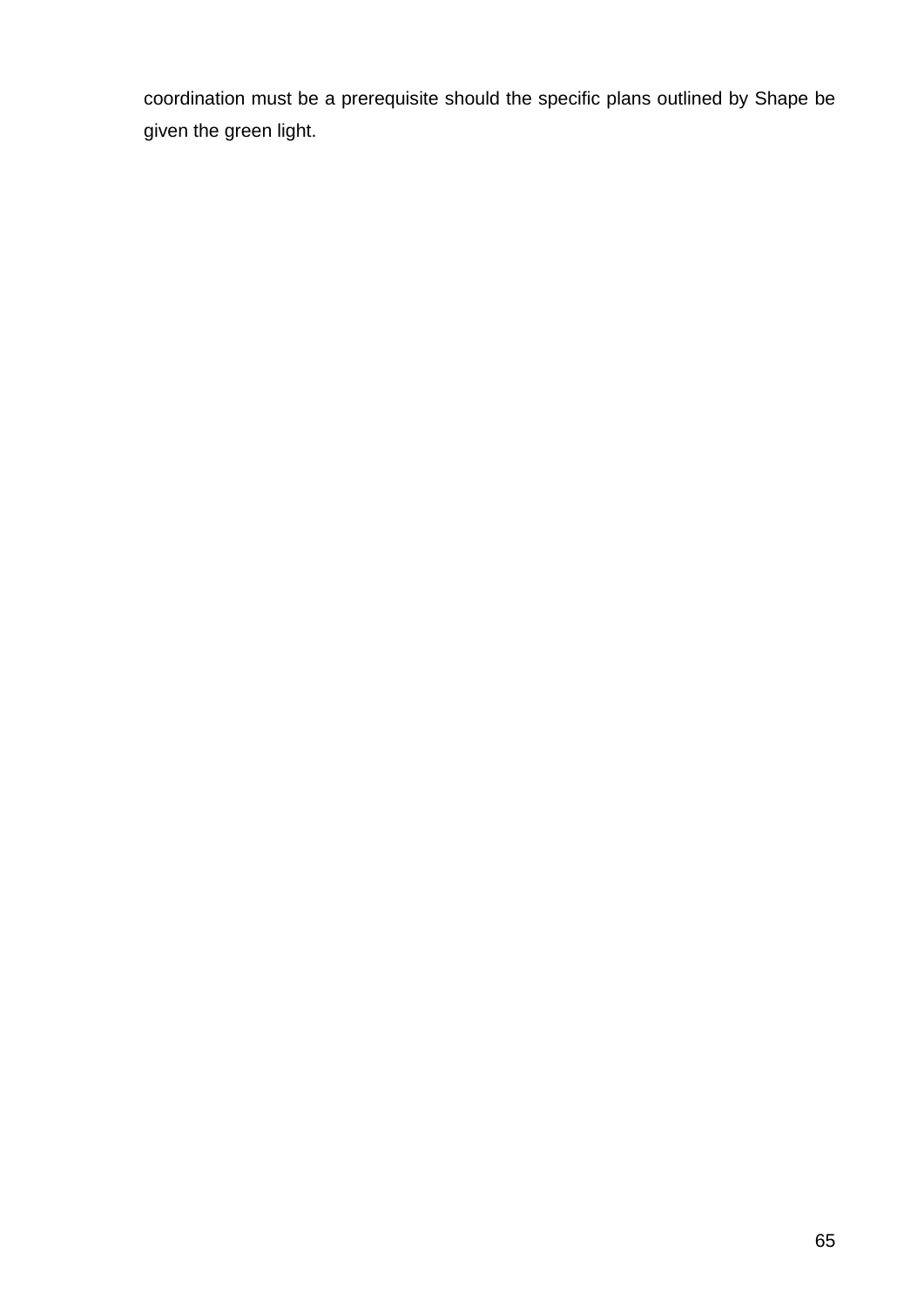coordination must be a prerequisite should the specific plans outlined by Shape be given the green light.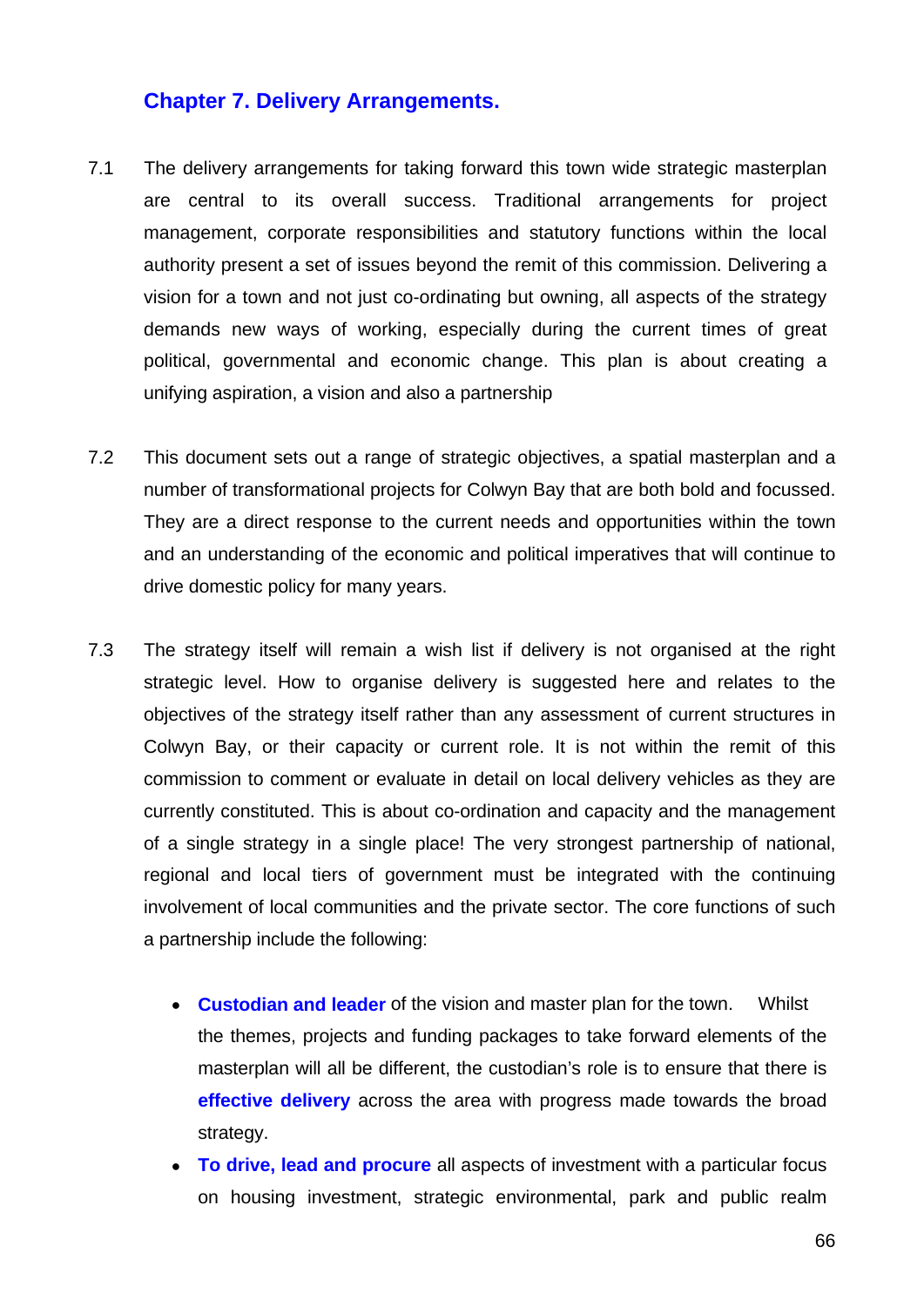## **Chapter 7. Delivery Arrangements.**

- 7.1 The delivery arrangements for taking forward this town wide strategic masterplan are central to its overall success. Traditional arrangements for project management, corporate responsibilities and statutory functions within the local authority present a set of issues beyond the remit of this commission. Delivering a vision for a town and not just co-ordinating but owning, all aspects of the strategy demands new ways of working, especially during the current times of great political, governmental and economic change. This plan is about creating a unifying aspiration, a vision and also a partnership
- 7.2 This document sets out a range of strategic objectives, a spatial masterplan and a number of transformational projects for Colwyn Bay that are both bold and focussed. They are a direct response to the current needs and opportunities within the town and an understanding of the economic and political imperatives that will continue to drive domestic policy for many years.
- 7.3 The strategy itself will remain a wish list if delivery is not organised at the right strategic level. How to organise delivery is suggested here and relates to the objectives of the strategy itself rather than any assessment of current structures in Colwyn Bay, or their capacity or current role. It is not within the remit of this commission to comment or evaluate in detail on local delivery vehicles as they are currently constituted. This is about co-ordination and capacity and the management of a single strategy in a single place! The very strongest partnership of national, regional and local tiers of government must be integrated with the continuing involvement of local communities and the private sector. The core functions of such a partnership include the following:
	- **Custodian and leader** of the vision and master plan for the town. Whilst the themes, projects and funding packages to take forward elements of the masterplan will all be different, the custodian's role is to ensure that there is **effective delivery** across the area with progress made towards the broad strategy.
	- **To drive, lead and procure** all aspects of investment with a particular focus on housing investment, strategic environmental, park and public realm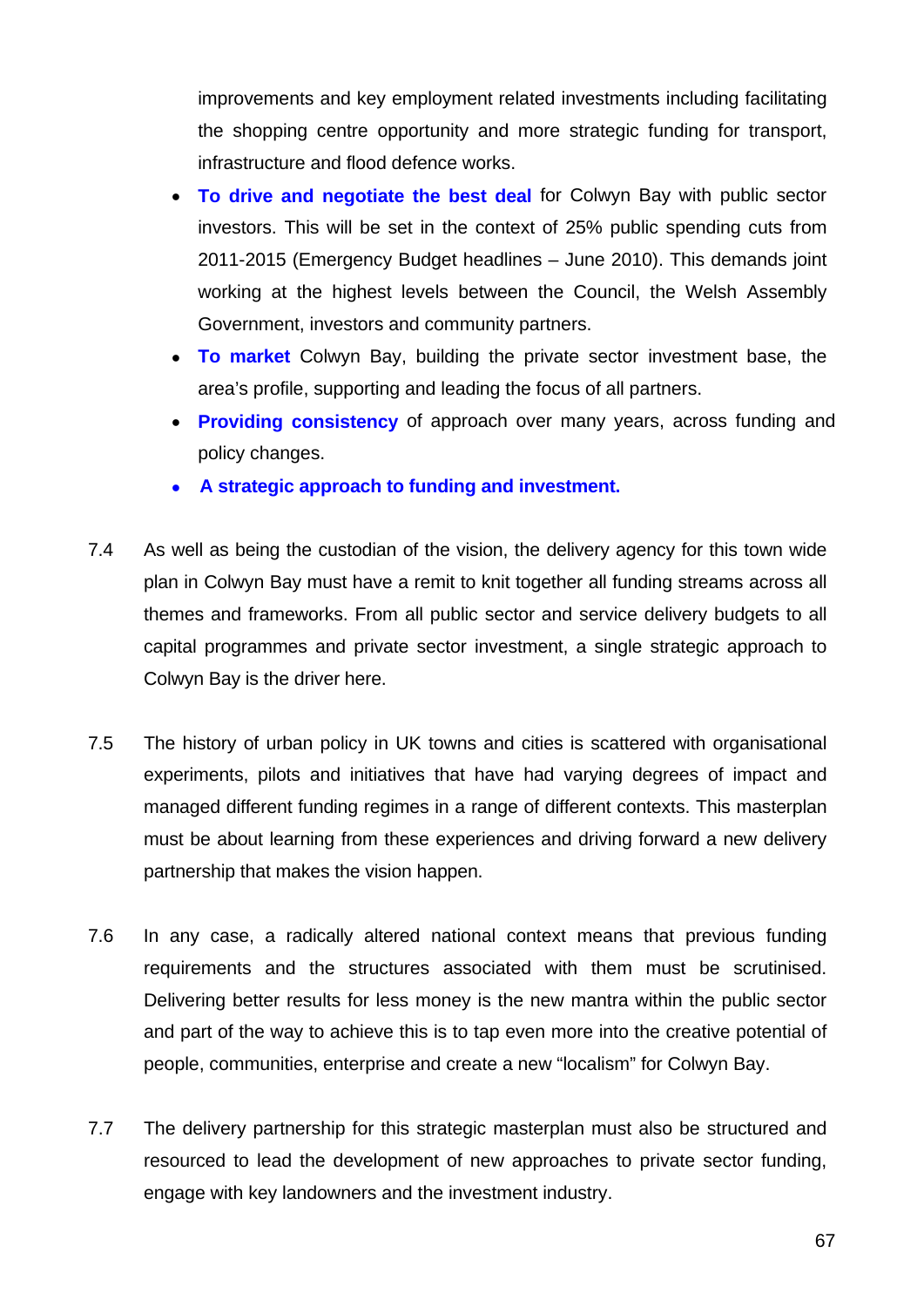improvements and key employment related investments including facilitating the shopping centre opportunity and more strategic funding for transport, infrastructure and flood defence works.

- **To drive and negotiate the best deal** for Colwyn Bay with public sector investors. This will be set in the context of 25% public spending cuts from 2011-2015 (Emergency Budget headlines – June 2010). This demands joint working at the highest levels between the Council, the Welsh Assembly Government, investors and community partners.
- **To market** Colwyn Bay, building the private sector investment base, the area's profile, supporting and leading the focus of all partners.
- **Providing consistency** of approach over many years, across funding and policy changes.
- **A strategic approach to funding and investment.**
- 7.4 As well as being the custodian of the vision, the delivery agency for this town wide plan in Colwyn Bay must have a remit to knit together all funding streams across all themes and frameworks. From all public sector and service delivery budgets to all capital programmes and private sector investment, a single strategic approach to Colwyn Bay is the driver here.
- 7.5 The history of urban policy in UK towns and cities is scattered with organisational experiments, pilots and initiatives that have had varying degrees of impact and managed different funding regimes in a range of different contexts. This masterplan must be about learning from these experiences and driving forward a new delivery partnership that makes the vision happen.
- 7.6 In any case, a radically altered national context means that previous funding requirements and the structures associated with them must be scrutinised. Delivering better results for less money is the new mantra within the public sector and part of the way to achieve this is to tap even more into the creative potential of people, communities, enterprise and create a new "localism" for Colwyn Bay.
- 7.7 The delivery partnership for this strategic masterplan must also be structured and resourced to lead the development of new approaches to private sector funding, engage with key landowners and the investment industry.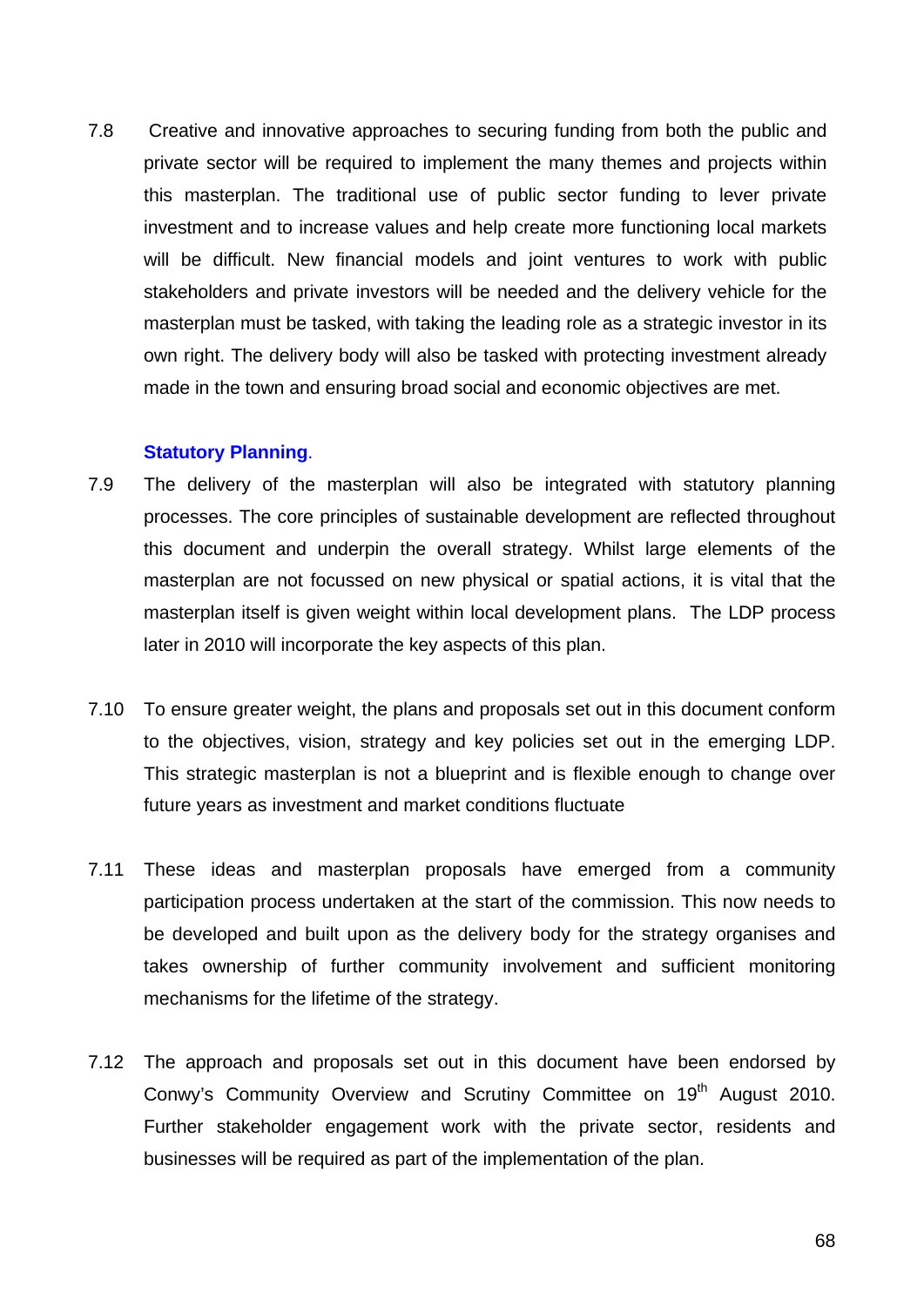7.8 Creative and innovative approaches to securing funding from both the public and private sector will be required to implement the many themes and projects within this masterplan. The traditional use of public sector funding to lever private investment and to increase values and help create more functioning local markets will be difficult. New financial models and joint ventures to work with public stakeholders and private investors will be needed and the delivery vehicle for the masterplan must be tasked, with taking the leading role as a strategic investor in its own right. The delivery body will also be tasked with protecting investment already made in the town and ensuring broad social and economic objectives are met.

## **Statutory Planning**.

- 7.9 The delivery of the masterplan will also be integrated with statutory planning processes. The core principles of sustainable development are reflected throughout this document and underpin the overall strategy. Whilst large elements of the masterplan are not focussed on new physical or spatial actions, it is vital that the masterplan itself is given weight within local development plans. The LDP process later in 2010 will incorporate the key aspects of this plan.
- 7.10 To ensure greater weight, the plans and proposals set out in this document conform to the objectives, vision, strategy and key policies set out in the emerging LDP. This strategic masterplan is not a blueprint and is flexible enough to change over future years as investment and market conditions fluctuate
- 7.11 These ideas and masterplan proposals have emerged from a community participation process undertaken at the start of the commission. This now needs to be developed and built upon as the delivery body for the strategy organises and takes ownership of further community involvement and sufficient monitoring mechanisms for the lifetime of the strategy.
- 7.12 The approach and proposals set out in this document have been endorsed by Conwy's Community Overview and Scrutiny Committee on 19<sup>th</sup> August 2010. Further stakeholder engagement work with the private sector, residents and businesses will be required as part of the implementation of the plan.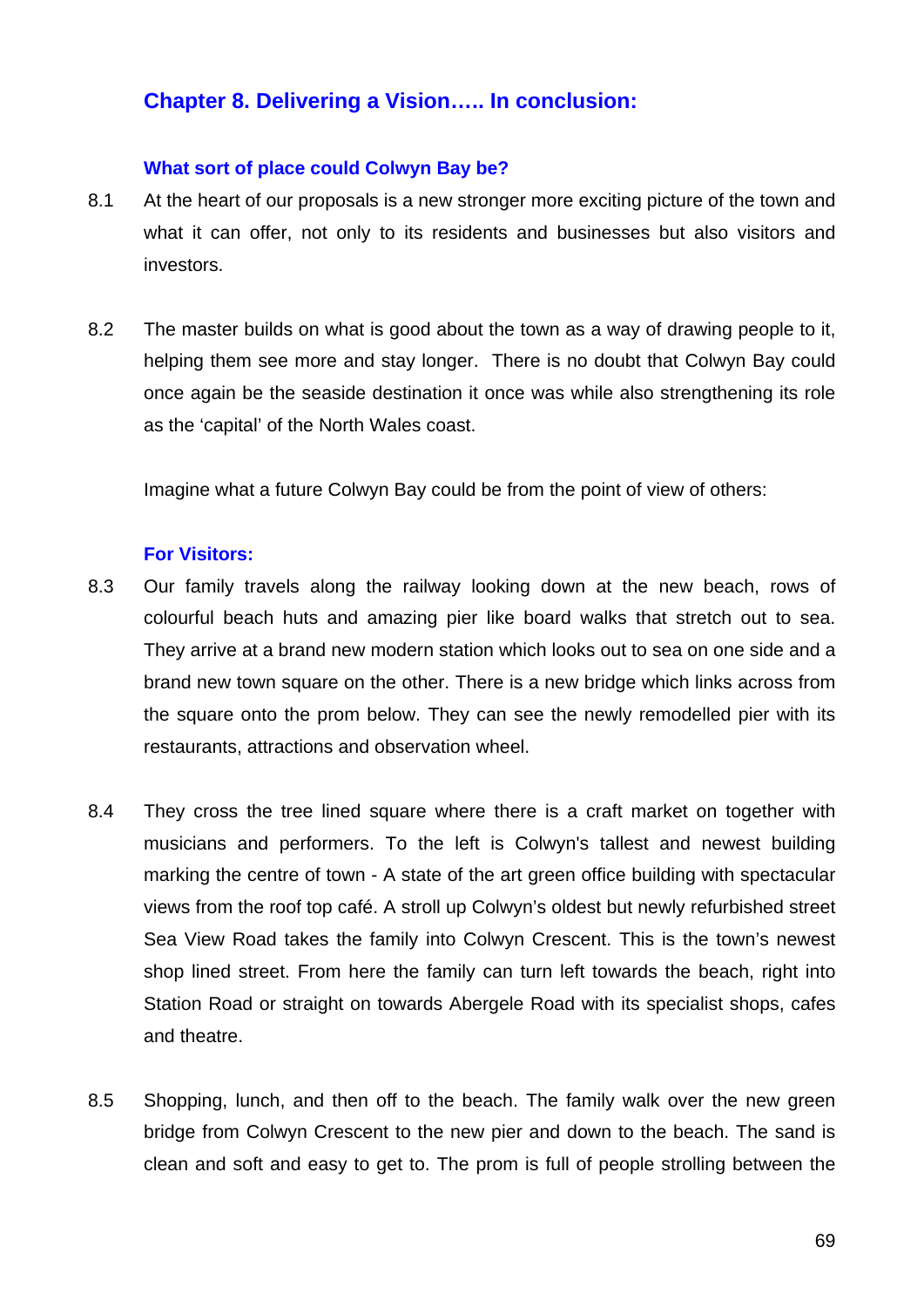# **Chapter 8. Delivering a Vision….. In conclusion:**

### **What sort of place could Colwyn Bay be?**

- 8.1 At the heart of our proposals is a new stronger more exciting picture of the town and what it can offer, not only to its residents and businesses but also visitors and investors.
- 8.2 The master builds on what is good about the town as a way of drawing people to it, helping them see more and stay longer. There is no doubt that Colwyn Bay could once again be the seaside destination it once was while also strengthening its role as the 'capital' of the North Wales coast.

Imagine what a future Colwyn Bay could be from the point of view of others:

#### **For Visitors:**

- 8.3 Our family travels along the railway looking down at the new beach, rows of colourful beach huts and amazing pier like board walks that stretch out to sea. They arrive at a brand new modern station which looks out to sea on one side and a brand new town square on the other. There is a new bridge which links across from the square onto the prom below. They can see the newly remodelled pier with its restaurants, attractions and observation wheel.
- 8.4 They cross the tree lined square where there is a craft market on together with musicians and performers. To the left is Colwyn's tallest and newest building marking the centre of town - A state of the art green office building with spectacular views from the roof top café. A stroll up Colwyn's oldest but newly refurbished street Sea View Road takes the family into Colwyn Crescent. This is the town's newest shop lined street. From here the family can turn left towards the beach, right into Station Road or straight on towards Abergele Road with its specialist shops, cafes and theatre.
- 8.5 Shopping, lunch, and then off to the beach. The family walk over the new green bridge from Colwyn Crescent to the new pier and down to the beach. The sand is clean and soft and easy to get to. The prom is full of people strolling between the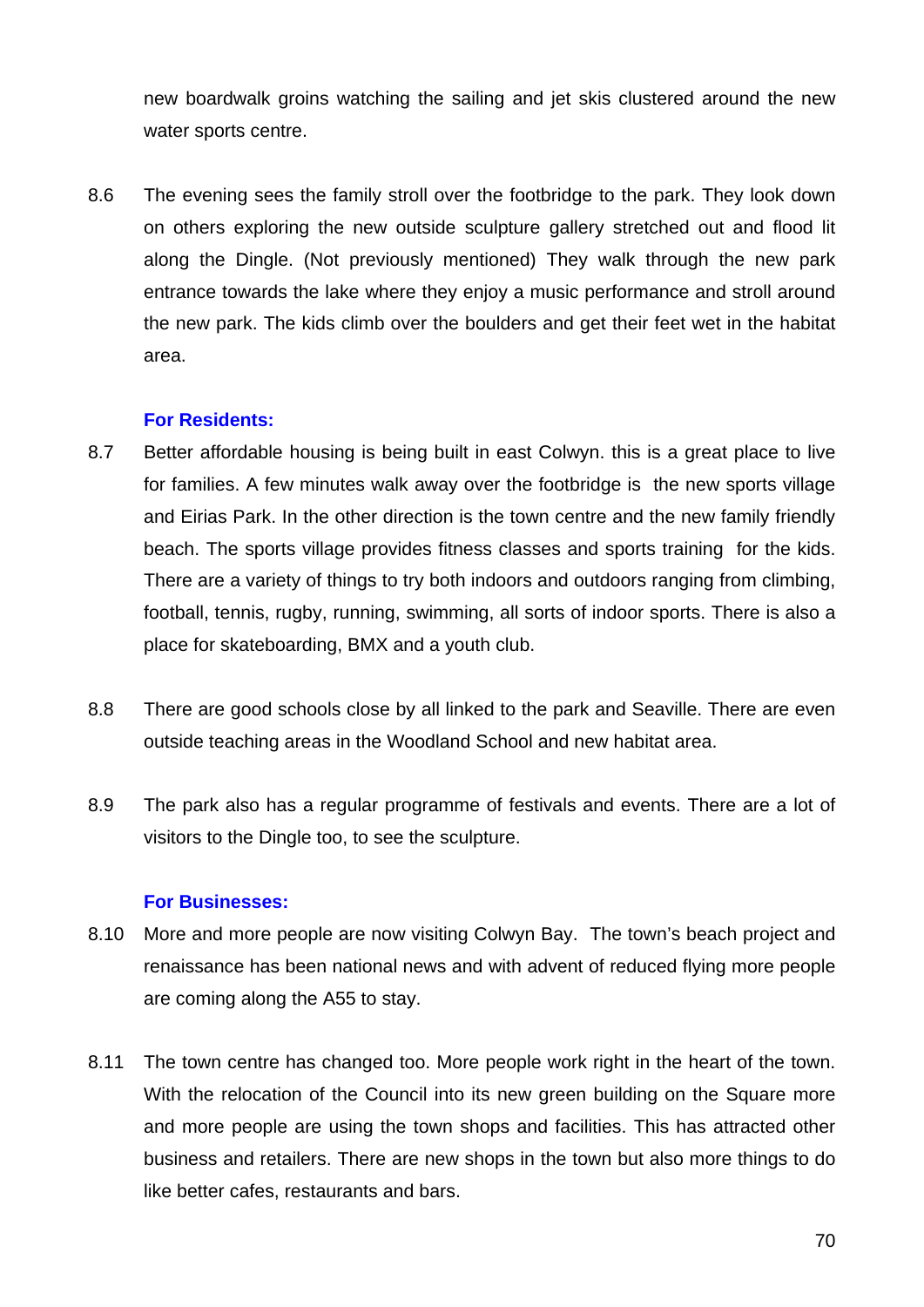new boardwalk groins watching the sailing and jet skis clustered around the new water sports centre.

8.6 The evening sees the family stroll over the footbridge to the park. They look down on others exploring the new outside sculpture gallery stretched out and flood lit along the Dingle. (Not previously mentioned) They walk through the new park entrance towards the lake where they enjoy a music performance and stroll around the new park. The kids climb over the boulders and get their feet wet in the habitat area.

## **For Residents:**

- 8.7 Better affordable housing is being built in east Colwyn. this is a great place to live for families. A few minutes walk away over the footbridge is the new sports village and Eirias Park. In the other direction is the town centre and the new family friendly beach. The sports village provides fitness classes and sports training for the kids. There are a variety of things to try both indoors and outdoors ranging from climbing, football, tennis, rugby, running, swimming, all sorts of indoor sports. There is also a place for skateboarding, BMX and a youth club.
- 8.8 There are good schools close by all linked to the park and Seaville. There are even outside teaching areas in the Woodland School and new habitat area.
- 8.9 The park also has a regular programme of festivals and events. There are a lot of visitors to the Dingle too, to see the sculpture.

#### **For Businesses:**

- 8.10 More and more people are now visiting Colwyn Bay. The town's beach project and renaissance has been national news and with advent of reduced flying more people are coming along the A55 to stay.
- 8.11 The town centre has changed too. More people work right in the heart of the town. With the relocation of the Council into its new green building on the Square more and more people are using the town shops and facilities. This has attracted other business and retailers. There are new shops in the town but also more things to do like better cafes, restaurants and bars.